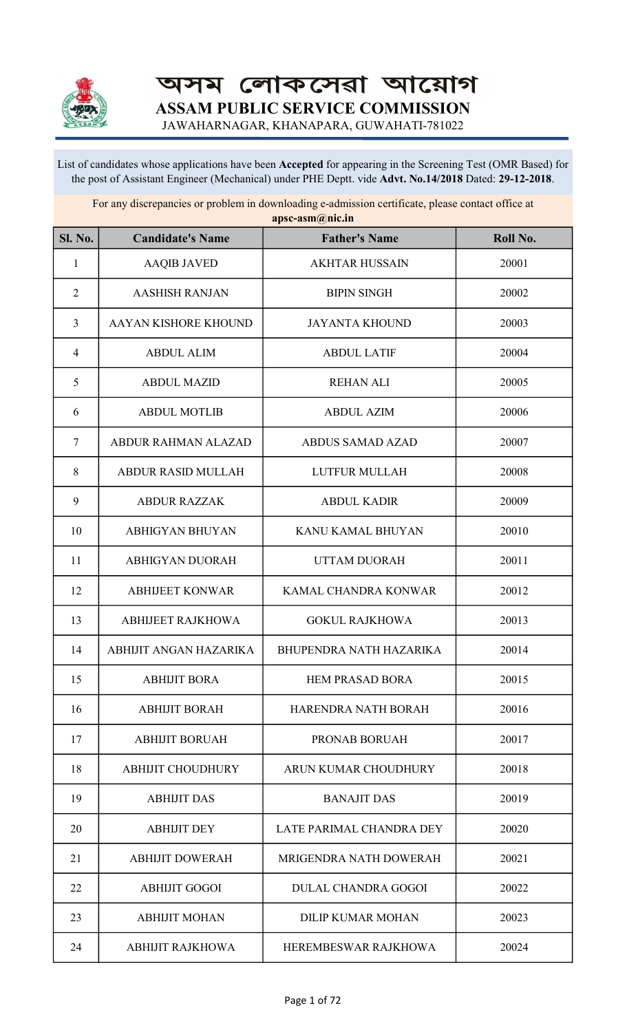

অসম লোকসেৱা আয়োগ ASSAM PUBLIC SERVICE COMMISSION

JAWAHARNAGAR, KHANAPARA, GUWAHATI-781022

List of candidates whose applications have been Accepted for appearing in the Screening Test (OMR Based) for the post of Assistant Engineer (Mechanical) under PHE Deptt. vide Advt. No.14/2018 Dated: 29-12-2018.

For any discrepancies or problem in downloading e-admission certificate, please contact office at apsc-asm@nic.in

| <b>Sl. No.</b> | <b>Candidate's Name</b>    | <b>Father's Name</b>           | Roll No. |
|----------------|----------------------------|--------------------------------|----------|
| $\mathbf{1}$   | <b>AAQIB JAVED</b>         | <b>AKHTAR HUSSAIN</b>          | 20001    |
| $\overline{2}$ | <b>AASHISH RANJAN</b>      | <b>BIPIN SINGH</b>             | 20002    |
| 3              | AAYAN KISHORE KHOUND       | <b>JAYANTA KHOUND</b>          | 20003    |
| $\overline{4}$ | <b>ABDUL ALIM</b>          | <b>ABDUL LATIF</b>             | 20004    |
| 5              | <b>ABDUL MAZID</b>         | <b>REHAN ALI</b>               | 20005    |
| 6              | <b>ABDUL MOTLIB</b>        | <b>ABDUL AZIM</b>              | 20006    |
| $\overline{7}$ | <b>ABDUR RAHMAN ALAZAD</b> | <b>ABDUS SAMAD AZAD</b>        | 20007    |
| 8              | <b>ABDUR RASID MULLAH</b>  | <b>LUTFUR MULLAH</b>           | 20008    |
| 9              | <b>ABDUR RAZZAK</b>        | <b>ABDUL KADIR</b>             | 20009    |
| 10             | <b>ABHIGYAN BHUYAN</b>     | KANU KAMAL BHUYAN              | 20010    |
| 11             | <b>ABHIGYAN DUORAH</b>     | <b>UTTAM DUORAH</b>            | 20011    |
| 12             | <b>ABHIJEET KONWAR</b>     | KAMAL CHANDRA KONWAR           | 20012    |
| 13             | <b>ABHIJEET RAJKHOWA</b>   | <b>GOKUL RAJKHOWA</b>          | 20013    |
| 14             | ABHIJIT ANGAN HAZARIKA     | <b>BHUPENDRA NATH HAZARIKA</b> | 20014    |
| 15             | ABHIJIT BORA               | <b>HEM PRASAD BORA</b>         | 20015    |
| 16             | <b>ABHIJIT BORAH</b>       | HARENDRA NATH BORAH            | 20016    |
| 17             | <b>ABHIJIT BORUAH</b>      | PRONAB BORUAH                  | 20017    |
| 18             | <b>ABHIJIT CHOUDHURY</b>   | ARUN KUMAR CHOUDHURY           | 20018    |
| 19             | <b>ABHIJIT DAS</b>         | <b>BANAJIT DAS</b>             | 20019    |
| 20             | <b>ABHIJIT DEY</b>         | LATE PARIMAL CHANDRA DEY       | 20020    |
| 21             | <b>ABHIJIT DOWERAH</b>     | MRIGENDRA NATH DOWERAH         | 20021    |
| 22             | <b>ABHIJIT GOGOI</b>       | <b>DULAL CHANDRA GOGOI</b>     | 20022    |
| 23             | <b>ABHIJIT MOHAN</b>       | <b>DILIP KUMAR MOHAN</b>       | 20023    |
| 24             | <b>ABHIJIT RAJKHOWA</b>    | HEREMBESWAR RAJKHOWA           | 20024    |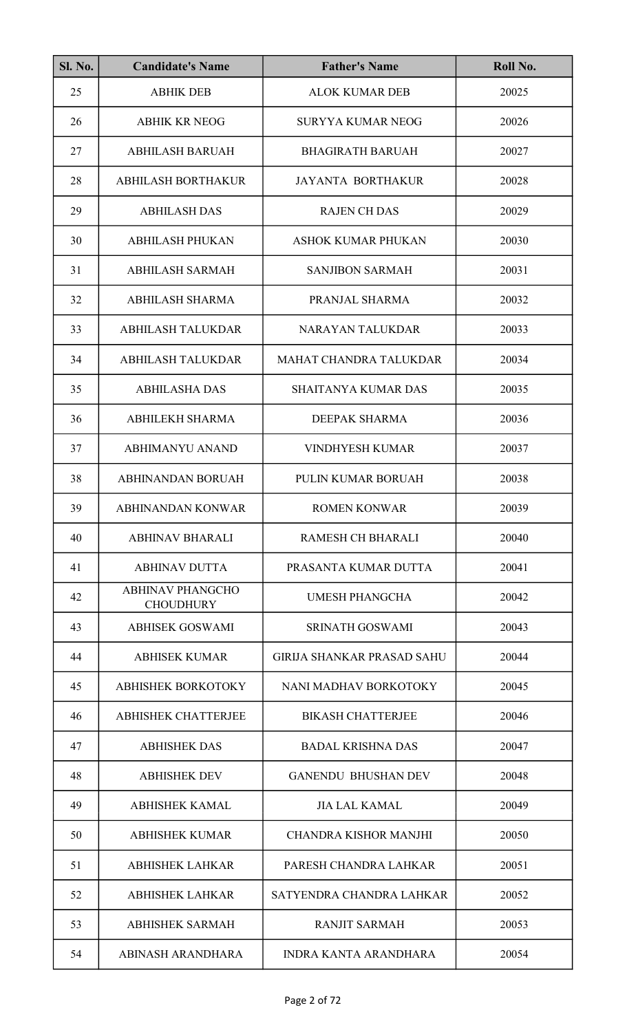| <b>Sl. No.</b> | <b>Candidate's Name</b>                     | <b>Father's Name</b>              | Roll No. |
|----------------|---------------------------------------------|-----------------------------------|----------|
| 25             | <b>ABHIK DEB</b>                            | <b>ALOK KUMAR DEB</b>             | 20025    |
| 26             | <b>ABHIK KR NEOG</b>                        | <b>SURYYA KUMAR NEOG</b>          | 20026    |
| 27             | <b>ABHILASH BARUAH</b>                      | <b>BHAGIRATH BARUAH</b>           | 20027    |
| 28             | <b>ABHILASH BORTHAKUR</b>                   | <b>JAYANTA BORTHAKUR</b>          | 20028    |
| 29             | <b>ABHILASH DAS</b>                         | <b>RAJEN CH DAS</b>               | 20029    |
| 30             | <b>ABHILASH PHUKAN</b>                      | <b>ASHOK KUMAR PHUKAN</b>         | 20030    |
| 31             | <b>ABHILASH SARMAH</b>                      | <b>SANJIBON SARMAH</b>            | 20031    |
| 32             | <b>ABHILASH SHARMA</b>                      | PRANJAL SHARMA                    | 20032    |
| 33             | <b>ABHILASH TALUKDAR</b>                    | NARAYAN TALUKDAR                  | 20033    |
| 34             | <b>ABHILASH TALUKDAR</b>                    | MAHAT CHANDRA TALUKDAR            | 20034    |
| 35             | <b>ABHILASHA DAS</b>                        | <b>SHAITANYA KUMAR DAS</b>        | 20035    |
| 36             | <b>ABHILEKH SHARMA</b>                      | <b>DEEPAK SHARMA</b>              | 20036    |
| 37             | <b>ABHIMANYU ANAND</b>                      | <b>VINDHYESH KUMAR</b>            | 20037    |
| 38             | <b>ABHINANDAN BORUAH</b>                    | PULIN KUMAR BORUAH                | 20038    |
| 39             | ABHINANDAN KONWAR                           | ROMEN KONWAR                      | 20039    |
| 40             | <b>ABHINAV BHARALI</b>                      | <b>RAMESH CH BHARALI</b>          | 20040    |
| 41             | <b>ABHINAV DUTTA</b>                        | PRASANTA KUMAR DUTTA              | 20041    |
| 42             | <b>ABHINAV PHANGCHO</b><br><b>CHOUDHURY</b> | <b>UMESH PHANGCHA</b>             | 20042    |
| 43             | <b>ABHISEK GOSWAMI</b>                      | <b>SRINATH GOSWAMI</b>            | 20043    |
| 44             | <b>ABHISEK KUMAR</b>                        | <b>GIRIJA SHANKAR PRASAD SAHU</b> | 20044    |
| 45             | <b>ABHISHEK BORKOTOKY</b>                   | NANI MADHAV BORKOTOKY             | 20045    |
| 46             | <b>ABHISHEK CHATTERJEE</b>                  | <b>BIKASH CHATTERJEE</b>          | 20046    |
| 47             | <b>ABHISHEK DAS</b>                         | <b>BADAL KRISHNA DAS</b>          | 20047    |
| 48             | <b>ABHISHEK DEV</b>                         | <b>GANENDU BHUSHAN DEV</b>        | 20048    |
| 49             | <b>ABHISHEK KAMAL</b>                       | <b>JIA LAL KAMAL</b>              | 20049    |
| 50             | <b>ABHISHEK KUMAR</b>                       | <b>CHANDRA KISHOR MANJHI</b>      | 20050    |
| 51             | <b>ABHISHEK LAHKAR</b>                      | PARESH CHANDRA LAHKAR             | 20051    |
| 52             | <b>ABHISHEK LAHKAR</b>                      | SATYENDRA CHANDRA LAHKAR          | 20052    |
| 53             | <b>ABHISHEK SARMAH</b>                      | <b>RANJIT SARMAH</b>              | 20053    |
| 54             | ABINASH ARANDHARA                           | <b>INDRA KANTA ARANDHARA</b>      | 20054    |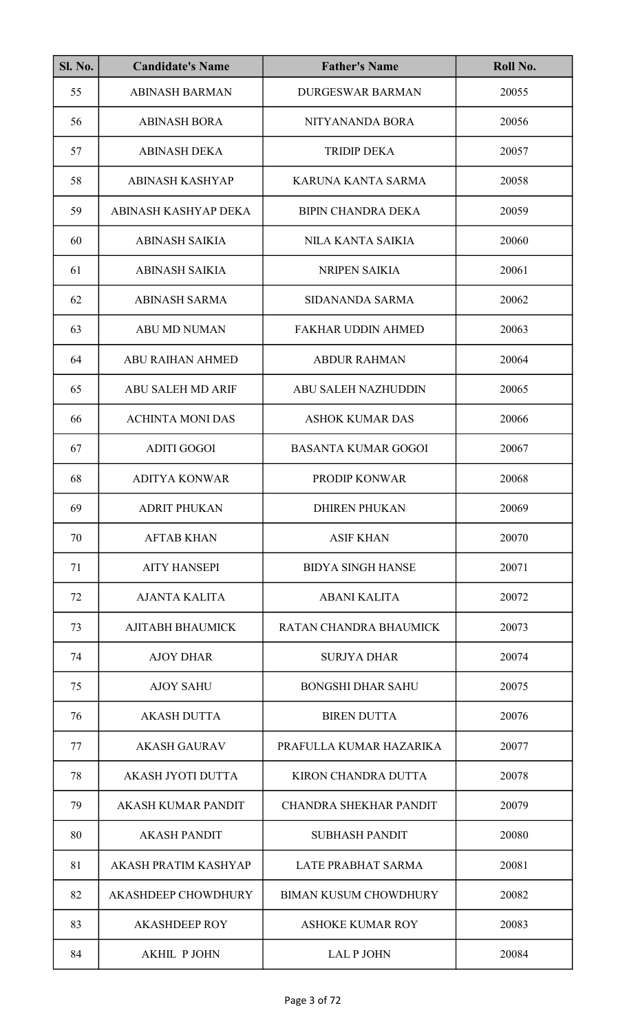| <b>Sl. No.</b> | <b>Candidate's Name</b>    | <b>Father's Name</b>          | Roll No. |
|----------------|----------------------------|-------------------------------|----------|
| 55             | <b>ABINASH BARMAN</b>      | <b>DURGESWAR BARMAN</b>       | 20055    |
| 56             | <b>ABINASH BORA</b>        | NITYANANDA BORA               | 20056    |
| 57             | <b>ABINASH DEKA</b>        | <b>TRIDIP DEKA</b>            | 20057    |
| 58             | <b>ABINASH KASHYAP</b>     | KARUNA KANTA SARMA            | 20058    |
| 59             | ABINASH KASHYAP DEKA       | <b>BIPIN CHANDRA DEKA</b>     | 20059    |
| 60             | <b>ABINASH SAIKIA</b>      | <b>NILA KANTA SAIKIA</b>      | 20060    |
| 61             | <b>ABINASH SAIKIA</b>      | <b>NRIPEN SAIKIA</b>          | 20061    |
| 62             | <b>ABINASH SARMA</b>       | SIDANANDA SARMA               | 20062    |
| 63             | <b>ABU MD NUMAN</b>        | <b>FAKHAR UDDIN AHMED</b>     | 20063    |
| 64             | <b>ABU RAIHAN AHMED</b>    | <b>ABDUR RAHMAN</b>           | 20064    |
| 65             | <b>ABU SALEH MD ARIF</b>   | <b>ABU SALEH NAZHUDDIN</b>    | 20065    |
| 66             | <b>ACHINTA MONI DAS</b>    | <b>ASHOK KUMAR DAS</b>        | 20066    |
| 67             | <b>ADITI GOGOI</b>         | <b>BASANTA KUMAR GOGOI</b>    | 20067    |
| 68             | <b>ADITYA KONWAR</b>       | PRODIP KONWAR                 | 20068    |
| 69             | <b>ADRIT PHUKAN</b>        | DHIREN PHUKAN                 | 20069    |
| 70             | <b>AFTAB KHAN</b>          | <b>ASIF KHAN</b>              | 20070    |
| 71             | <b>AITY HANSEPI</b>        | <b>BIDYA SINGH HANSE</b>      | 20071    |
| 72             | <b>AJANTA KALITA</b>       | <b>ABANI KALITA</b>           | 20072    |
| 73             | <b>AJITABH BHAUMICK</b>    | RATAN CHANDRA BHAUMICK        | 20073    |
| 74             | <b>AJOY DHAR</b>           | <b>SURJYA DHAR</b>            | 20074    |
| 75             | <b>AJOY SAHU</b>           | <b>BONGSHI DHAR SAHU</b>      | 20075    |
| 76             | <b>AKASH DUTTA</b>         | <b>BIREN DUTTA</b>            | 20076    |
| 77             | <b>AKASH GAURAV</b>        | PRAFULLA KUMAR HAZARIKA       | 20077    |
| 78             | <b>AKASH JYOTI DUTTA</b>   | <b>KIRON CHANDRA DUTTA</b>    | 20078    |
| 79             | <b>AKASH KUMAR PANDIT</b>  | <b>CHANDRA SHEKHAR PANDIT</b> | 20079    |
| 80             | <b>AKASH PANDIT</b>        | <b>SUBHASH PANDIT</b>         | 20080    |
| 81             | AKASH PRATIM KASHYAP       | <b>LATE PRABHAT SARMA</b>     | 20081    |
| 82             | <b>AKASHDEEP CHOWDHURY</b> | <b>BIMAN KUSUM CHOWDHURY</b>  | 20082    |
| 83             | <b>AKASHDEEP ROY</b>       | <b>ASHOKE KUMAR ROY</b>       | 20083    |
| 84             | <b>AKHIL PJOHN</b>         | <b>LAL P JOHN</b>             | 20084    |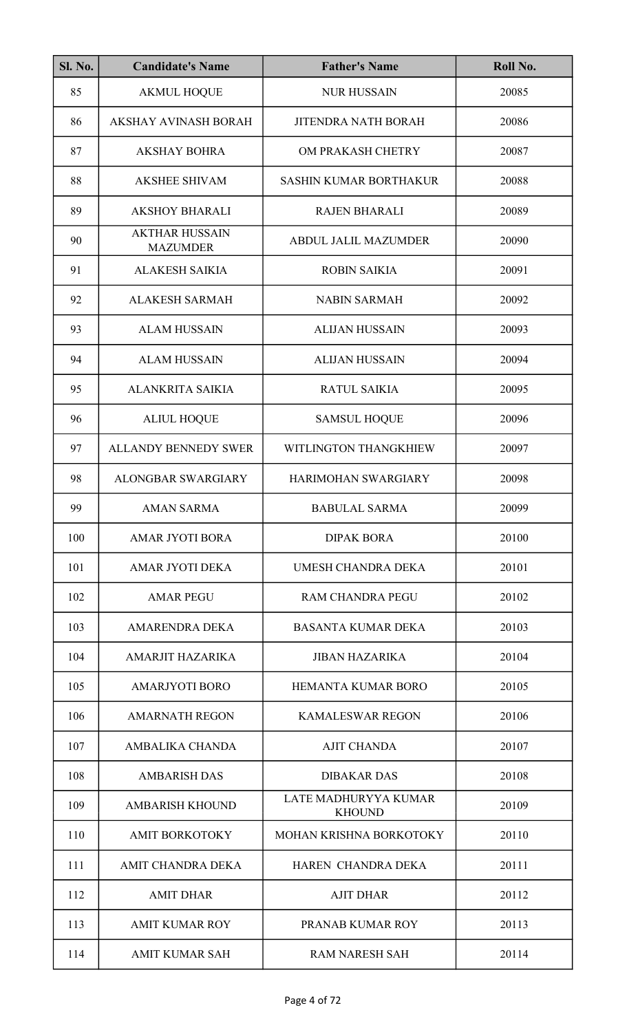| <b>Sl. No.</b> | <b>Candidate's Name</b>                  | <b>Father's Name</b>                  | Roll No. |
|----------------|------------------------------------------|---------------------------------------|----------|
| 85             | <b>AKMUL HOQUE</b>                       | <b>NUR HUSSAIN</b>                    | 20085    |
| 86             | <b>AKSHAY AVINASH BORAH</b>              | <b>JITENDRA NATH BORAH</b>            | 20086    |
| 87             | <b>AKSHAY BOHRA</b>                      | OM PRAKASH CHETRY                     | 20087    |
| 88             | <b>AKSHEE SHIVAM</b>                     | <b>SASHIN KUMAR BORTHAKUR</b>         | 20088    |
| 89             | <b>AKSHOY BHARALI</b>                    | <b>RAJEN BHARALI</b>                  | 20089    |
| 90             | <b>AKTHAR HUSSAIN</b><br><b>MAZUMDER</b> | <b>ABDUL JALIL MAZUMDER</b>           | 20090    |
| 91             | <b>ALAKESH SAIKIA</b>                    | <b>ROBIN SAIKIA</b>                   | 20091    |
| 92             | <b>ALAKESH SARMAH</b>                    | <b>NABIN SARMAH</b>                   | 20092    |
| 93             | <b>ALAM HUSSAIN</b>                      | <b>ALIJAN HUSSAIN</b>                 | 20093    |
| 94             | <b>ALAM HUSSAIN</b>                      | <b>ALIJAN HUSSAIN</b>                 | 20094    |
| 95             | ALANKRITA SAIKIA                         | <b>RATUL SAIKIA</b>                   | 20095    |
| 96             | <b>ALIUL HOQUE</b>                       | <b>SAMSUL HOQUE</b>                   | 20096    |
| 97             | <b>ALLANDY BENNEDY SWER</b>              | WITLINGTON THANGKHIEW                 | 20097    |
| 98             | <b>ALONGBAR SWARGIARY</b>                | <b>HARIMOHAN SWARGIARY</b>            | 20098    |
| 99             | <b>AMAN SARMA</b>                        | <b>BABULAL SARMA</b>                  | 20099    |
| 100            | <b>AMAR JYOTI BORA</b>                   | <b>DIPAK BORA</b>                     | 20100    |
| 101            | <b>AMAR JYOTI DEKA</b>                   | UMESH CHANDRA DEKA                    | 20101    |
| 102            | <b>AMAR PEGU</b>                         | <b>RAM CHANDRA PEGU</b>               | 20102    |
| 103            | <b>AMARENDRA DEKA</b>                    | <b>BASANTA KUMAR DEKA</b>             | 20103    |
| 104            | AMARJIT HAZARIKA                         | <b>JIBAN HAZARIKA</b>                 | 20104    |
| 105            | <b>AMARJYOTI BORO</b>                    | <b>HEMANTA KUMAR BORO</b>             | 20105    |
| 106            | <b>AMARNATH REGON</b>                    | <b>KAMALESWAR REGON</b>               | 20106    |
| 107            | AMBALIKA CHANDA                          | <b>AJIT CHANDA</b>                    | 20107    |
| 108            | <b>AMBARISH DAS</b>                      | <b>DIBAKAR DAS</b>                    | 20108    |
| 109            | <b>AMBARISH KHOUND</b>                   | LATE MADHURYYA KUMAR<br><b>KHOUND</b> | 20109    |
| 110            | <b>AMIT BORKOTOKY</b>                    | MOHAN KRISHNA BORKOTOKY               | 20110    |
| 111            | AMIT CHANDRA DEKA                        | HAREN CHANDRA DEKA                    | 20111    |
| 112            | <b>AMIT DHAR</b>                         | <b>AJIT DHAR</b>                      | 20112    |
| 113            | <b>AMIT KUMAR ROY</b>                    | PRANAB KUMAR ROY                      | 20113    |
| 114            | <b>AMIT KUMAR SAH</b>                    | <b>RAM NARESH SAH</b>                 | 20114    |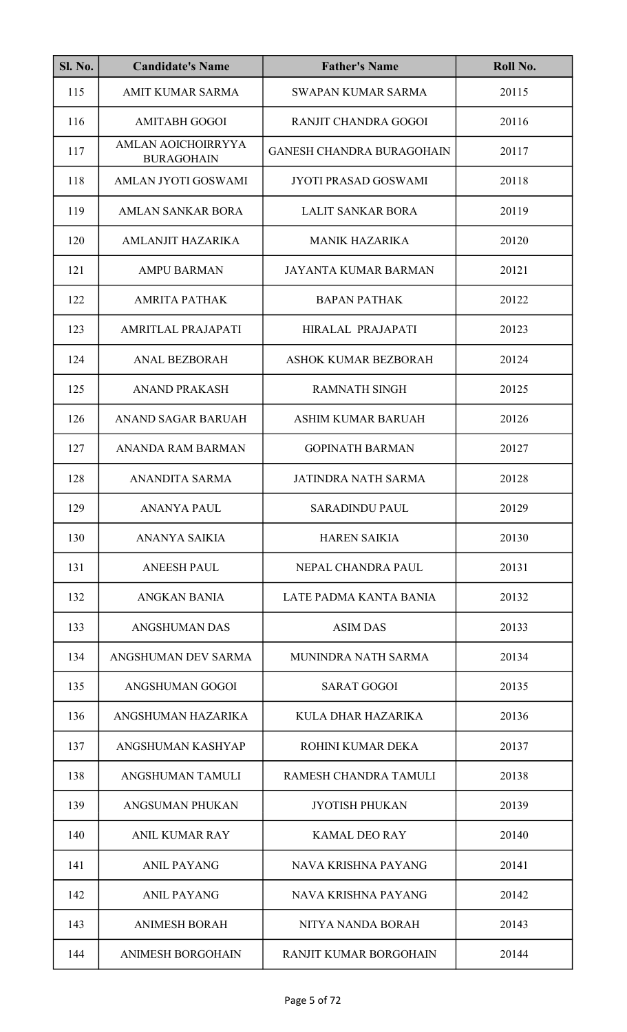| <b>Sl. No.</b> | <b>Candidate's Name</b>                 | <b>Father's Name</b>             | Roll No. |
|----------------|-----------------------------------------|----------------------------------|----------|
| 115            | <b>AMIT KUMAR SARMA</b>                 | <b>SWAPAN KUMAR SARMA</b>        | 20115    |
| 116            | <b>AMITABH GOGOI</b>                    | RANJIT CHANDRA GOGOI             | 20116    |
| 117            | AMLAN AOICHOIRRYYA<br><b>BURAGOHAIN</b> | <b>GANESH CHANDRA BURAGOHAIN</b> | 20117    |
| 118            | AMLAN JYOTI GOSWAMI                     | <b>JYOTI PRASAD GOSWAMI</b>      | 20118    |
| 119            | AMLAN SANKAR BORA                       | LALIT SANKAR BORA                | 20119    |
| 120            | <b>AMLANJIT HAZARIKA</b>                | <b>MANIK HAZARIKA</b>            | 20120    |
| 121            | <b>AMPU BARMAN</b>                      | JAYANTA KUMAR BARMAN             | 20121    |
| 122            | <b>AMRITA PATHAK</b>                    | <b>BAPAN PATHAK</b>              | 20122    |
| 123            | AMRITLAL PRAJAPATI                      | HIRALAL PRAJAPATI                | 20123    |
| 124            | <b>ANAL BEZBORAH</b>                    | <b>ASHOK KUMAR BEZBORAH</b>      | 20124    |
| 125            | <b>ANAND PRAKASH</b>                    | <b>RAMNATH SINGH</b>             | 20125    |
| 126            | <b>ANAND SAGAR BARUAH</b>               | ASHIM KUMAR BARUAH               | 20126    |
| 127            | ANANDA RAM BARMAN                       | <b>GOPINATH BARMAN</b>           | 20127    |
| 128            | ANANDITA SARMA                          | <b>JATINDRA NATH SARMA</b>       | 20128    |
| 129            | ANANYA PAUL                             | <b>SARADINDU PAUL</b>            | 20129    |
| 130            | ANANYA SAIKIA                           | <b>HAREN SAIKIA</b>              | 20130    |
| 131            | <b>ANEESH PAUL</b>                      | NEPAL CHANDRA PAUL               | 20131    |
| 132            | <b>ANGKAN BANIA</b>                     | LATE PADMA KANTA BANIA           | 20132    |
| 133            | <b>ANGSHUMAN DAS</b>                    | <b>ASIM DAS</b>                  | 20133    |
| 134            | ANGSHUMAN DEV SARMA                     | MUNINDRA NATH SARMA              | 20134    |
| 135            | ANGSHUMAN GOGOI                         | <b>SARAT GOGOI</b>               | 20135    |
| 136            | ANGSHUMAN HAZARIKA                      | KULA DHAR HAZARIKA               | 20136    |
| 137            | ANGSHUMAN KASHYAP                       | ROHINI KUMAR DEKA                | 20137    |
| 138            | ANGSHUMAN TAMULI                        | RAMESH CHANDRA TAMULI            | 20138    |
| 139            | ANGSUMAN PHUKAN                         | <b>JYOTISH PHUKAN</b>            | 20139    |
| 140            | <b>ANIL KUMAR RAY</b>                   | <b>KAMAL DEO RAY</b>             | 20140    |
| 141            | <b>ANIL PAYANG</b>                      | NAVA KRISHNA PAYANG              | 20141    |
| 142            | <b>ANIL PAYANG</b>                      | NAVA KRISHNA PAYANG              | 20142    |
| 143            | <b>ANIMESH BORAH</b>                    | NITYA NANDA BORAH                | 20143    |
| 144            | <b>ANIMESH BORGOHAIN</b>                | <b>RANJIT KUMAR BORGOHAIN</b>    | 20144    |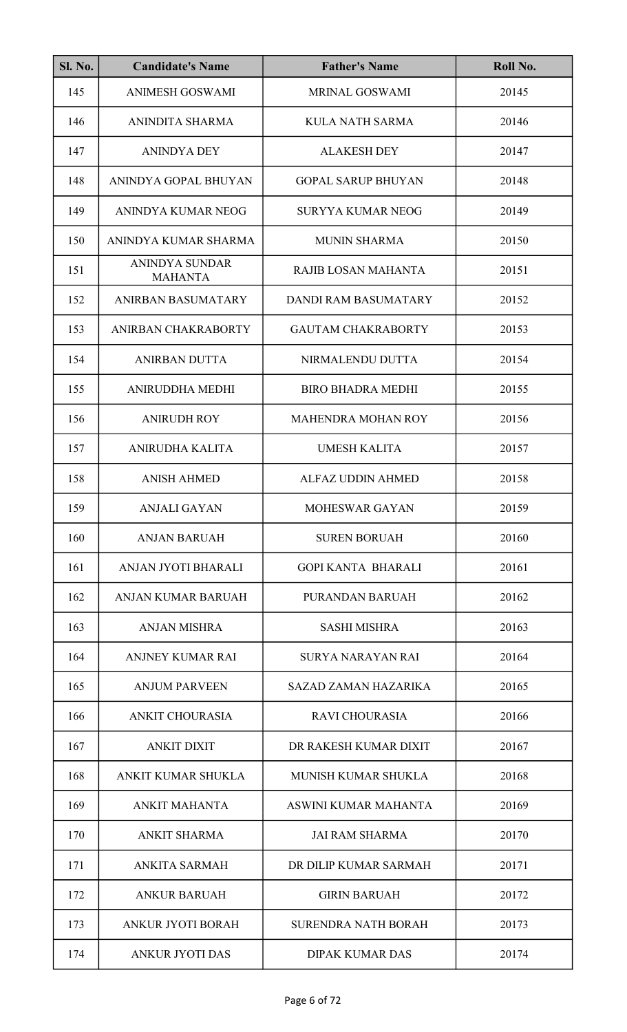| <b>Sl. No.</b> | <b>Candidate's Name</b>                 | <b>Father's Name</b>        | Roll No. |
|----------------|-----------------------------------------|-----------------------------|----------|
| 145            | <b>ANIMESH GOSWAMI</b>                  | MRINAL GOSWAMI              | 20145    |
| 146            | ANINDITA SHARMA                         | <b>KULA NATH SARMA</b>      | 20146    |
| 147            | <b>ANINDYA DEY</b>                      | <b>ALAKESH DEY</b>          | 20147    |
| 148            | ANINDYA GOPAL BHUYAN                    | <b>GOPAL SARUP BHUYAN</b>   | 20148    |
| 149            | ANINDYA KUMAR NEOG                      | <b>SURYYA KUMAR NEOG</b>    | 20149    |
| 150            | ANINDYA KUMAR SHARMA                    | <b>MUNIN SHARMA</b>         | 20150    |
| 151            | <b>ANINDYA SUNDAR</b><br><b>MAHANTA</b> | RAJIB LOSAN MAHANTA         | 20151    |
| 152            | <b>ANIRBAN BASUMATARY</b>               | <b>DANDI RAM BASUMATARY</b> | 20152    |
| 153            | ANIRBAN CHAKRABORTY                     | <b>GAUTAM CHAKRABORTY</b>   | 20153    |
| 154            | <b>ANIRBAN DUTTA</b>                    | NIRMALENDU DUTTA            | 20154    |
| 155            | ANIRUDDHA MEDHI                         | <b>BIRO BHADRA MEDHI</b>    | 20155    |
| 156            | <b>ANIRUDH ROY</b>                      | <b>MAHENDRA MOHAN ROY</b>   | 20156    |
| 157            | ANIRUDHA KALITA                         | <b>UMESH KALITA</b>         | 20157    |
| 158            | <b>ANISH AHMED</b>                      | <b>ALFAZ UDDIN AHMED</b>    | 20158    |
| 159            | ANJALI GAYAN                            | MOHESWAR GAYAN              | 20159    |
| 160            | <b>ANJAN BARUAH</b>                     | <b>SUREN BORUAH</b>         | 20160    |
| 161            | ANJAN JYOTI BHARALI                     | <b>GOPI KANTA BHARALI</b>   | 20161    |
| 162            | <b>ANJAN KUMAR BARUAH</b>               | PURANDAN BARUAH             | 20162    |
| 163            | <b>ANJAN MISHRA</b>                     | <b>SASHI MISHRA</b>         | 20163    |
| 164            | ANJNEY KUMAR RAI                        | SURYA NARAYAN RAI           | 20164    |
| 165            | <b>ANJUM PARVEEN</b>                    | SAZAD ZAMAN HAZARIKA        | 20165    |
| 166            | ANKIT CHOURASIA                         | <b>RAVI CHOURASIA</b>       | 20166    |
| 167            | <b>ANKIT DIXIT</b>                      | DR RAKESH KUMAR DIXIT       | 20167    |
| 168            | ANKIT KUMAR SHUKLA                      | <b>MUNISH KUMAR SHUKLA</b>  | 20168    |
| 169            | <b>ANKIT MAHANTA</b>                    | ASWINI KUMAR MAHANTA        | 20169    |
| 170            | <b>ANKIT SHARMA</b>                     | <b>JAI RAM SHARMA</b>       | 20170    |
| 171            | <b>ANKITA SARMAH</b>                    | DR DILIP KUMAR SARMAH       | 20171    |
| 172            | <b>ANKUR BARUAH</b>                     | <b>GIRIN BARUAH</b>         | 20172    |
| 173            | <b>ANKUR JYOTI BORAH</b>                | <b>SURENDRA NATH BORAH</b>  | 20173    |
| 174            | <b>ANKUR JYOTI DAS</b>                  | <b>DIPAK KUMAR DAS</b>      | 20174    |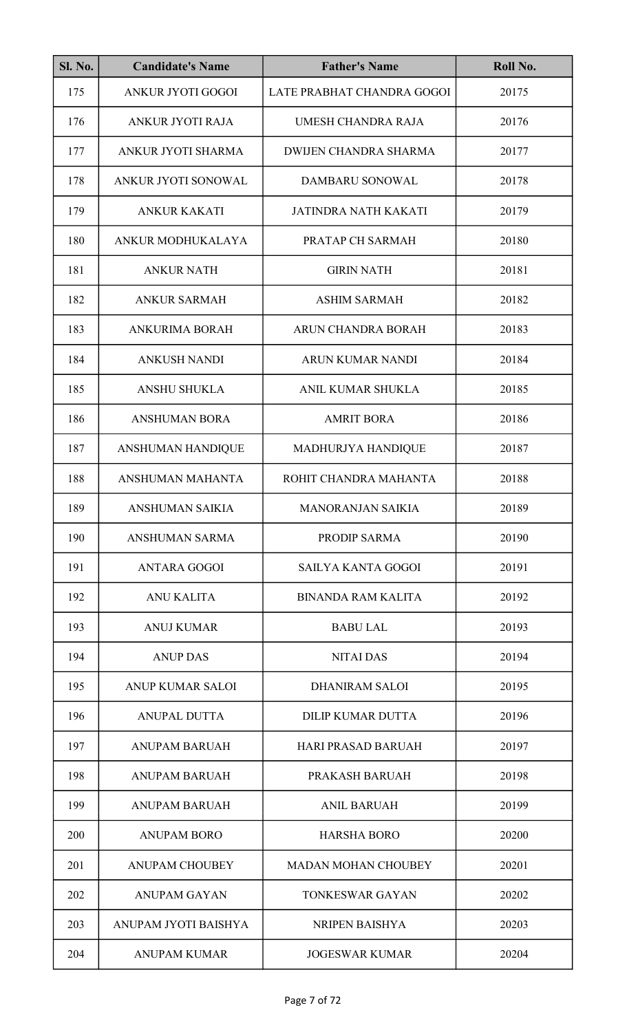| Sl. No. | <b>Candidate's Name</b>  | <b>Father's Name</b>         | Roll No. |
|---------|--------------------------|------------------------------|----------|
| 175     | <b>ANKUR JYOTI GOGOI</b> | LATE PRABHAT CHANDRA GOGOI   | 20175    |
| 176     | ANKUR JYOTI RAJA         | UMESH CHANDRA RAJA           | 20176    |
| 177     | ANKUR JYOTI SHARMA       | <b>DWIJEN CHANDRA SHARMA</b> | 20177    |
| 178     | ANKUR JYOTI SONOWAL      | DAMBARU SONOWAL              | 20178    |
| 179     | <b>ANKUR KAKATI</b>      | JATINDRA NATH KAKATI         | 20179    |
| 180     | ANKUR MODHUKALAYA        | PRATAP CH SARMAH             | 20180    |
| 181     | <b>ANKUR NATH</b>        | <b>GIRIN NATH</b>            | 20181    |
| 182     | <b>ANKUR SARMAH</b>      | <b>ASHIM SARMAH</b>          | 20182    |
| 183     | <b>ANKURIMA BORAH</b>    | ARUN CHANDRA BORAH           | 20183    |
| 184     | <b>ANKUSH NANDI</b>      | ARUN KUMAR NANDI             | 20184    |
| 185     | <b>ANSHU SHUKLA</b>      | ANIL KUMAR SHUKLA            | 20185    |
| 186     | <b>ANSHUMAN BORA</b>     | <b>AMRIT BORA</b>            | 20186    |
| 187     | ANSHUMAN HANDIQUE        | MADHURJYA HANDIQUE           | 20187    |
| 188     | ANSHUMAN MAHANTA         | ROHIT CHANDRA MAHANTA        | 20188    |
| 189     | ANSHUMAN SAIKIA          | <b>MANORANJAN SAIKIA</b>     | 20189    |
| 190     | <b>ANSHUMAN SARMA</b>    | PRODIP SARMA                 | 20190    |
| 191     | <b>ANTARA GOGOI</b>      | <b>SAILYA KANTA GOGOI</b>    | 20191    |
| 192     | <b>ANU KALITA</b>        | <b>BINANDA RAM KALITA</b>    | 20192    |
| 193     | <b>ANUJ KUMAR</b>        | <b>BABU LAL</b>              | 20193    |
| 194     | <b>ANUP DAS</b>          | <b>NITAI DAS</b>             | 20194    |
| 195     | <b>ANUP KUMAR SALOI</b>  | <b>DHANIRAM SALOI</b>        | 20195    |
| 196     | <b>ANUPAL DUTTA</b>      | <b>DILIP KUMAR DUTTA</b>     | 20196    |
| 197     | <b>ANUPAM BARUAH</b>     | <b>HARI PRASAD BARUAH</b>    | 20197    |
| 198     | <b>ANUPAM BARUAH</b>     | PRAKASH BARUAH               | 20198    |
| 199     | <b>ANUPAM BARUAH</b>     | <b>ANIL BARUAH</b>           | 20199    |
| 200     | <b>ANUPAM BORO</b>       | <b>HARSHA BORO</b>           | 20200    |
| 201     | <b>ANUPAM CHOUBEY</b>    | <b>MADAN MOHAN CHOUBEY</b>   | 20201    |
| 202     | <b>ANUPAM GAYAN</b>      | <b>TONKESWAR GAYAN</b>       | 20202    |
| 203     | ANUPAM JYOTI BAISHYA     | NRIPEN BAISHYA               | 20203    |
| 204     | <b>ANUPAM KUMAR</b>      | <b>JOGESWAR KUMAR</b>        | 20204    |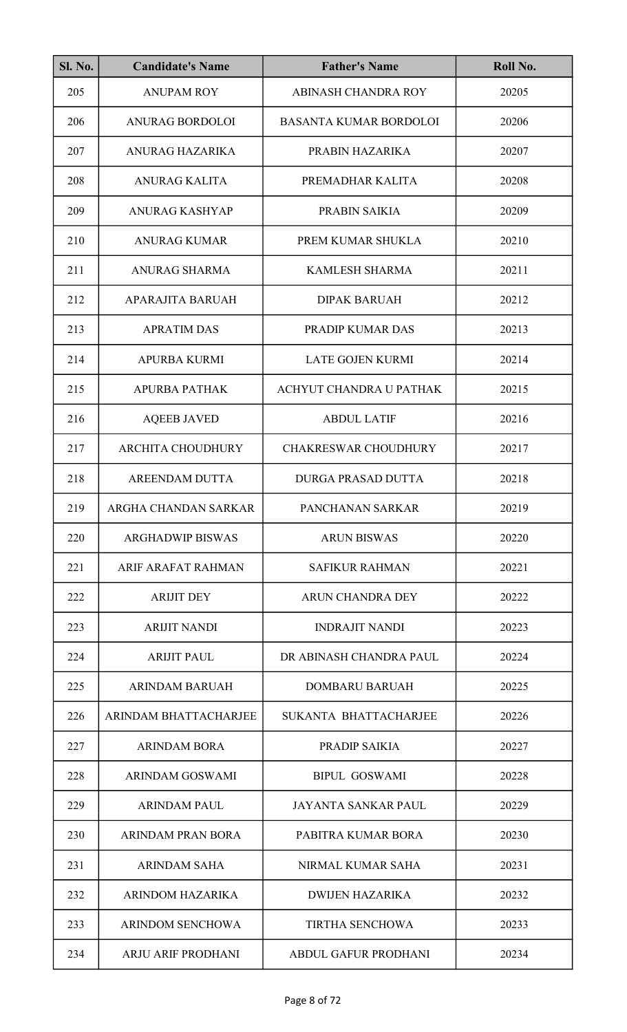| <b>Sl. No.</b> | <b>Candidate's Name</b>   | <b>Father's Name</b>          | Roll No. |
|----------------|---------------------------|-------------------------------|----------|
| 205            | <b>ANUPAM ROY</b>         | ABINASH CHANDRA ROY           | 20205    |
| 206            | <b>ANURAG BORDOLOI</b>    | <b>BASANTA KUMAR BORDOLOI</b> | 20206    |
| 207            | <b>ANURAG HAZARIKA</b>    | PRABIN HAZARIKA               | 20207    |
| 208            | <b>ANURAG KALITA</b>      | PREMADHAR KALITA              | 20208    |
| 209            | <b>ANURAG KASHYAP</b>     | PRABIN SAIKIA                 | 20209    |
| 210            | <b>ANURAG KUMAR</b>       | PREM KUMAR SHUKLA             | 20210    |
| 211            | <b>ANURAG SHARMA</b>      | <b>KAMLESH SHARMA</b>         | 20211    |
| 212            | APARAJITA BARUAH          | <b>DIPAK BARUAH</b>           | 20212    |
| 213            | <b>APRATIM DAS</b>        | PRADIP KUMAR DAS              | 20213    |
| 214            | <b>APURBA KURMI</b>       | <b>LATE GOJEN KURMI</b>       | 20214    |
| 215            | <b>APURBA PATHAK</b>      | ACHYUT CHANDRA U PATHAK       | 20215    |
| 216            | <b>AQEEB JAVED</b>        | <b>ABDUL LATIF</b>            | 20216    |
| 217            | <b>ARCHITA CHOUDHURY</b>  | <b>CHAKRESWAR CHOUDHURY</b>   | 20217    |
| 218            | AREENDAM DUTTA            | <b>DURGA PRASAD DUTTA</b>     | 20218    |
| 219            | ARGHA CHANDAN SARKAR      | PANCHANAN SARKAR              | 20219    |
| 220            | <b>ARGHADWIP BISWAS</b>   | <b>ARUN BISWAS</b>            | 20220    |
| 221            | ARIF ARAFAT RAHMAN        | <b>SAFIKUR RAHMAN</b>         | 20221    |
| 222            | <b>ARIJIT DEY</b>         | ARUN CHANDRA DEY              | 20222    |
| 223            | <b>ARIJIT NANDI</b>       | <b>INDRAJIT NANDI</b>         | 20223    |
| 224            | <b>ARIJIT PAUL</b>        | DR ABINASH CHANDRA PAUL       | 20224    |
| 225            | <b>ARINDAM BARUAH</b>     | <b>DOMBARU BARUAH</b>         | 20225    |
| 226            | ARINDAM BHATTACHARJEE     | SUKANTA BHATTACHARJEE         | 20226    |
| 227            | <b>ARINDAM BORA</b>       | PRADIP SAIKIA                 | 20227    |
| 228            | ARINDAM GOSWAMI           | <b>BIPUL GOSWAMI</b>          | 20228    |
| 229            | <b>ARINDAM PAUL</b>       | <b>JAYANTA SANKAR PAUL</b>    | 20229    |
| 230            | <b>ARINDAM PRAN BORA</b>  | PABITRA KUMAR BORA            | 20230    |
| 231            | <b>ARINDAM SAHA</b>       | NIRMAL KUMAR SAHA             | 20231    |
| 232            | <b>ARINDOM HAZARIKA</b>   | <b>DWIJEN HAZARIKA</b>        | 20232    |
| 233            | <b>ARINDOM SENCHOWA</b>   | <b>TIRTHA SENCHOWA</b>        | 20233    |
| 234            | <b>ARJU ARIF PRODHANI</b> | <b>ABDUL GAFUR PRODHANI</b>   | 20234    |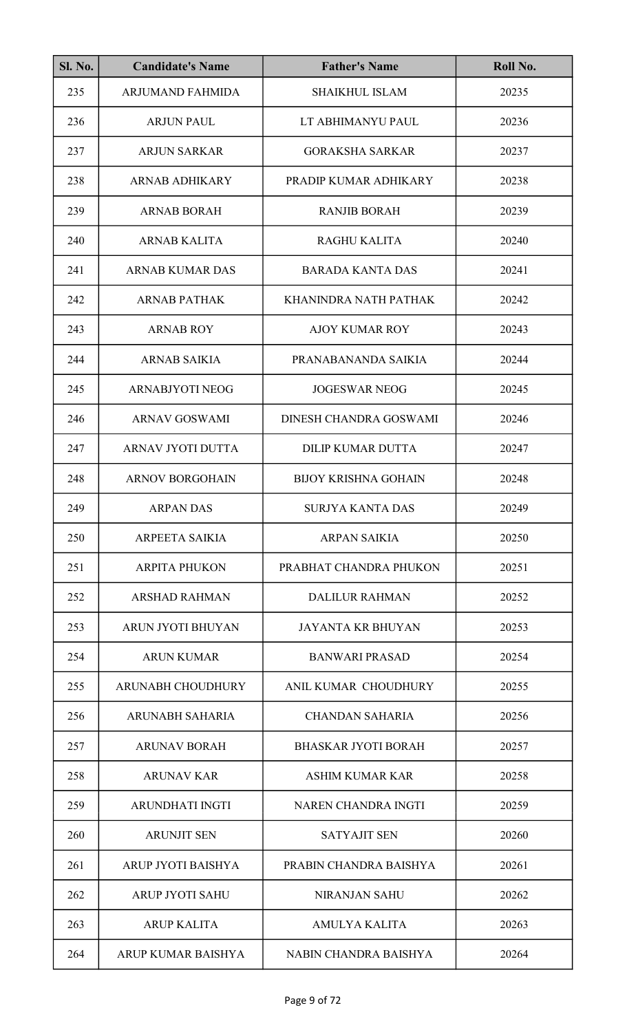| <b>Sl. No.</b> | <b>Candidate's Name</b>  | <b>Father's Name</b>        | Roll No. |
|----------------|--------------------------|-----------------------------|----------|
| 235            | <b>ARJUMAND FAHMIDA</b>  | <b>SHAIKHUL ISLAM</b>       | 20235    |
| 236            | <b>ARJUN PAUL</b>        | LT ABHIMANYU PAUL           | 20236    |
| 237            | <b>ARJUN SARKAR</b>      | <b>GORAKSHA SARKAR</b>      | 20237    |
| 238            | <b>ARNAB ADHIKARY</b>    | PRADIP KUMAR ADHIKARY       | 20238    |
| 239            | <b>ARNAB BORAH</b>       | <b>RANJIB BORAH</b>         | 20239    |
| 240            | <b>ARNAB KALITA</b>      | <b>RAGHU KALITA</b>         | 20240    |
| 241            | <b>ARNAB KUMAR DAS</b>   | <b>BARADA KANTA DAS</b>     | 20241    |
| 242            | <b>ARNAB PATHAK</b>      | KHANINDRA NATH PATHAK       | 20242    |
| 243            | <b>ARNAB ROY</b>         | <b>AJOY KUMAR ROY</b>       | 20243    |
| 244            | <b>ARNAB SAIKIA</b>      | PRANABANANDA SAIKIA         | 20244    |
| 245            | ARNABJYOTI NEOG          | <b>JOGESWAR NEOG</b>        | 20245    |
| 246            | <b>ARNAV GOSWAMI</b>     | DINESH CHANDRA GOSWAMI      | 20246    |
| 247            | <b>ARNAV JYOTI DUTTA</b> | <b>DILIP KUMAR DUTTA</b>    | 20247    |
| 248            | <b>ARNOV BORGOHAIN</b>   | <b>BIJOY KRISHNA GOHAIN</b> | 20248    |
| 249            | <b>ARPAN DAS</b>         | <b>SURJYA KANTA DAS</b>     | 20249    |
| 250            | <b>ARPEETA SAIKIA</b>    | <b>ARPAN SAIKIA</b>         | 20250    |
| 251            | <b>ARPITA PHUKON</b>     | PRABHAT CHANDRA PHUKON      | 20251    |
| 252            | <b>ARSHAD RAHMAN</b>     | <b>DALILUR RAHMAN</b>       | 20252    |
| 253            | ARUN JYOTI BHUYAN        | <b>JAYANTA KR BHUYAN</b>    | 20253    |
| 254            | <b>ARUN KUMAR</b>        | <b>BANWARI PRASAD</b>       | 20254    |
| 255            | ARUNABH CHOUDHURY        | ANIL KUMAR CHOUDHURY        | 20255    |
| 256            | ARUNABH SAHARIA          | <b>CHANDAN SAHARIA</b>      | 20256    |
| 257            | <b>ARUNAV BORAH</b>      | <b>BHASKAR JYOTI BORAH</b>  | 20257    |
| 258            | <b>ARUNAV KAR</b>        | <b>ASHIM KUMAR KAR</b>      | 20258    |
| 259            | <b>ARUNDHATI INGTI</b>   | NAREN CHANDRA INGTI         | 20259    |
| 260            | <b>ARUNJIT SEN</b>       | <b>SATYAJIT SEN</b>         | 20260    |
| 261            | ARUP JYOTI BAISHYA       | PRABIN CHANDRA BAISHYA      | 20261    |
| 262            | <b>ARUP JYOTI SAHU</b>   | <b>NIRANJAN SAHU</b>        | 20262    |
| 263            | <b>ARUP KALITA</b>       | <b>AMULYA KALITA</b>        | 20263    |
| 264            | ARUP KUMAR BAISHYA       | NABIN CHANDRA BAISHYA       | 20264    |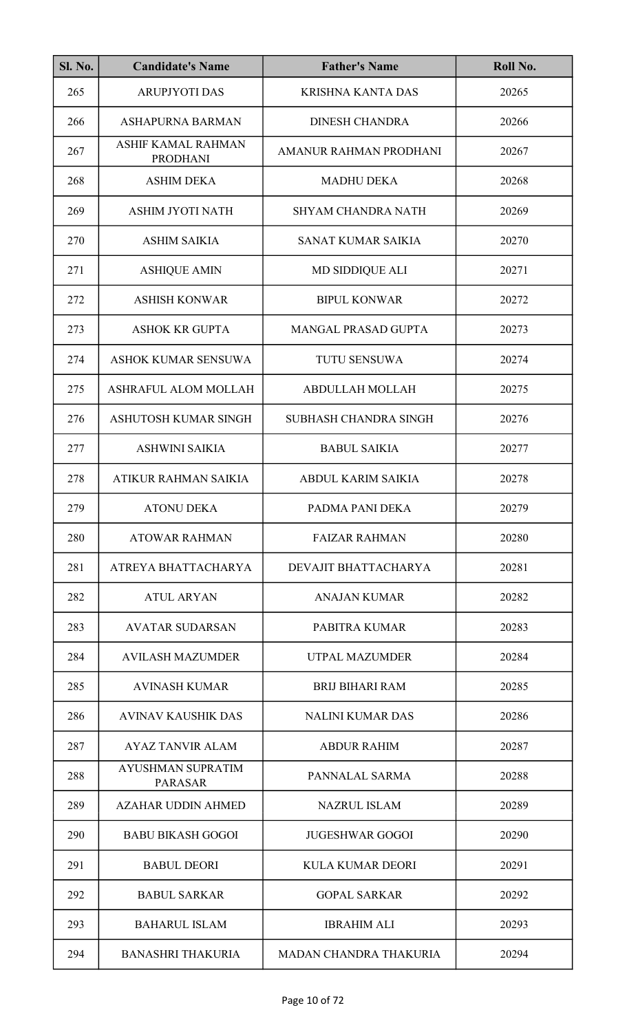| <b>Sl. No.</b> | <b>Candidate's Name</b>                    | <b>Father's Name</b>          | Roll No. |
|----------------|--------------------------------------------|-------------------------------|----------|
| 265            | <b>ARUPJYOTI DAS</b>                       | <b>KRISHNA KANTA DAS</b>      | 20265    |
| 266            | ASHAPURNA BARMAN                           | <b>DINESH CHANDRA</b>         | 20266    |
| 267            | ASHIF KAMAL RAHMAN<br><b>PRODHANI</b>      | AMANUR RAHMAN PRODHANI        | 20267    |
| 268            | <b>ASHIM DEKA</b>                          | <b>MADHU DEKA</b>             | 20268    |
| 269            | <b>ASHIM JYOTI NATH</b>                    | <b>SHYAM CHANDRA NATH</b>     | 20269    |
| 270            | <b>ASHIM SAIKIA</b>                        | SANAT KUMAR SAIKIA            | 20270    |
| 271            | <b>ASHIQUE AMIN</b>                        | MD SIDDIQUE ALI               | 20271    |
| 272            | <b>ASHISH KONWAR</b>                       | <b>BIPUL KONWAR</b>           | 20272    |
| 273            | <b>ASHOK KR GUPTA</b>                      | MANGAL PRASAD GUPTA           | 20273    |
| 274            | <b>ASHOK KUMAR SENSUWA</b>                 | <b>TUTU SENSUWA</b>           | 20274    |
| 275            | <b>ASHRAFUL ALOM MOLLAH</b>                | ABDULLAH MOLLAH               | 20275    |
| 276            | ASHUTOSH KUMAR SINGH                       | SUBHASH CHANDRA SINGH         | 20276    |
| 277            | <b>ASHWINI SAIKIA</b>                      | <b>BABUL SAIKIA</b>           | 20277    |
| 278            | <b>ATIKUR RAHMAN SAIKIA</b>                | <b>ABDUL KARIM SAIKIA</b>     | 20278    |
| 279            | <b>ATONU DEKA</b>                          | PADMA PANI DEKA               | 20279    |
| 280            | <b>ATOWAR RAHMAN</b>                       | <b>FAIZAR RAHMAN</b>          | 20280    |
| 281            | ATREYA BHATTACHARYA                        | DEVAJIT BHATTACHARYA          | 20281    |
| 282            | <b>ATUL ARYAN</b>                          | ANAJAN KUMAR                  | 20282    |
| 283            | <b>AVATAR SUDARSAN</b>                     | PABITRA KUMAR                 | 20283    |
| 284            | <b>AVILASH MAZUMDER</b>                    | <b>UTPAL MAZUMDER</b>         | 20284    |
| 285            | <b>AVINASH KUMAR</b>                       | <b>BRIJ BIHARI RAM</b>        | 20285    |
| 286            | <b>AVINAV KAUSHIK DAS</b>                  | <b>NALINI KUMAR DAS</b>       | 20286    |
| 287            | <b>AYAZ TANVIR ALAM</b>                    | <b>ABDUR RAHIM</b>            | 20287    |
| 288            | <b>AYUSHMAN SUPRATIM</b><br><b>PARASAR</b> | PANNALAL SARMA                | 20288    |
| 289            | <b>AZAHAR UDDIN AHMED</b>                  | <b>NAZRUL ISLAM</b>           | 20289    |
| 290            | <b>BABU BIKASH GOGOI</b>                   | <b>JUGESHWAR GOGOI</b>        | 20290    |
| 291            | <b>BABUL DEORI</b>                         | <b>KULA KUMAR DEORI</b>       | 20291    |
| 292            | <b>BABUL SARKAR</b>                        | <b>GOPAL SARKAR</b>           | 20292    |
| 293            | <b>BAHARUL ISLAM</b>                       | <b>IBRAHIM ALI</b>            | 20293    |
| 294            | <b>BANASHRI THAKURIA</b>                   | <b>MADAN CHANDRA THAKURIA</b> | 20294    |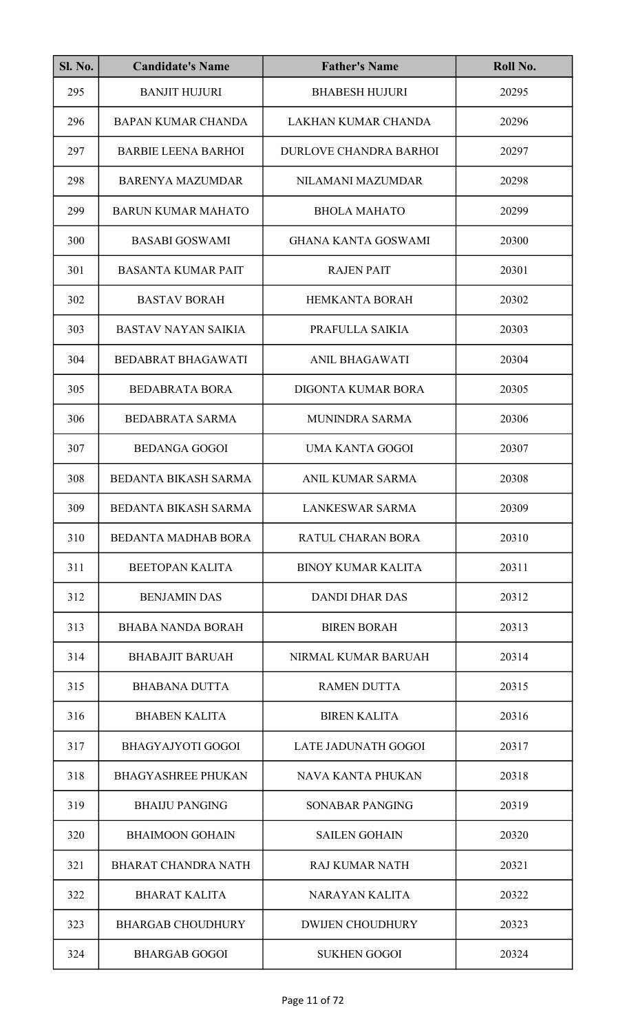| <b>Sl. No.</b> | <b>Candidate's Name</b>    | <b>Father's Name</b>          | Roll No. |
|----------------|----------------------------|-------------------------------|----------|
| 295            | <b>BANJIT HUJURI</b>       | <b>BHABESH HUJURI</b>         | 20295    |
| 296            | <b>BAPAN KUMAR CHANDA</b>  | LAKHAN KUMAR CHANDA           | 20296    |
| 297            | <b>BARBIE LEENA BARHOI</b> | <b>DURLOVE CHANDRA BARHOI</b> | 20297    |
| 298            | <b>BARENYA MAZUMDAR</b>    | NILAMANI MAZUMDAR             | 20298    |
| 299            | <b>BARUN KUMAR MAHATO</b>  | <b>BHOLA MAHATO</b>           | 20299    |
| 300            | <b>BASABI GOSWAMI</b>      | <b>GHANA KANTA GOSWAMI</b>    | 20300    |
| 301            | <b>BASANTA KUMAR PAIT</b>  | <b>RAJEN PAIT</b>             | 20301    |
| 302            | <b>BASTAV BORAH</b>        | <b>HEMKANTA BORAH</b>         | 20302    |
| 303            | <b>BASTAV NAYAN SAIKIA</b> | PRAFULLA SAIKIA               | 20303    |
| 304            | <b>BEDABRAT BHAGAWATI</b>  | <b>ANIL BHAGAWATI</b>         | 20304    |
| 305            | <b>BEDABRATA BORA</b>      | <b>DIGONTA KUMAR BORA</b>     | 20305    |
| 306            | <b>BEDABRATA SARMA</b>     | <b>MUNINDRA SARMA</b>         | 20306    |
| 307            | <b>BEDANGA GOGOI</b>       | <b>UMA KANTA GOGOI</b>        | 20307    |
| 308            | BEDANTA BIKASH SARMA       | ANIL KUMAR SARMA              | 20308    |
| 309            | BEDANTA BIKASH SARMA       | LANKESWAR SARMA               | 20309    |
| 310            | <b>BEDANTA MADHAB BORA</b> | <b>RATUL CHARAN BORA</b>      | 20310    |
| 311            | <b>BEETOPAN KALITA</b>     | <b>BINOY KUMAR KALITA</b>     | 20311    |
| 312            | <b>BENJAMIN DAS</b>        | DANDI DHAR DAS                | 20312    |
| 313            | <b>BHABA NANDA BORAH</b>   | <b>BIREN BORAH</b>            | 20313    |
| 314            | <b>BHABAJIT BARUAH</b>     | NIRMAL KUMAR BARUAH           | 20314    |
| 315            | <b>BHABANA DUTTA</b>       | <b>RAMEN DUTTA</b>            | 20315    |
| 316            | <b>BHABEN KALITA</b>       | <b>BIREN KALITA</b>           | 20316    |
| 317            | BHAGYAJYOTI GOGOI          | <b>LATE JADUNATH GOGOI</b>    | 20317    |
| 318            | <b>BHAGYASHREE PHUKAN</b>  | NAVA KANTA PHUKAN             | 20318    |
| 319            | <b>BHAIJU PANGING</b>      | <b>SONABAR PANGING</b>        | 20319    |
| 320            | <b>BHAIMOON GOHAIN</b>     | <b>SAILEN GOHAIN</b>          | 20320    |
| 321            | <b>BHARAT CHANDRA NATH</b> | <b>RAJ KUMAR NATH</b>         | 20321    |
| 322            | <b>BHARAT KALITA</b>       | <b>NARAYAN KALITA</b>         | 20322    |
| 323            | <b>BHARGAB CHOUDHURY</b>   | <b>DWIJEN CHOUDHURY</b>       | 20323    |
| 324            | <b>BHARGAB GOGOI</b>       | <b>SUKHEN GOGOI</b>           | 20324    |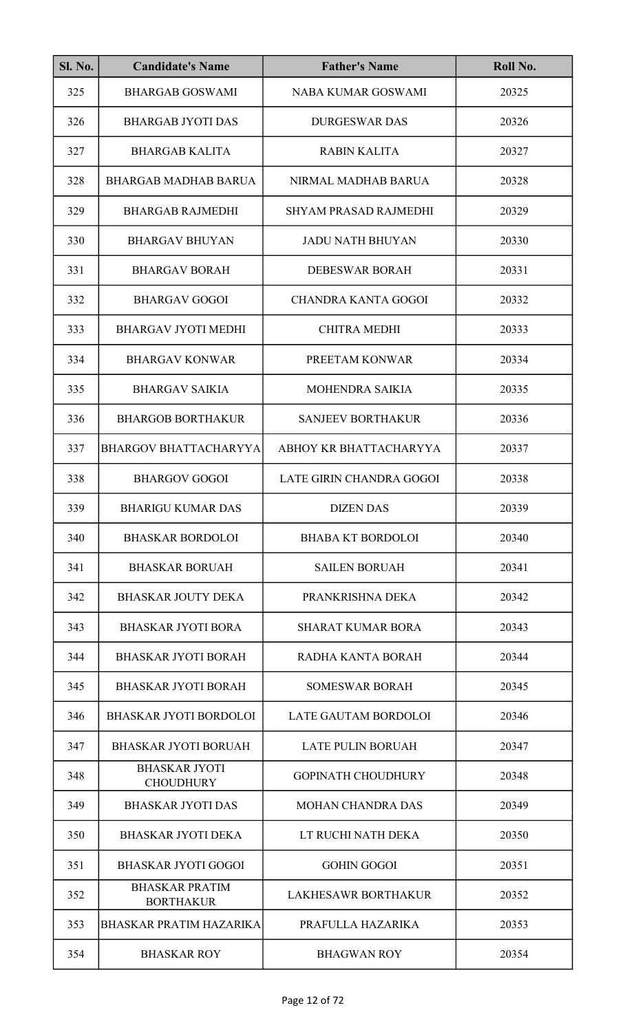| <b>Sl. No.</b> | <b>Candidate's Name</b>                   | <b>Father's Name</b>         | Roll No. |
|----------------|-------------------------------------------|------------------------------|----------|
| 325            | <b>BHARGAB GOSWAMI</b>                    | NABA KUMAR GOSWAMI           | 20325    |
| 326            | <b>BHARGAB JYOTI DAS</b>                  | <b>DURGESWAR DAS</b>         | 20326    |
| 327            | <b>BHARGAB KALITA</b>                     | <b>RABIN KALITA</b>          | 20327    |
| 328            | <b>BHARGAB MADHAB BARUA</b>               | NIRMAL MADHAB BARUA          | 20328    |
| 329            | <b>BHARGAB RAJMEDHI</b>                   | <b>SHYAM PRASAD RAJMEDHI</b> | 20329    |
| 330            | <b>BHARGAV BHUYAN</b>                     | <b>JADU NATH BHUYAN</b>      | 20330    |
| 331            | <b>BHARGAV BORAH</b>                      | <b>DEBESWAR BORAH</b>        | 20331    |
| 332            | <b>BHARGAV GOGOI</b>                      | <b>CHANDRA KANTA GOGOI</b>   | 20332    |
| 333            | <b>BHARGAV JYOTI MEDHI</b>                | <b>CHITRA MEDHI</b>          | 20333    |
| 334            | <b>BHARGAV KONWAR</b>                     | PREETAM KONWAR               | 20334    |
| 335            | <b>BHARGAV SAIKIA</b>                     | <b>MOHENDRA SAIKIA</b>       | 20335    |
| 336            | <b>BHARGOB BORTHAKUR</b>                  | <b>SANJEEV BORTHAKUR</b>     | 20336    |
| 337            | <b>BHARGOV BHATTACHARYYA</b>              | ABHOY KR BHATTACHARYYA       | 20337    |
| 338            | <b>BHARGOV GOGOI</b>                      | LATE GIRIN CHANDRA GOGOI     | 20338    |
| 339            | <b>BHARIGU KUMAR DAS</b>                  | <b>DIZEN DAS</b>             | 20339    |
| 340            | <b>BHASKAR BORDOLOI</b>                   | <b>BHABA KT BORDOLOI</b>     | 20340    |
| 341            | <b>BHASKAR BORUAH</b>                     | <b>SAILEN BORUAH</b>         | 20341    |
| 342            | <b>BHASKAR JOUTY DEKA</b>                 | PRANKRISHNA DEKA             | 20342    |
| 343            | <b>BHASKAR JYOTI BORA</b>                 | <b>SHARAT KUMAR BORA</b>     | 20343    |
| 344            | <b>BHASKAR JYOTI BORAH</b>                | RADHA KANTA BORAH            | 20344    |
| 345            | <b>BHASKAR JYOTI BORAH</b>                | <b>SOMESWAR BORAH</b>        | 20345    |
| 346            | <b>BHASKAR JYOTI BORDOLOI</b>             | LATE GAUTAM BORDOLOI         | 20346    |
| 347            | <b>BHASKAR JYOTI BORUAH</b>               | <b>LATE PULIN BORUAH</b>     | 20347    |
| 348            | <b>BHASKAR JYOTI</b><br><b>CHOUDHURY</b>  | <b>GOPINATH CHOUDHURY</b>    | 20348    |
| 349            | <b>BHASKAR JYOTI DAS</b>                  | <b>MOHAN CHANDRA DAS</b>     | 20349    |
| 350            | <b>BHASKAR JYOTI DEKA</b>                 | LT RUCHI NATH DEKA           | 20350    |
| 351            | <b>BHASKAR JYOTI GOGOI</b>                | <b>GOHIN GOGOI</b>           | 20351    |
| 352            | <b>BHASKAR PRATIM</b><br><b>BORTHAKUR</b> | <b>LAKHESAWR BORTHAKUR</b>   | 20352    |
| 353            | <b>BHASKAR PRATIM HAZARIKA</b>            | PRAFULLA HAZARIKA            | 20353    |
| 354            | <b>BHASKAR ROY</b>                        | <b>BHAGWAN ROY</b>           | 20354    |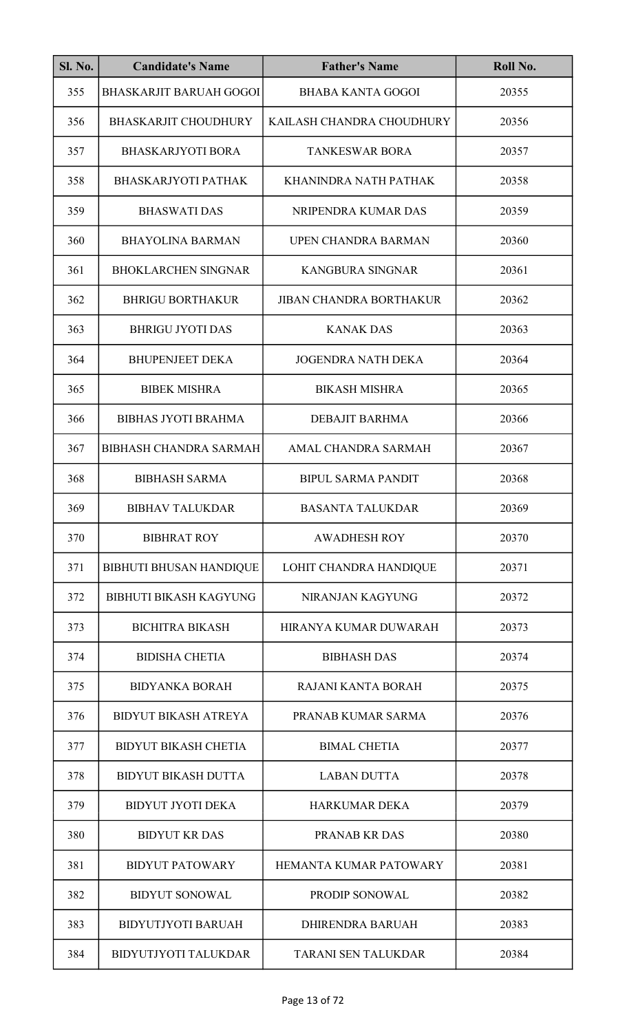| <b>Sl. No.</b> | <b>Candidate's Name</b>        | <b>Father's Name</b>           | Roll No. |
|----------------|--------------------------------|--------------------------------|----------|
| 355            | <b>BHASKARJIT BARUAH GOGOI</b> | <b>BHABA KANTA GOGOI</b>       | 20355    |
| 356            | <b>BHASKARJIT CHOUDHURY</b>    | KAILASH CHANDRA CHOUDHURY      | 20356    |
| 357            | <b>BHASKARJYOTI BORA</b>       | <b>TANKESWAR BORA</b>          | 20357    |
| 358            | <b>BHASKARJYOTI PATHAK</b>     | KHANINDRA NATH PATHAK          | 20358    |
| 359            | <b>BHASWATI DAS</b>            | NRIPENDRA KUMAR DAS            | 20359    |
| 360            | <b>BHAYOLINA BARMAN</b>        | UPEN CHANDRA BARMAN            | 20360    |
| 361            | <b>BHOKLARCHEN SINGNAR</b>     | <b>KANGBURA SINGNAR</b>        | 20361    |
| 362            | <b>BHRIGU BORTHAKUR</b>        | <b>JIBAN CHANDRA BORTHAKUR</b> | 20362    |
| 363            | <b>BHRIGU JYOTI DAS</b>        | <b>KANAK DAS</b>               | 20363    |
| 364            | <b>BHUPENJEET DEKA</b>         | <b>JOGENDRA NATH DEKA</b>      | 20364    |
| 365            | <b>BIBEK MISHRA</b>            | <b>BIKASH MISHRA</b>           | 20365    |
| 366            | <b>BIBHAS JYOTI BRAHMA</b>     | <b>DEBAJIT BARHMA</b>          | 20366    |
| 367            | <b>BIBHASH CHANDRA SARMAH</b>  | AMAL CHANDRA SARMAH            | 20367    |
| 368            | <b>BIBHASH SARMA</b>           | <b>BIPUL SARMA PANDIT</b>      | 20368    |
| 369            | <b>BIBHAV TALUKDAR</b>         | <b>BASANTA TALUKDAR</b>        | 20369    |
| 370            | <b>BIBHRAT ROY</b>             | <b>AWADHESH ROY</b>            | 20370    |
| 371            | <b>BIBHUTI BHUSAN HANDIQUE</b> | LOHIT CHANDRA HANDIQUE         | 20371    |
| 372            | <b>BIBHUTI BIKASH KAGYUNG</b>  | NIRANJAN KAGYUNG               | 20372    |
| 373            | <b>BICHITRA BIKASH</b>         | HIRANYA KUMAR DUWARAH          | 20373    |
| 374            | <b>BIDISHA CHETIA</b>          | <b>BIBHASH DAS</b>             | 20374    |
| 375            | <b>BIDYANKA BORAH</b>          | <b>RAJANI KANTA BORAH</b>      | 20375    |
| 376            | <b>BIDYUT BIKASH ATREYA</b>    | PRANAB KUMAR SARMA             | 20376    |
| 377            | <b>BIDYUT BIKASH CHETIA</b>    | <b>BIMAL CHETIA</b>            | 20377    |
| 378            | <b>BIDYUT BIKASH DUTTA</b>     | <b>LABAN DUTTA</b>             | 20378    |
| 379            | <b>BIDYUT JYOTI DEKA</b>       | <b>HARKUMAR DEKA</b>           | 20379    |
| 380            | <b>BIDYUT KR DAS</b>           | PRANAB KR DAS                  | 20380    |
| 381            | <b>BIDYUT PATOWARY</b>         | HEMANTA KUMAR PATOWARY         | 20381    |
| 382            | <b>BIDYUT SONOWAL</b>          | <b>PRODIP SONOWAL</b>          | 20382    |
| 383            | <b>BIDYUTJYOTI BARUAH</b>      | <b>DHIRENDRA BARUAH</b>        | 20383    |
| 384            | <b>BIDYUTJYOTI TALUKDAR</b>    | <b>TARANI SEN TALUKDAR</b>     | 20384    |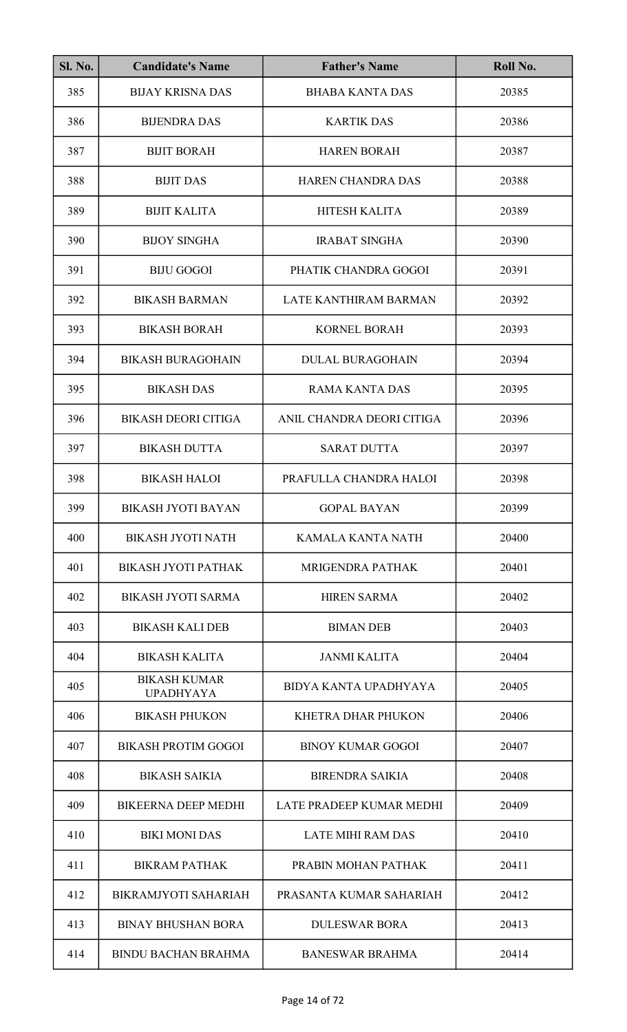| <b>Sl. No.</b> | <b>Candidate's Name</b>                 | <b>Father's Name</b>         | Roll No. |
|----------------|-----------------------------------------|------------------------------|----------|
| 385            | <b>BIJAY KRISNA DAS</b>                 | <b>BHABA KANTA DAS</b>       | 20385    |
| 386            | <b>BIJENDRA DAS</b>                     | <b>KARTIK DAS</b>            | 20386    |
| 387            | <b>BIJIT BORAH</b>                      | <b>HAREN BORAH</b>           | 20387    |
| 388            | <b>BIJIT DAS</b>                        | <b>HAREN CHANDRA DAS</b>     | 20388    |
| 389            | <b>BIJIT KALITA</b>                     | HITESH KALITA                | 20389    |
| 390            | <b>BIJOY SINGHA</b>                     | <b>IRABAT SINGHA</b>         | 20390    |
| 391            | <b>BIJU GOGOI</b>                       | PHATIK CHANDRA GOGOI         | 20391    |
| 392            | <b>BIKASH BARMAN</b>                    | <b>LATE KANTHIRAM BARMAN</b> | 20392    |
| 393            | <b>BIKASH BORAH</b>                     | <b>KORNEL BORAH</b>          | 20393    |
| 394            | <b>BIKASH BURAGOHAIN</b>                | <b>DULAL BURAGOHAIN</b>      | 20394    |
| 395            | <b>BIKASH DAS</b>                       | <b>RAMA KANTA DAS</b>        | 20395    |
| 396            | <b>BIKASH DEORI CITIGA</b>              | ANIL CHANDRA DEORI CITIGA    | 20396    |
| 397            | <b>BIKASH DUTTA</b>                     | <b>SARAT DUTTA</b>           | 20397    |
| 398            | <b>BIKASH HALOI</b>                     | PRAFULLA CHANDRA HALOI       | 20398    |
| 399            | <b>BIKASH JYOTI BAYAN</b>               | <b>GOPAL BAYAN</b>           | 20399    |
| 400            | <b>BIKASH JYOTI NATH</b>                | <b>KAMALA KANTA NATH</b>     | 20400    |
| 401            | <b>BIKASH JYOTI PATHAK</b>              | <b>MRIGENDRA PATHAK</b>      | 20401    |
| 402            | <b>BIKASH JYOTI SARMA</b>               | <b>HIREN SARMA</b>           | 20402    |
| 403            | <b>BIKASH KALI DEB</b>                  | <b>BIMAN DEB</b>             | 20403    |
| 404            | <b>BIKASH KALITA</b>                    | <b>JANMI KALITA</b>          | 20404    |
| 405            | <b>BIKASH KUMAR</b><br><b>UPADHYAYA</b> | BIDYA KANTA UPADHYAYA        | 20405    |
| 406            | <b>BIKASH PHUKON</b>                    | KHETRA DHAR PHUKON           | 20406    |
| 407            | <b>BIKASH PROTIM GOGOI</b>              | <b>BINOY KUMAR GOGOI</b>     | 20407    |
| 408            | <b>BIKASH SAIKIA</b>                    | <b>BIRENDRA SAIKIA</b>       | 20408    |
| 409            | <b>BIKEERNA DEEP MEDHI</b>              | LATE PRADEEP KUMAR MEDHI     | 20409    |
| 410            | <b>BIKI MONI DAS</b>                    | <b>LATE MIHI RAM DAS</b>     | 20410    |
| 411            | <b>BIKRAM PATHAK</b>                    | PRABIN MOHAN PATHAK          | 20411    |
| 412            | <b>BIKRAMJYOTI SAHARIAH</b>             | PRASANTA KUMAR SAHARIAH      | 20412    |
| 413            | <b>BINAY BHUSHAN BORA</b>               | <b>DULESWAR BORA</b>         | 20413    |
| 414            | <b>BINDU BACHAN BRAHMA</b>              | <b>BANESWAR BRAHMA</b>       | 20414    |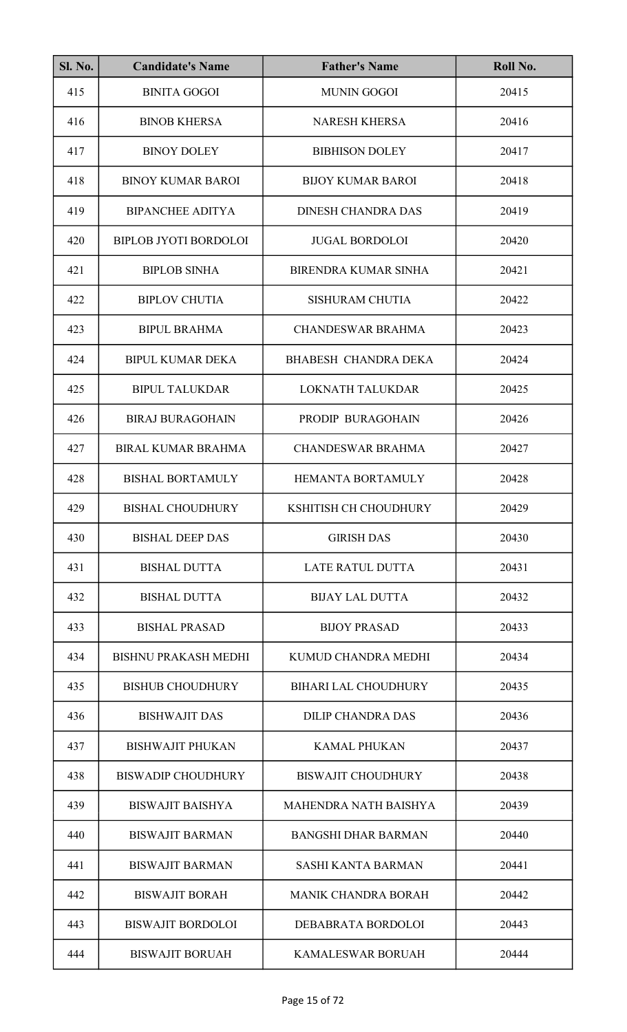| <b>Sl. No.</b> | <b>Candidate's Name</b>      | <b>Father's Name</b>         | Roll No. |
|----------------|------------------------------|------------------------------|----------|
| 415            | <b>BINITA GOGOI</b>          | <b>MUNIN GOGOI</b>           | 20415    |
| 416            | <b>BINOB KHERSA</b>          | <b>NARESH KHERSA</b>         | 20416    |
| 417            | <b>BINOY DOLEY</b>           | <b>BIBHISON DOLEY</b>        | 20417    |
| 418            | <b>BINOY KUMAR BAROI</b>     | <b>BIJOY KUMAR BAROI</b>     | 20418    |
| 419            | <b>BIPANCHEE ADITYA</b>      | <b>DINESH CHANDRA DAS</b>    | 20419    |
| 420            | <b>BIPLOB JYOTI BORDOLOI</b> | <b>JUGAL BORDOLOI</b>        | 20420    |
| 421            | <b>BIPLOB SINHA</b>          | <b>BIRENDRA KUMAR SINHA</b>  | 20421    |
| 422            | <b>BIPLOV CHUTIA</b>         | <b>SISHURAM CHUTIA</b>       | 20422    |
| 423            | <b>BIPUL BRAHMA</b>          | <b>CHANDESWAR BRAHMA</b>     | 20423    |
| 424            | <b>BIPUL KUMAR DEKA</b>      | BHABESH CHANDRA DEKA         | 20424    |
| 425            | <b>BIPUL TALUKDAR</b>        | LOKNATH TALUKDAR             | 20425    |
| 426            | <b>BIRAJ BURAGOHAIN</b>      | PRODIP BURAGOHAIN            | 20426    |
| 427            | <b>BIRAL KUMAR BRAHMA</b>    | <b>CHANDESWAR BRAHMA</b>     | 20427    |
| 428            | <b>BISHAL BORTAMULY</b>      | HEMANTA BORTAMULY            | 20428    |
| 429            | <b>BISHAL CHOUDHURY</b>      | KSHITISH CH CHOUDHURY        | 20429    |
| 430            | <b>BISHAL DEEP DAS</b>       | <b>GIRISH DAS</b>            | 20430    |
| 431            | <b>BISHAL DUTTA</b>          | <b>LATE RATUL DUTTA</b>      | 20431    |
| 432            | <b>BISHAL DUTTA</b>          | <b>BIJAY LAL DUTTA</b>       | 20432    |
| 433            | <b>BISHAL PRASAD</b>         | <b>BIJOY PRASAD</b>          | 20433    |
| 434            | <b>BISHNU PRAKASH MEDHI</b>  | KUMUD CHANDRA MEDHI          | 20434    |
| 435            | <b>BISHUB CHOUDHURY</b>      | <b>BIHARI LAL CHOUDHURY</b>  | 20435    |
| 436            | <b>BISHWAJIT DAS</b>         | <b>DILIP CHANDRA DAS</b>     | 20436    |
| 437            | <b>BISHWAJIT PHUKAN</b>      | <b>KAMAL PHUKAN</b>          | 20437    |
| 438            | <b>BISWADIP CHOUDHURY</b>    | <b>BISWAJIT CHOUDHURY</b>    | 20438    |
| 439            | <b>BISWAJIT BAISHYA</b>      | <b>MAHENDRA NATH BAISHYA</b> | 20439    |
| 440            | <b>BISWAJIT BARMAN</b>       | <b>BANGSHI DHAR BARMAN</b>   | 20440    |
| 441            | <b>BISWAJIT BARMAN</b>       | <b>SASHI KANTA BARMAN</b>    | 20441    |
| 442            | <b>BISWAJIT BORAH</b>        | <b>MANIK CHANDRA BORAH</b>   | 20442    |
| 443            | <b>BISWAJIT BORDOLOI</b>     | DEBABRATA BORDOLOI           | 20443    |
| 444            | <b>BISWAJIT BORUAH</b>       | <b>KAMALESWAR BORUAH</b>     | 20444    |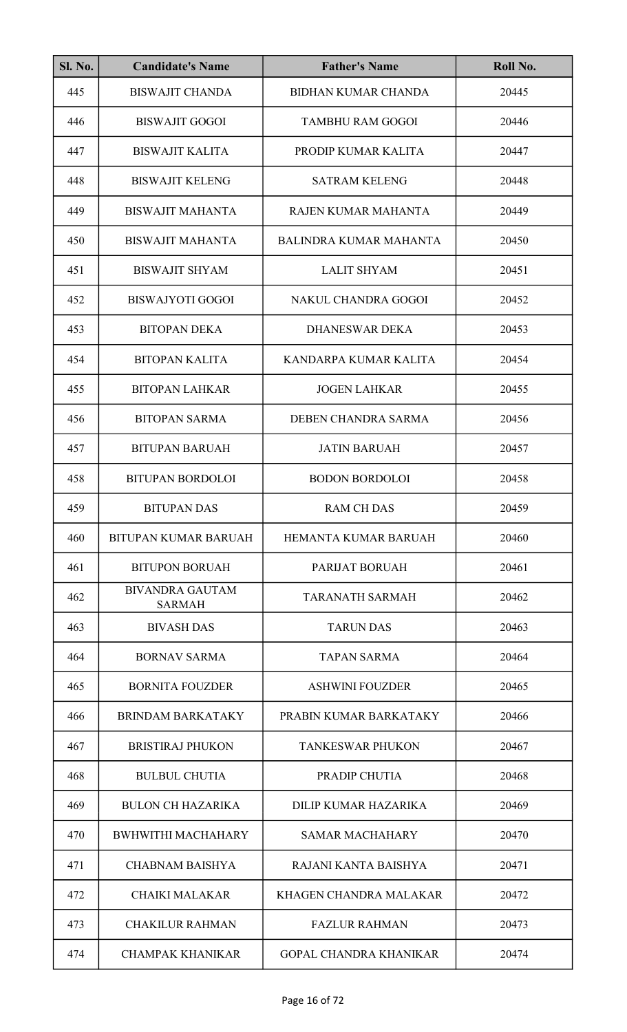| <b>Sl. No.</b> | <b>Candidate's Name</b>                 | <b>Father's Name</b>          | Roll No. |
|----------------|-----------------------------------------|-------------------------------|----------|
| 445            | <b>BISWAJIT CHANDA</b>                  | <b>BIDHAN KUMAR CHANDA</b>    | 20445    |
| 446            | <b>BISWAJIT GOGOI</b>                   | <b>TAMBHU RAM GOGOI</b>       | 20446    |
| 447            | <b>BISWAJIT KALITA</b>                  | PRODIP KUMAR KALITA           | 20447    |
| 448            | <b>BISWAJIT KELENG</b>                  | <b>SATRAM KELENG</b>          | 20448    |
| 449            | <b>BISWAJIT MAHANTA</b>                 | RAJEN KUMAR MAHANTA           | 20449    |
| 450            | <b>BISWAJIT MAHANTA</b>                 | <b>BALINDRA KUMAR MAHANTA</b> | 20450    |
| 451            | <b>BISWAJIT SHYAM</b>                   | <b>LALIT SHYAM</b>            | 20451    |
| 452            | <b>BISWAJYOTI GOGOI</b>                 | NAKUL CHANDRA GOGOI           | 20452    |
| 453            | <b>BITOPAN DEKA</b>                     | <b>DHANESWAR DEKA</b>         | 20453    |
| 454            | <b>BITOPAN KALITA</b>                   | KANDARPA KUMAR KALITA         | 20454    |
| 455            | <b>BITOPAN LAHKAR</b>                   | <b>JOGEN LAHKAR</b>           | 20455    |
| 456            | <b>BITOPAN SARMA</b>                    | DEBEN CHANDRA SARMA           | 20456    |
| 457            | <b>BITUPAN BARUAH</b>                   | <b>JATIN BARUAH</b>           | 20457    |
| 458            | <b>BITUPAN BORDOLOI</b>                 | <b>BODON BORDOLOI</b>         | 20458    |
| 459            | <b>BITUPAN DAS</b>                      | <b>RAM CH DAS</b>             | 20459    |
| 460            | <b>BITUPAN KUMAR BARUAH</b>             | HEMANTA KUMAR BARUAH          | 20460    |
| 461            | <b>BITUPON BORUAH</b>                   | PARIJAT BORUAH                | 20461    |
| 462            | <b>BIVANDRA GAUTAM</b><br><b>SARMAH</b> | <b>TARANATH SARMAH</b>        | 20462    |
| 463            | <b>BIVASH DAS</b>                       | <b>TARUN DAS</b>              | 20463    |
| 464            | <b>BORNAV SARMA</b>                     | <b>TAPAN SARMA</b>            | 20464    |
| 465            | <b>BORNITA FOUZDER</b>                  | <b>ASHWINI FOUZDER</b>        | 20465    |
| 466            | <b>BRINDAM BARKATAKY</b>                | PRABIN KUMAR BARKATAKY        | 20466    |
| 467            | <b>BRISTIRAJ PHUKON</b>                 | <b>TANKESWAR PHUKON</b>       | 20467    |
| 468            | <b>BULBUL CHUTIA</b>                    | PRADIP CHUTIA                 | 20468    |
| 469            | <b>BULON CH HAZARIKA</b>                | DILIP KUMAR HAZARIKA          | 20469    |
| 470            | <b>BWHWITHI MACHAHARY</b>               | <b>SAMAR MACHAHARY</b>        | 20470    |
| 471            | <b>CHABNAM BAISHYA</b>                  | RAJANI KANTA BAISHYA          | 20471    |
| 472            | <b>CHAIKI MALAKAR</b>                   | KHAGEN CHANDRA MALAKAR        | 20472    |
| 473            | <b>CHAKILUR RAHMAN</b>                  | <b>FAZLUR RAHMAN</b>          | 20473    |
| 474            | <b>CHAMPAK KHANIKAR</b>                 | <b>GOPAL CHANDRA KHANIKAR</b> | 20474    |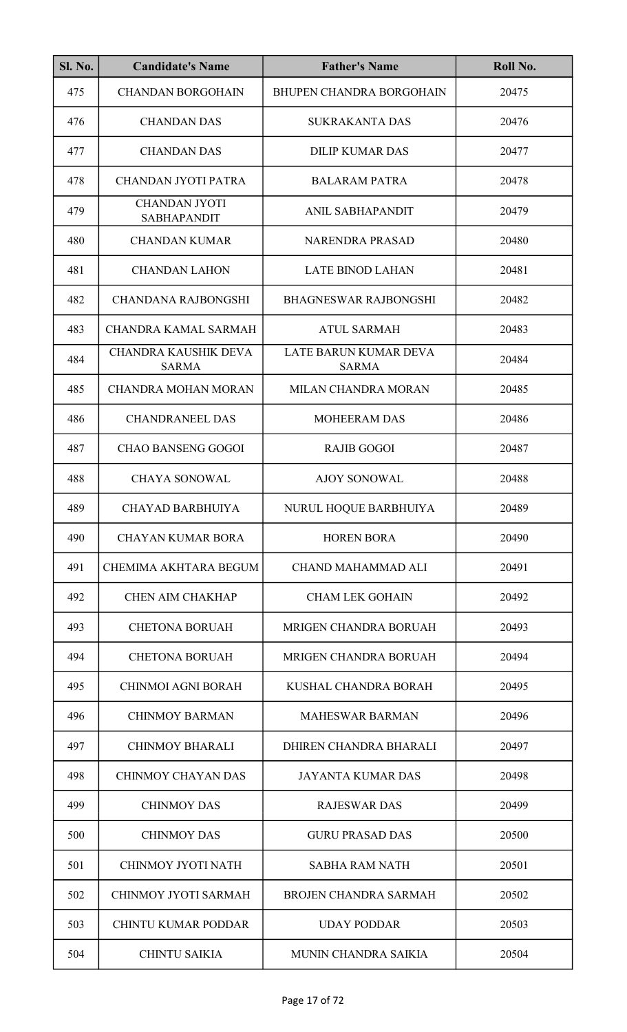| <b>Sl. No.</b> | <b>Candidate's Name</b>                    | <b>Father's Name</b>                  | Roll No. |
|----------------|--------------------------------------------|---------------------------------------|----------|
| 475            | <b>CHANDAN BORGOHAIN</b>                   | <b>BHUPEN CHANDRA BORGOHAIN</b>       | 20475    |
| 476            | <b>CHANDAN DAS</b>                         | <b>SUKRAKANTA DAS</b>                 | 20476    |
| 477            | <b>CHANDAN DAS</b>                         | <b>DILIP KUMAR DAS</b>                | 20477    |
| 478            | <b>CHANDAN JYOTI PATRA</b>                 | <b>BALARAM PATRA</b>                  | 20478    |
| 479            | <b>CHANDAN JYOTI</b><br><b>SABHAPANDIT</b> | ANIL SABHAPANDIT                      | 20479    |
| 480            | <b>CHANDAN KUMAR</b>                       | <b>NARENDRA PRASAD</b>                | 20480    |
| 481            | <b>CHANDAN LAHON</b>                       | <b>LATE BINOD LAHAN</b>               | 20481    |
| 482            | <b>CHANDANA RAJBONGSHI</b>                 | <b>BHAGNESWAR RAJBONGSHI</b>          | 20482    |
| 483            | CHANDRA KAMAL SARMAH                       | <b>ATUL SARMAH</b>                    | 20483    |
| 484            | CHANDRA KAUSHIK DEVA<br><b>SARMA</b>       | LATE BARUN KUMAR DEVA<br><b>SARMA</b> | 20484    |
| 485            | <b>CHANDRA MOHAN MORAN</b>                 | MILAN CHANDRA MORAN                   | 20485    |
| 486            | <b>CHANDRANEEL DAS</b>                     | <b>MOHEERAM DAS</b>                   | 20486    |
| 487            | <b>CHAO BANSENG GOGOI</b>                  | <b>RAJIB GOGOI</b>                    | 20487    |
| 488            | <b>CHAYA SONOWAL</b>                       | <b>AJOY SONOWAL</b>                   | 20488    |
| 489            | <b>CHAYAD BARBHUIYA</b>                    | NURUL HOQUE BARBHUIYA                 | 20489    |
| 490            | <b>CHAYAN KUMAR BORA</b>                   | <b>HOREN BORA</b>                     | 20490    |
| 491            | CHEMIMA AKHTARA BEGUM                      | CHAND MAHAMMAD ALI                    | 20491    |
| 492            | <b>CHEN AIM CHAKHAP</b>                    | <b>CHAM LEK GOHAIN</b>                | 20492    |
| 493            | <b>CHETONA BORUAH</b>                      | MRIGEN CHANDRA BORUAH                 | 20493    |
| 494            | <b>CHETONA BORUAH</b>                      | MRIGEN CHANDRA BORUAH                 | 20494    |
| 495            | <b>CHINMOI AGNI BORAH</b>                  | KUSHAL CHANDRA BORAH                  | 20495    |
| 496            | <b>CHINMOY BARMAN</b>                      | <b>MAHESWAR BARMAN</b>                | 20496    |
| 497            | <b>CHINMOY BHARALI</b>                     | DHIREN CHANDRA BHARALI                | 20497    |
| 498            | <b>CHINMOY CHAYAN DAS</b>                  | <b>JAYANTA KUMAR DAS</b>              | 20498    |
| 499            | <b>CHINMOY DAS</b>                         | <b>RAJESWAR DAS</b>                   | 20499    |
| 500            | <b>CHINMOY DAS</b>                         | <b>GURU PRASAD DAS</b>                | 20500    |
| 501            | CHINMOY JYOTI NATH                         | <b>SABHA RAM NATH</b>                 | 20501    |
| 502            | CHINMOY JYOTI SARMAH                       | <b>BROJEN CHANDRA SARMAH</b>          | 20502    |
| 503            | <b>CHINTU KUMAR PODDAR</b>                 | <b>UDAY PODDAR</b>                    | 20503    |
| 504            | <b>CHINTU SAIKIA</b>                       | MUNIN CHANDRA SAIKIA                  | 20504    |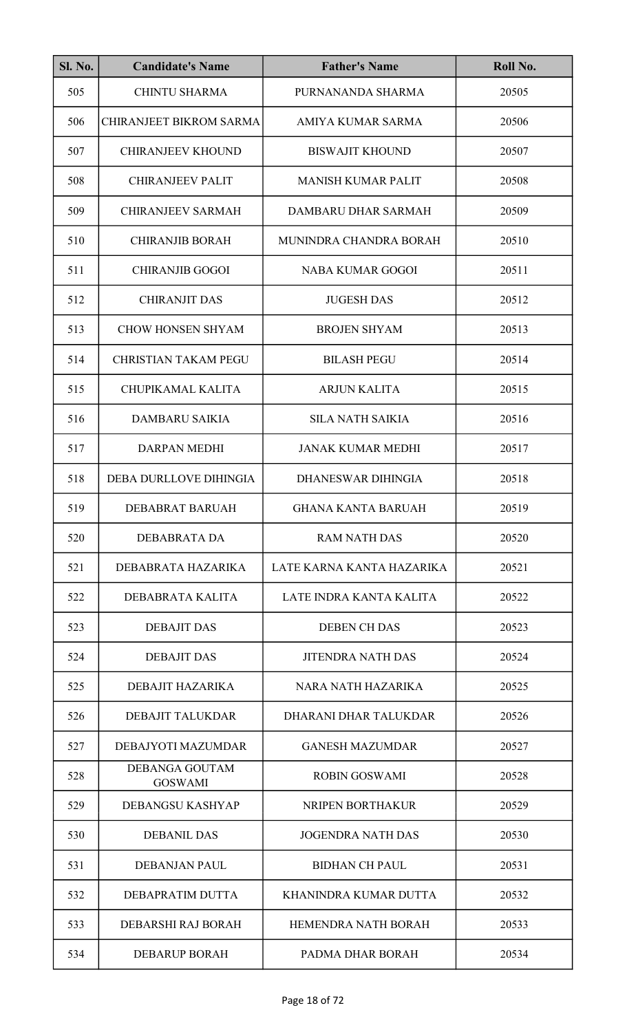| <b>Sl. No.</b> | <b>Candidate's Name</b>                 | <b>Father's Name</b>      | Roll No. |
|----------------|-----------------------------------------|---------------------------|----------|
| 505            | <b>CHINTU SHARMA</b>                    | PURNANANDA SHARMA         | 20505    |
| 506            | <b>CHIRANJEET BIKROM SARMA</b>          | AMIYA KUMAR SARMA         | 20506    |
| 507            | <b>CHIRANJEEV KHOUND</b>                | <b>BISWAJIT KHOUND</b>    | 20507    |
| 508            | <b>CHIRANJEEV PALIT</b>                 | <b>MANISH KUMAR PALIT</b> | 20508    |
| 509            | <b>CHIRANJEEV SARMAH</b>                | DAMBARU DHAR SARMAH       | 20509    |
| 510            | <b>CHIRANJIB BORAH</b>                  | MUNINDRA CHANDRA BORAH    | 20510    |
| 511            | <b>CHIRANJIB GOGOI</b>                  | <b>NABA KUMAR GOGOI</b>   | 20511    |
| 512            | <b>CHIRANJIT DAS</b>                    | <b>JUGESH DAS</b>         | 20512    |
| 513            | <b>CHOW HONSEN SHYAM</b>                | <b>BROJEN SHYAM</b>       | 20513    |
| 514            | <b>CHRISTIAN TAKAM PEGU</b>             | <b>BILASH PEGU</b>        | 20514    |
| 515            | CHUPIKAMAL KALITA                       | <b>ARJUN KALITA</b>       | 20515    |
| 516            | <b>DAMBARU SAIKIA</b>                   | <b>SILA NATH SAIKIA</b>   | 20516    |
| 517            | <b>DARPAN MEDHI</b>                     | <b>JANAK KUMAR MEDHI</b>  | 20517    |
| 518            | DEBA DURLLOVE DIHINGIA                  | DHANESWAR DIHINGIA        | 20518    |
| 519            | DEBABRAT BARUAH                         | <b>GHANA KANTA BARUAH</b> | 20519    |
| 520            | DEBABRATA DA                            | <b>RAM NATH DAS</b>       | 20520    |
| 521            | DEBABRATA HAZARIKA                      | LATE KARNA KANTA HAZARIKA | 20521    |
| 522            | DEBABRATA KALITA                        | LATE INDRA KANTA KALITA   | 20522    |
| 523            | <b>DEBAJIT DAS</b>                      | <b>DEBEN CH DAS</b>       | 20523    |
| 524            | <b>DEBAJIT DAS</b>                      | <b>JITENDRA NATH DAS</b>  | 20524    |
| 525            | DEBAJIT HAZARIKA                        | NARA NATH HAZARIKA        | 20525    |
| 526            | <b>DEBAJIT TALUKDAR</b>                 | DHARANI DHAR TALUKDAR     | 20526    |
| 527            | DEBAJYOTI MAZUMDAR                      | <b>GANESH MAZUMDAR</b>    | 20527    |
| 528            | <b>DEBANGA GOUTAM</b><br><b>GOSWAMI</b> | <b>ROBIN GOSWAMI</b>      | 20528    |
| 529            | DEBANGSU KASHYAP                        | NRIPEN BORTHAKUR          | 20529    |
| 530            | <b>DEBANIL DAS</b>                      | <b>JOGENDRA NATH DAS</b>  | 20530    |
| 531            | <b>DEBANJAN PAUL</b>                    | <b>BIDHAN CH PAUL</b>     | 20531    |
| 532            | DEBAPRATIM DUTTA                        | KHANINDRA KUMAR DUTTA     | 20532    |
| 533            | DEBARSHI RAJ BORAH                      | HEMENDRA NATH BORAH       | 20533    |
| 534            | <b>DEBARUP BORAH</b>                    | PADMA DHAR BORAH          | 20534    |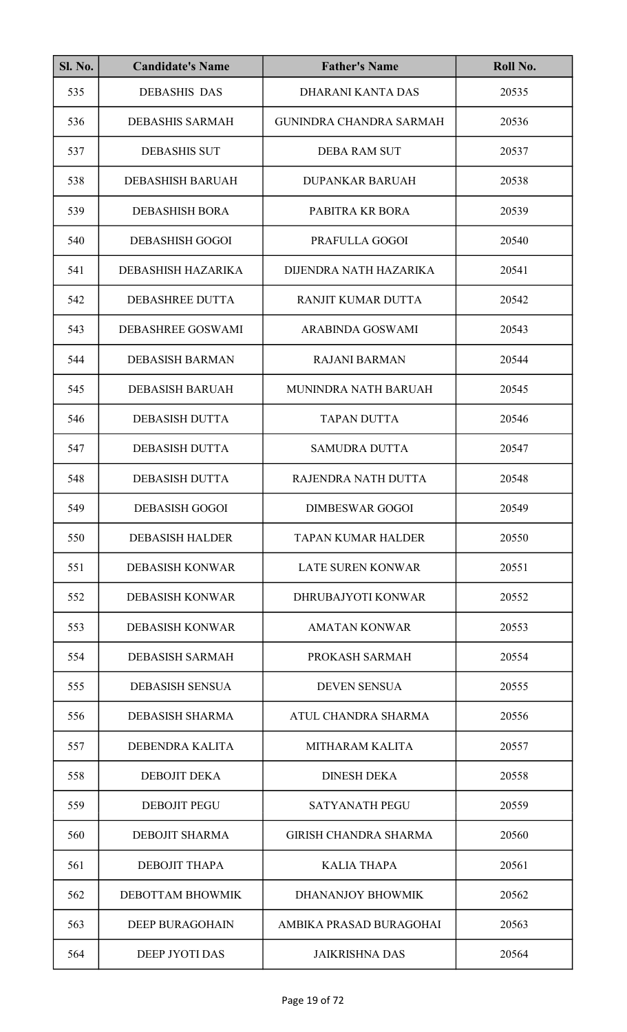| <b>Sl. No.</b> | <b>Candidate's Name</b>  | <b>Father's Name</b>           | Roll No. |
|----------------|--------------------------|--------------------------------|----------|
| 535            | <b>DEBASHIS DAS</b>      | DHARANI KANTA DAS              | 20535    |
| 536            | <b>DEBASHIS SARMAH</b>   | <b>GUNINDRA CHANDRA SARMAH</b> | 20536    |
| 537            | <b>DEBASHIS SUT</b>      | <b>DEBA RAM SUT</b>            | 20537    |
| 538            | <b>DEBASHISH BARUAH</b>  | <b>DUPANKAR BARUAH</b>         | 20538    |
| 539            | <b>DEBASHISH BORA</b>    | PABITRA KR BORA                | 20539    |
| 540            | <b>DEBASHISH GOGOI</b>   | PRAFULLA GOGOI                 | 20540    |
| 541            | DEBASHISH HAZARIKA       | DIJENDRA NATH HAZARIKA         | 20541    |
| 542            | <b>DEBASHREE DUTTA</b>   | RANJIT KUMAR DUTTA             | 20542    |
| 543            | <b>DEBASHREE GOSWAMI</b> | <b>ARABINDA GOSWAMI</b>        | 20543    |
| 544            | <b>DEBASISH BARMAN</b>   | <b>RAJANI BARMAN</b>           | 20544    |
| 545            | <b>DEBASISH BARUAH</b>   | MUNINDRA NATH BARUAH           | 20545    |
| 546            | <b>DEBASISH DUTTA</b>    | <b>TAPAN DUTTA</b>             | 20546    |
| 547            | <b>DEBASISH DUTTA</b>    | <b>SAMUDRA DUTTA</b>           | 20547    |
| 548            | <b>DEBASISH DUTTA</b>    | RAJENDRA NATH DUTTA            | 20548    |
| 549            | <b>DEBASISH GOGOI</b>    | <b>DIMBESWAR GOGOI</b>         | 20549    |
| 550            | <b>DEBASISH HALDER</b>   | <b>TAPAN KUMAR HALDER</b>      | 20550    |
| 551            | <b>DEBASISH KONWAR</b>   | <b>LATE SUREN KONWAR</b>       | 20551    |
| 552            | <b>DEBASISH KONWAR</b>   | DHRUBAJYOTI KONWAR             | 20552    |
| 553            | <b>DEBASISH KONWAR</b>   | <b>AMATAN KONWAR</b>           | 20553    |
| 554            | <b>DEBASISH SARMAH</b>   | PROKASH SARMAH                 | 20554    |
| 555            | <b>DEBASISH SENSUA</b>   | <b>DEVEN SENSUA</b>            | 20555    |
| 556            | <b>DEBASISH SHARMA</b>   | ATUL CHANDRA SHARMA            | 20556    |
| 557            | DEBENDRA KALITA          | <b>MITHARAM KALITA</b>         | 20557    |
| 558            | <b>DEBOJIT DEKA</b>      | <b>DINESH DEKA</b>             | 20558    |
| 559            | <b>DEBOJIT PEGU</b>      | <b>SATYANATH PEGU</b>          | 20559    |
| 560            | <b>DEBOJIT SHARMA</b>    | <b>GIRISH CHANDRA SHARMA</b>   | 20560    |
| 561            | <b>DEBOJIT THAPA</b>     | <b>KALIA THAPA</b>             | 20561    |
| 562            | DEBOTTAM BHOWMIK         | <b>DHANANJOY BHOWMIK</b>       | 20562    |
| 563            | <b>DEEP BURAGOHAIN</b>   | AMBIKA PRASAD BURAGOHAI        | 20563    |
| 564            | DEEP JYOTI DAS           | <b>JAIKRISHNA DAS</b>          | 20564    |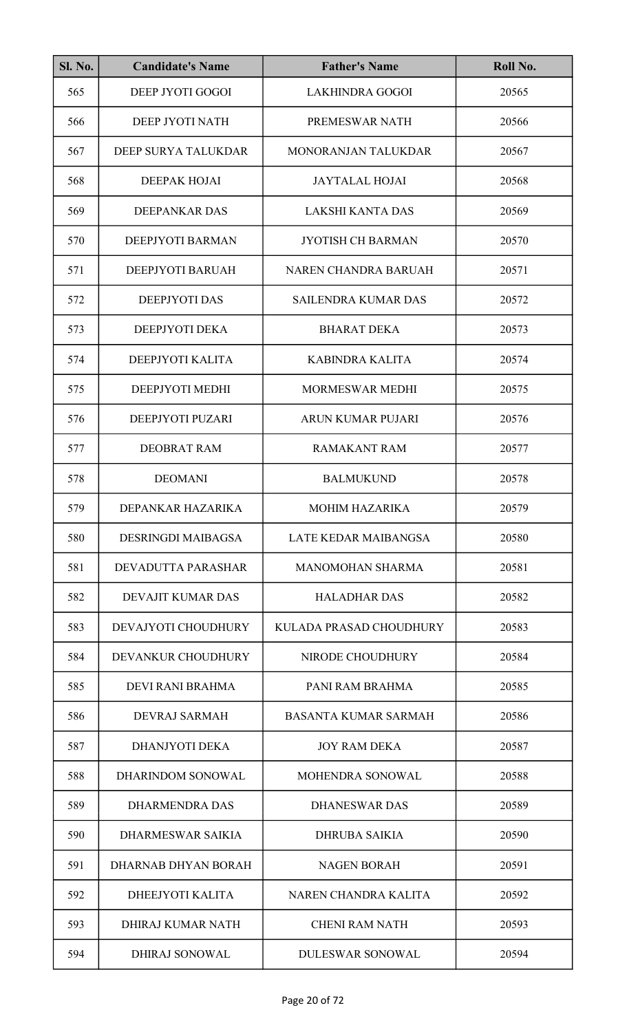| <b>Sl. No.</b> | <b>Candidate's Name</b>   | <b>Father's Name</b>        | Roll No. |
|----------------|---------------------------|-----------------------------|----------|
| 565            | DEEP JYOTI GOGOI          | <b>LAKHINDRA GOGOI</b>      | 20565    |
| 566            | DEEP JYOTI NATH           | PREMESWAR NATH              | 20566    |
| 567            | DEEP SURYA TALUKDAR       | MONORANJAN TALUKDAR         | 20567    |
| 568            | DEEPAK HOJAI              | <b>JAYTALAL HOJAI</b>       | 20568    |
| 569            | DEEPANKAR DAS             | <b>LAKSHI KANTA DAS</b>     | 20569    |
| 570            | DEEPJYOTI BARMAN          | <b>JYOTISH CH BARMAN</b>    | 20570    |
| 571            | DEEPJYOTI BARUAH          | <b>NAREN CHANDRA BARUAH</b> | 20571    |
| 572            | <b>DEEPJYOTI DAS</b>      | <b>SAILENDRA KUMAR DAS</b>  | 20572    |
| 573            | DEEPJYOTI DEKA            | <b>BHARAT DEKA</b>          | 20573    |
| 574            | DEEPJYOTI KALITA          | <b>KABINDRA KALITA</b>      | 20574    |
| 575            | DEEPJYOTI MEDHI           | <b>MORMESWAR MEDHI</b>      | 20575    |
| 576            | DEEPJYOTI PUZARI          | ARUN KUMAR PUJARI           | 20576    |
| 577            | <b>DEOBRAT RAM</b>        | <b>RAMAKANT RAM</b>         | 20577    |
| 578            | <b>DEOMANI</b>            | <b>BALMUKUND</b>            | 20578    |
| 579            | DEPANKAR HAZARIKA         | MOHIM HAZARIKA              | 20579    |
| 580            | <b>DESRINGDI MAIBAGSA</b> | LATE KEDAR MAIBANGSA        | 20580    |
| 581            | DEVADUTTA PARASHAR        | <b>MANOMOHAN SHARMA</b>     | 20581    |
| 582            | DEVAJIT KUMAR DAS         | <b>HALADHAR DAS</b>         | 20582    |
| 583            | DEVAJYOTI CHOUDHURY       | KULADA PRASAD CHOUDHURY     | 20583    |
| 584            | DEVANKUR CHOUDHURY        | NIRODE CHOUDHURY            | 20584    |
| 585            | DEVI RANI BRAHMA          | PANI RAM BRAHMA             | 20585    |
| 586            | DEVRAJ SARMAH             | <b>BASANTA KUMAR SARMAH</b> | 20586    |
| 587            | DHANJYOTI DEKA            | <b>JOY RAM DEKA</b>         | 20587    |
| 588            | DHARINDOM SONOWAL         | <b>MOHENDRA SONOWAL</b>     | 20588    |
| 589            | <b>DHARMENDRA DAS</b>     | <b>DHANESWAR DAS</b>        | 20589    |
| 590            | <b>DHARMESWAR SAIKIA</b>  | <b>DHRUBA SAIKIA</b>        | 20590    |
| 591            | DHARNAB DHYAN BORAH       | <b>NAGEN BORAH</b>          | 20591    |
| 592            | DHEEJYOTI KALITA          | NAREN CHANDRA KALITA        | 20592    |
| 593            | DHIRAJ KUMAR NATH         | <b>CHENI RAM NATH</b>       | 20593    |
| 594            | <b>DHIRAJ SONOWAL</b>     | <b>DULESWAR SONOWAL</b>     | 20594    |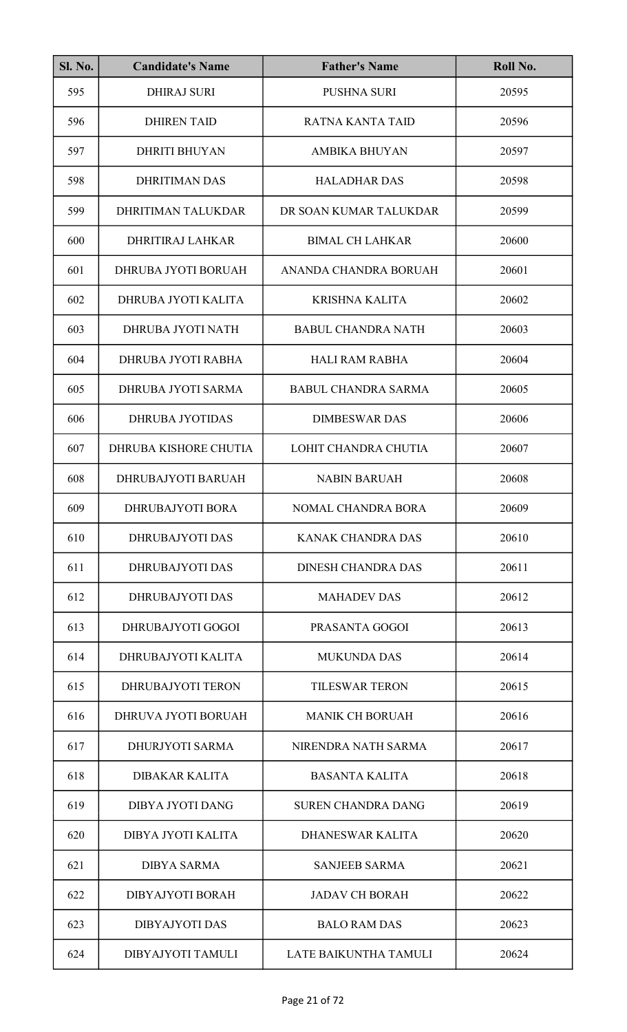| <b>Sl. No.</b> | <b>Candidate's Name</b>  | <b>Father's Name</b>       | Roll No. |
|----------------|--------------------------|----------------------------|----------|
| 595            | <b>DHIRAJ SURI</b>       | <b>PUSHNA SURI</b>         | 20595    |
| 596            | <b>DHIREN TAID</b>       | <b>RATNA KANTA TAID</b>    | 20596    |
| 597            | <b>DHRITI BHUYAN</b>     | <b>AMBIKA BHUYAN</b>       | 20597    |
| 598            | <b>DHRITIMAN DAS</b>     | <b>HALADHAR DAS</b>        | 20598    |
| 599            | DHRITIMAN TALUKDAR       | DR SOAN KUMAR TALUKDAR     | 20599    |
| 600            | <b>DHRITIRAJ LAHKAR</b>  | <b>BIMAL CH LAHKAR</b>     | 20600    |
| 601            | DHRUBA JYOTI BORUAH      | ANANDA CHANDRA BORUAH      | 20601    |
| 602            | DHRUBA JYOTI KALITA      | <b>KRISHNA KALITA</b>      | 20602    |
| 603            | DHRUBA JYOTI NATH        | <b>BABUL CHANDRA NATH</b>  | 20603    |
| 604            | DHRUBA JYOTI RABHA       | <b>HALI RAM RABHA</b>      | 20604    |
| 605            | DHRUBA JYOTI SARMA       | <b>BABUL CHANDRA SARMA</b> | 20605    |
| 606            | <b>DHRUBA JYOTIDAS</b>   | <b>DIMBESWAR DAS</b>       | 20606    |
| 607            | DHRUBA KISHORE CHUTIA    | LOHIT CHANDRA CHUTIA       | 20607    |
| 608            | DHRUBAJYOTI BARUAH       | <b>NABIN BARUAH</b>        | 20608    |
| 609            | DHRUBAJYOTI BORA         | NOMAL CHANDRA BORA         | 20609    |
| 610            | <b>DHRUBAJYOTI DAS</b>   | <b>KANAK CHANDRA DAS</b>   | 20610    |
| 611            | <b>DHRUBAJYOTI DAS</b>   | <b>DINESH CHANDRA DAS</b>  | 20611    |
| 612            | DHRUBAJYOTI DAS          | <b>MAHADEV DAS</b>         | 20612    |
| 613            | DHRUBAJYOTI GOGOI        | PRASANTA GOGOI             | 20613    |
| 614            | DHRUBAJYOTI KALITA       | <b>MUKUNDA DAS</b>         | 20614    |
| 615            | <b>DHRUBAJYOTI TERON</b> | <b>TILESWAR TERON</b>      | 20615    |
| 616            | DHRUVA JYOTI BORUAH      | <b>MANIK CH BORUAH</b>     | 20616    |
| 617            | <b>DHURJYOTI SARMA</b>   | NIRENDRA NATH SARMA        | 20617    |
| 618            | <b>DIBAKAR KALITA</b>    | <b>BASANTA KALITA</b>      | 20618    |
| 619            | DIBYA JYOTI DANG         | <b>SUREN CHANDRA DANG</b>  | 20619    |
| 620            | DIBYA JYOTI KALITA       | DHANESWAR KALITA           | 20620    |
| 621            | <b>DIBYA SARMA</b>       | <b>SANJEEB SARMA</b>       | 20621    |
| 622            | <b>DIBYAJYOTI BORAH</b>  | <b>JADAV CH BORAH</b>      | 20622    |
| 623            | <b>DIBYAJYOTI DAS</b>    | <b>BALO RAM DAS</b>        | 20623    |
| 624            | DIBYAJYOTI TAMULI        | LATE BAIKUNTHA TAMULI      | 20624    |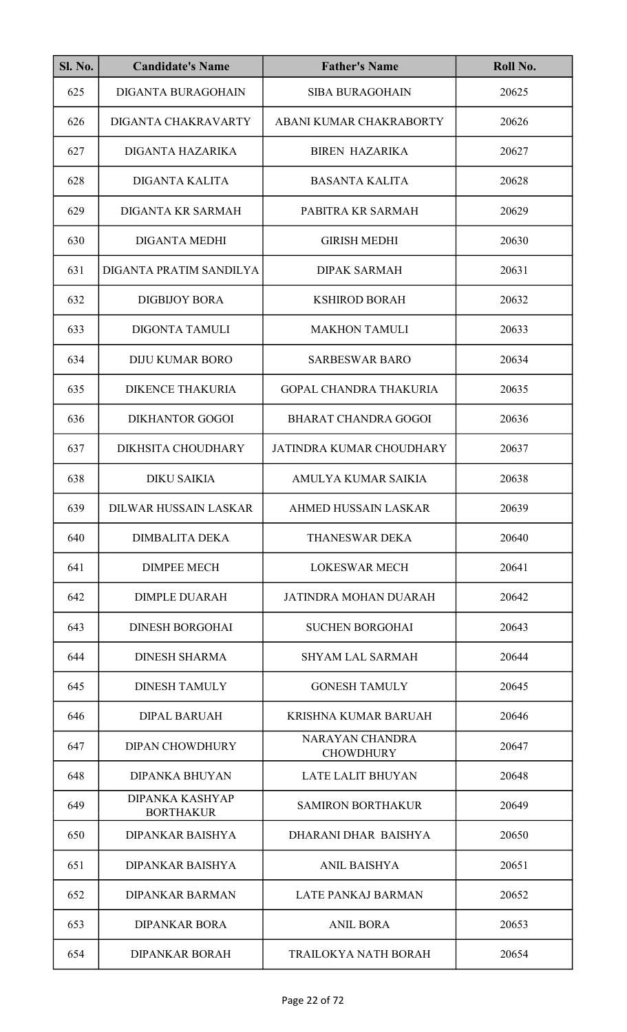| <b>Sl. No.</b> | <b>Candidate's Name</b>             | <b>Father's Name</b>                       | Roll No. |
|----------------|-------------------------------------|--------------------------------------------|----------|
| 625            | <b>DIGANTA BURAGOHAIN</b>           | <b>SIBA BURAGOHAIN</b>                     | 20625    |
| 626            | DIGANTA CHAKRAVARTY                 | ABANI KUMAR CHAKRABORTY                    | 20626    |
| 627            | DIGANTA HAZARIKA                    | <b>BIREN HAZARIKA</b>                      | 20627    |
| 628            | <b>DIGANTA KALITA</b>               | <b>BASANTA KALITA</b>                      | 20628    |
| 629            | DIGANTA KR SARMAH                   | PABITRA KR SARMAH                          | 20629    |
| 630            | <b>DIGANTA MEDHI</b>                | <b>GIRISH MEDHI</b>                        | 20630    |
| 631            | DIGANTA PRATIM SANDILYA             | <b>DIPAK SARMAH</b>                        | 20631    |
| 632            | <b>DIGBIJOY BORA</b>                | <b>KSHIROD BORAH</b>                       | 20632    |
| 633            | <b>DIGONTA TAMULI</b>               | <b>MAKHON TAMULI</b>                       | 20633    |
| 634            | <b>DIJU KUMAR BORO</b>              | <b>SARBESWAR BARO</b>                      | 20634    |
| 635            | <b>DIKENCE THAKURIA</b>             | <b>GOPAL CHANDRA THAKURIA</b>              | 20635    |
| 636            | <b>DIKHANTOR GOGOI</b>              | <b>BHARAT CHANDRA GOGOI</b>                | 20636    |
| 637            | <b>DIKHSITA CHOUDHARY</b>           | JATINDRA KUMAR CHOUDHARY                   | 20637    |
| 638            | <b>DIKU SAIKIA</b>                  | AMULYA KUMAR SAIKIA                        | 20638    |
| 639            | DILWAR HUSSAIN LASKAR               | AHMED HUSSAIN LASKAR                       | 20639    |
| 640            | <b>DIMBALITA DEKA</b>               | THANESWAR DEKA                             | 20640    |
| 641            | <b>DIMPEE MECH</b>                  | <b>LOKESWAR MECH</b>                       | 20641    |
| 642            | <b>DIMPLE DUARAH</b>                | JATINDRA MOHAN DUARAH                      | 20642    |
| 643            | <b>DINESH BORGOHAI</b>              | <b>SUCHEN BORGOHAI</b>                     | 20643    |
| 644            | <b>DINESH SHARMA</b>                | <b>SHYAM LAL SARMAH</b>                    | 20644    |
| 645            | <b>DINESH TAMULY</b>                | <b>GONESH TAMULY</b>                       | 20645    |
| 646            | <b>DIPAL BARUAH</b>                 | <b>KRISHNA KUMAR BARUAH</b>                | 20646    |
| 647            | <b>DIPAN CHOWDHURY</b>              | <b>NARAYAN CHANDRA</b><br><b>CHOWDHURY</b> | 20647    |
| 648            | <b>DIPANKA BHUYAN</b>               | <b>LATE LALIT BHUYAN</b>                   | 20648    |
| 649            | DIPANKA KASHYAP<br><b>BORTHAKUR</b> | <b>SAMIRON BORTHAKUR</b>                   | 20649    |
| 650            | <b>DIPANKAR BAISHYA</b>             | DHARANI DHAR BAISHYA                       | 20650    |
| 651            | <b>DIPANKAR BAISHYA</b>             | <b>ANIL BAISHYA</b>                        | 20651    |
| 652            | <b>DIPANKAR BARMAN</b>              | <b>LATE PANKAJ BARMAN</b>                  | 20652    |
| 653            | <b>DIPANKAR BORA</b>                | <b>ANIL BORA</b>                           | 20653    |
| 654            | <b>DIPANKAR BORAH</b>               | <b>TRAILOKYA NATH BORAH</b>                | 20654    |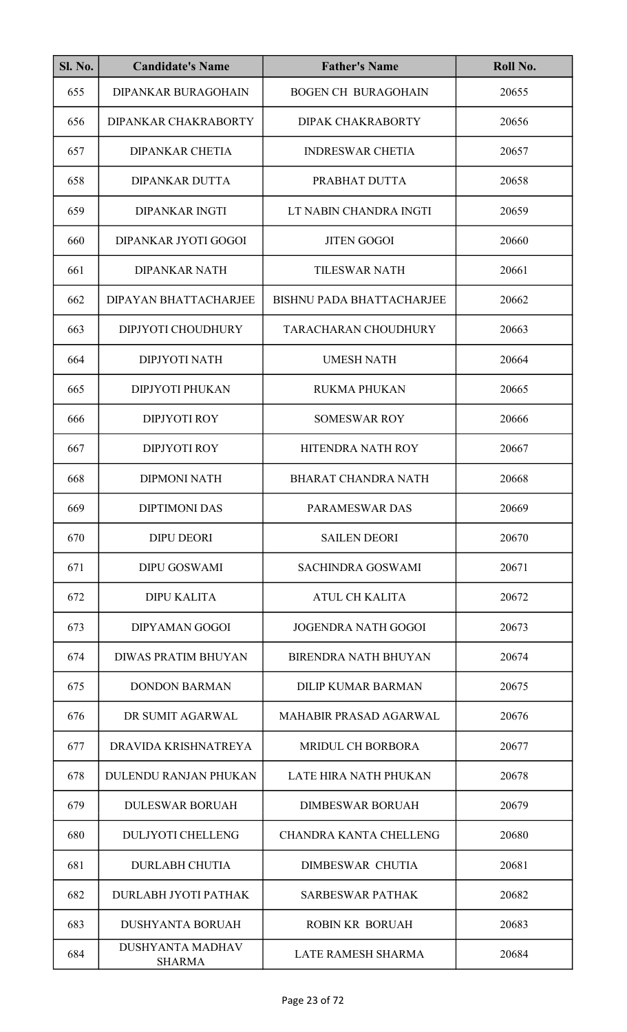| <b>Sl. No.</b> | <b>Candidate's Name</b>                  | <b>Father's Name</b>             | Roll No. |
|----------------|------------------------------------------|----------------------------------|----------|
| 655            | <b>DIPANKAR BURAGOHAIN</b>               | <b>BOGEN CH BURAGOHAIN</b>       | 20655    |
| 656            | DIPANKAR CHAKRABORTY                     | DIPAK CHAKRABORTY                | 20656    |
| 657            | <b>DIPANKAR CHETIA</b>                   | <b>INDRESWAR CHETIA</b>          | 20657    |
| 658            | <b>DIPANKAR DUTTA</b>                    | PRABHAT DUTTA                    | 20658    |
| 659            | <b>DIPANKAR INGTI</b>                    | LT NABIN CHANDRA INGTI           | 20659    |
| 660            | DIPANKAR JYOTI GOGOI                     | <b>JITEN GOGOI</b>               | 20660    |
| 661            | <b>DIPANKAR NATH</b>                     | <b>TILESWAR NATH</b>             | 20661    |
| 662            | DIPAYAN BHATTACHARJEE                    | <b>BISHNU PADA BHATTACHARJEE</b> | 20662    |
| 663            | DIPJYOTI CHOUDHURY                       | TARACHARAN CHOUDHURY             | 20663    |
| 664            | <b>DIPJYOTI NATH</b>                     | <b>UMESH NATH</b>                | 20664    |
| 665            | <b>DIPJYOTI PHUKAN</b>                   | <b>RUKMA PHUKAN</b>              | 20665    |
| 666            | <b>DIPJYOTI ROY</b>                      | <b>SOMESWAR ROY</b>              | 20666    |
| 667            | <b>DIPJYOTI ROY</b>                      | HITENDRA NATH ROY                | 20667    |
| 668            | <b>DIPMONI NATH</b>                      | <b>BHARAT CHANDRA NATH</b>       | 20668    |
| 669            | <b>DIPTIMONI DAS</b>                     | PARAMESWAR DAS                   | 20669    |
| 670            | <b>DIPU DEORI</b>                        | <b>SAILEN DEORI</b>              | 20670    |
| 671            | <b>DIPU GOSWAMI</b>                      | <b>SACHINDRA GOSWAMI</b>         | 20671    |
| 672            | DIPU KALITA                              | <b>ATUL CH KALITA</b>            | 20672    |
| 673            | DIPYAMAN GOGOI                           | <b>JOGENDRA NATH GOGOI</b>       | 20673    |
| 674            | <b>DIWAS PRATIM BHUYAN</b>               | <b>BIRENDRA NATH BHUYAN</b>      | 20674    |
| 675            | <b>DONDON BARMAN</b>                     | <b>DILIP KUMAR BARMAN</b>        | 20675    |
| 676            | DR SUMIT AGARWAL                         | MAHABIR PRASAD AGARWAL           | 20676    |
| 677            | DRAVIDA KRISHNATREYA                     | <b>MRIDUL CH BORBORA</b>         | 20677    |
| 678            | DULENDU RANJAN PHUKAN                    | <b>LATE HIRA NATH PHUKAN</b>     | 20678    |
| 679            | <b>DULESWAR BORUAH</b>                   | <b>DIMBESWAR BORUAH</b>          | 20679    |
| 680            | <b>DULJYOTI CHELLENG</b>                 | <b>CHANDRA KANTA CHELLENG</b>    | 20680    |
| 681            | <b>DURLABH CHUTIA</b>                    | <b>DIMBESWAR CHUTIA</b>          | 20681    |
| 682            | DURLABH JYOTI PATHAK                     | <b>SARBESWAR PATHAK</b>          | 20682    |
| 683            | <b>DUSHYANTA BORUAH</b>                  | <b>ROBIN KR BORUAH</b>           | 20683    |
| 684            | <b>DUSHYANTA MADHAV</b><br><b>SHARMA</b> | <b>LATE RAMESH SHARMA</b>        | 20684    |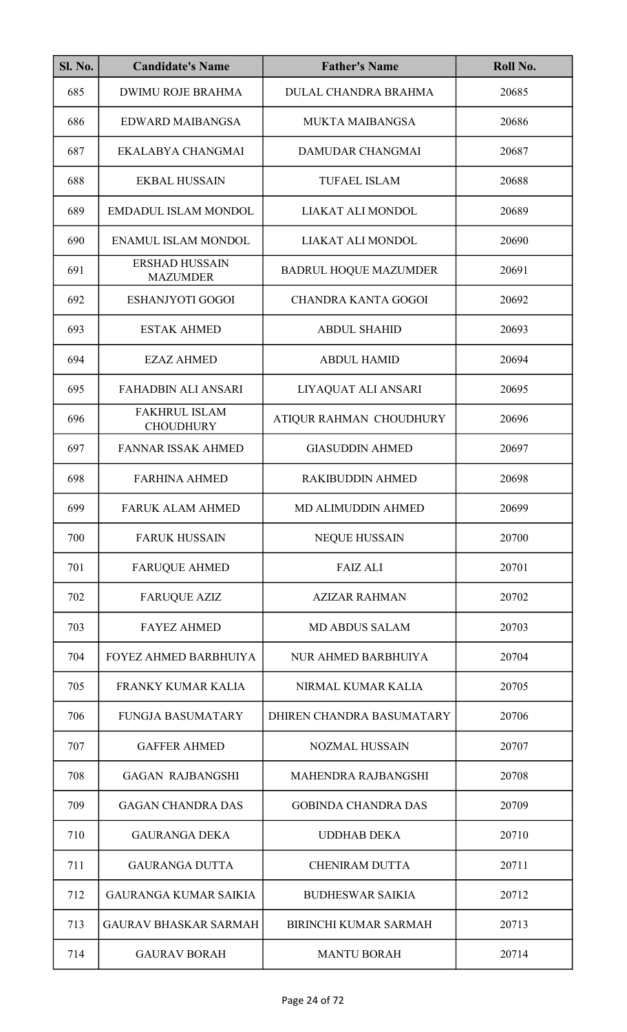| <b>Sl. No.</b> | <b>Candidate's Name</b>                  | <b>Father's Name</b>         | Roll No. |
|----------------|------------------------------------------|------------------------------|----------|
| 685            | <b>DWIMU ROJE BRAHMA</b>                 | DULAL CHANDRA BRAHMA         | 20685    |
| 686            | <b>EDWARD MAIBANGSA</b>                  | MUKTA MAIBANGSA              | 20686    |
| 687            | EKALABYA CHANGMAI                        | DAMUDAR CHANGMAI             | 20687    |
| 688            | <b>EKBAL HUSSAIN</b>                     | <b>TUFAEL ISLAM</b>          | 20688    |
| 689            | EMDADUL ISLAM MONDOL                     | LIAKAT ALI MONDOL            | 20689    |
| 690            | <b>ENAMUL ISLAM MONDOL</b>               | LIAKAT ALI MONDOL            | 20690    |
| 691            | <b>ERSHAD HUSSAIN</b><br><b>MAZUMDER</b> | <b>BADRUL HOQUE MAZUMDER</b> | 20691    |
| 692            | <b>ESHANJYOTI GOGOI</b>                  | <b>CHANDRA KANTA GOGOI</b>   | 20692    |
| 693            | <b>ESTAK AHMED</b>                       | <b>ABDUL SHAHID</b>          | 20693    |
| 694            | <b>EZAZ AHMED</b>                        | <b>ABDUL HAMID</b>           | 20694    |
| 695            | <b>FAHADBIN ALI ANSARI</b>               | LIYAQUAT ALI ANSARI          | 20695    |
| 696            | <b>FAKHRUL ISLAM</b><br><b>CHOUDHURY</b> | ATIQUR RAHMAN CHOUDHURY      | 20696    |
| 697            | <b>FANNAR ISSAK AHMED</b>                | <b>GIASUDDIN AHMED</b>       | 20697    |
| 698            | <b>FARHINA AHMED</b>                     | <b>RAKIBUDDIN AHMED</b>      | 20698    |
| 699            | FARUK ALAM AHMED                         | MD ALIMUDDIN AHMED           | 20699    |
| 700            | <b>FARUK HUSSAIN</b>                     | <b>NEQUE HUSSAIN</b>         | 20700    |
| 701            | <b>FARUQUE AHMED</b>                     | <b>FAIZ ALI</b>              | 20701    |
| 702            | <b>FARUQUE AZIZ</b>                      | <b>AZIZAR RAHMAN</b>         | 20702    |
| 703            | <b>FAYEZ AHMED</b>                       | <b>MD ABDUS SALAM</b>        | 20703    |
| 704            | FOYEZ AHMED BARBHUIYA                    | NUR AHMED BARBHUIYA          | 20704    |
| 705            | <b>FRANKY KUMAR KALIA</b>                | NIRMAL KUMAR KALIA           | 20705    |
| 706            | <b>FUNGJA BASUMATARY</b>                 | DHIREN CHANDRA BASUMATARY    | 20706    |
| 707            | <b>GAFFER AHMED</b>                      | <b>NOZMAL HUSSAIN</b>        | 20707    |
| 708            | <b>GAGAN RAJBANGSHI</b>                  | MAHENDRA RAJBANGSHI          | 20708    |
| 709            | <b>GAGAN CHANDRA DAS</b>                 | <b>GOBINDA CHANDRA DAS</b>   | 20709    |
| 710            | <b>GAURANGA DEKA</b>                     | <b>UDDHAB DEKA</b>           | 20710    |
| 711            | <b>GAURANGA DUTTA</b>                    | <b>CHENIRAM DUTTA</b>        | 20711    |
| 712            | <b>GAURANGA KUMAR SAIKIA</b>             | <b>BUDHESWAR SAIKIA</b>      | 20712    |
| 713            | <b>GAURAV BHASKAR SARMAH</b>             | BIRINCHI KUMAR SARMAH        | 20713    |
| 714            | <b>GAURAV BORAH</b>                      | <b>MANTU BORAH</b>           | 20714    |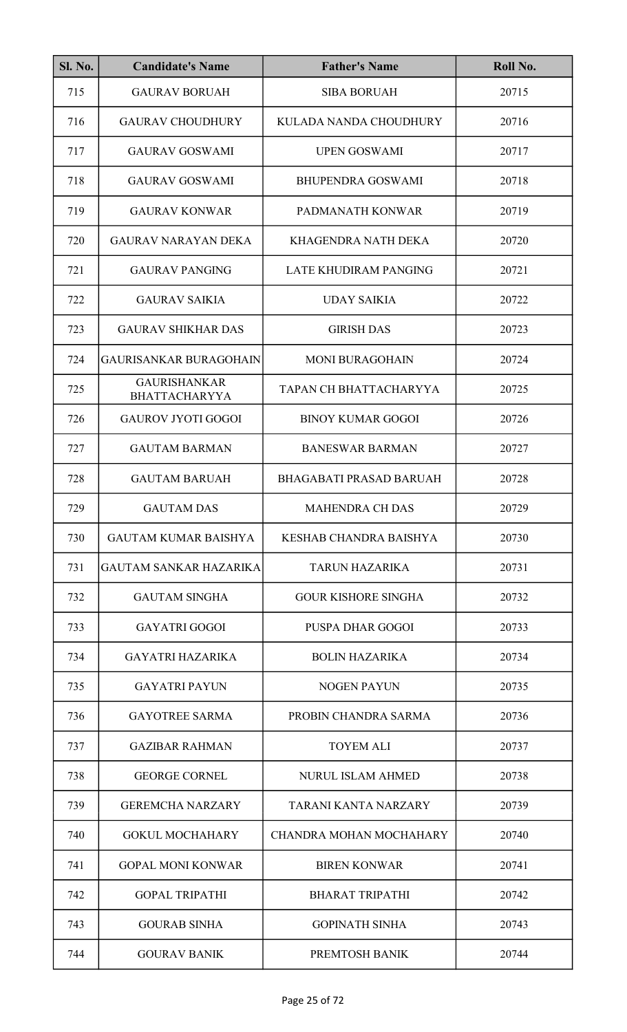| <b>Sl. No.</b> | <b>Candidate's Name</b>                     | <b>Father's Name</b>           | Roll No. |
|----------------|---------------------------------------------|--------------------------------|----------|
| 715            | <b>GAURAV BORUAH</b>                        | <b>SIBA BORUAH</b>             | 20715    |
| 716            | <b>GAURAV CHOUDHURY</b>                     | KULADA NANDA CHOUDHURY         | 20716    |
| 717            | <b>GAURAV GOSWAMI</b>                       | <b>UPEN GOSWAMI</b>            | 20717    |
| 718            | <b>GAURAV GOSWAMI</b>                       | <b>BHUPENDRA GOSWAMI</b>       | 20718    |
| 719            | <b>GAURAV KONWAR</b>                        | PADMANATH KONWAR               | 20719    |
| 720            | <b>GAURAV NARAYAN DEKA</b>                  | KHAGENDRA NATH DEKA            | 20720    |
| 721            | <b>GAURAV PANGING</b>                       | LATE KHUDIRAM PANGING          | 20721    |
| 722            | <b>GAURAV SAIKIA</b>                        | <b>UDAY SAIKIA</b>             | 20722    |
| 723            | <b>GAURAV SHIKHAR DAS</b>                   | <b>GIRISH DAS</b>              | 20723    |
| 724            | <b>GAURISANKAR BURAGOHAIN</b>               | <b>MONI BURAGOHAIN</b>         | 20724    |
| 725            | <b>GAURISHANKAR</b><br><b>BHATTACHARYYA</b> | TAPAN CH BHATTACHARYYA         | 20725    |
| 726            | <b>GAUROV JYOTI GOGOI</b>                   | <b>BINOY KUMAR GOGOI</b>       | 20726    |
| 727            | <b>GAUTAM BARMAN</b>                        | <b>BANESWAR BARMAN</b>         | 20727    |
| 728            | <b>GAUTAM BARUAH</b>                        | <b>BHAGABATI PRASAD BARUAH</b> | 20728    |
| 729            | <b>GAUTAM DAS</b>                           | <b>MAHENDRA CH DAS</b>         | 20729    |
| 730            | <b>GAUTAM KUMAR BAISHYA</b>                 | KESHAB CHANDRA BAISHYA         | 20730    |
| 731            | <b>GAUTAM SANKAR HAZARIKA</b>               | <b>TARUN HAZARIKA</b>          | 20731    |
| 732            | <b>GAUTAM SINGHA</b>                        | <b>GOUR KISHORE SINGHA</b>     | 20732    |
| 733            | <b>GAYATRI GOGOI</b>                        | <b>PUSPA DHAR GOGOI</b>        | 20733    |
| 734            | <b>GAYATRI HAZARIKA</b>                     | <b>BOLIN HAZARIKA</b>          | 20734    |
| 735            | <b>GAYATRI PAYUN</b>                        | <b>NOGEN PAYUN</b>             | 20735    |
| 736            | <b>GAYOTREE SARMA</b>                       | PROBIN CHANDRA SARMA           | 20736    |
| 737            | <b>GAZIBAR RAHMAN</b>                       | <b>TOYEM ALI</b>               | 20737    |
| 738            | <b>GEORGE CORNEL</b>                        | <b>NURUL ISLAM AHMED</b>       | 20738    |
| 739            | <b>GEREMCHA NARZARY</b>                     | TARANI KANTA NARZARY           | 20739    |
| 740            | <b>GOKUL MOCHAHARY</b>                      | CHANDRA MOHAN MOCHAHARY        | 20740    |
| 741            | <b>GOPAL MONI KONWAR</b>                    | <b>BIREN KONWAR</b>            | 20741    |
| 742            | <b>GOPAL TRIPATHI</b>                       | <b>BHARAT TRIPATHI</b>         | 20742    |
| 743            | <b>GOURAB SINHA</b>                         | <b>GOPINATH SINHA</b>          | 20743    |
| 744            | <b>GOURAV BANIK</b>                         | PREMTOSH BANIK                 | 20744    |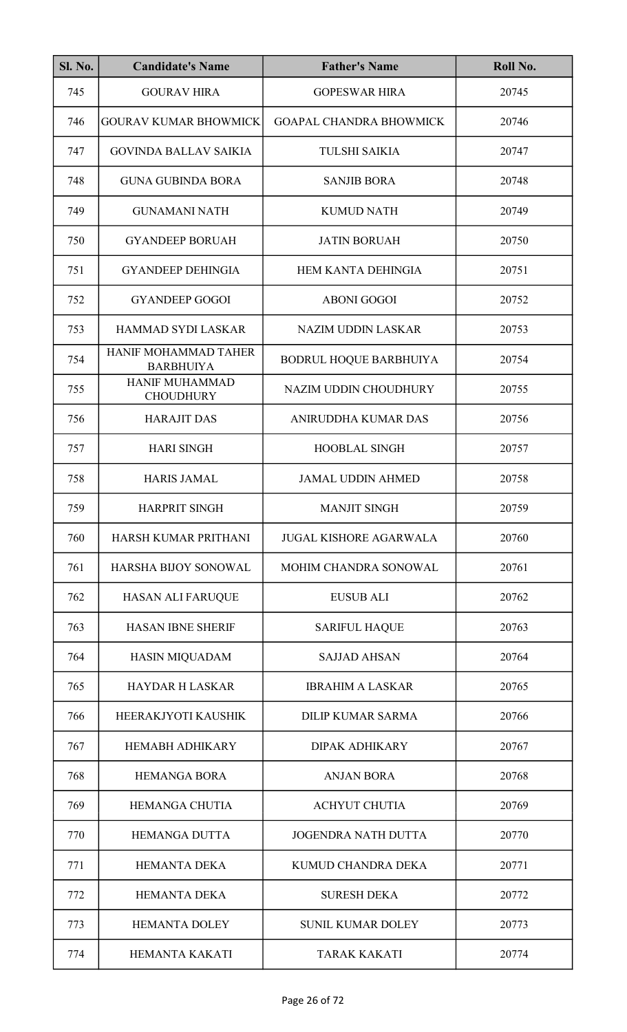| <b>Sl. No.</b> | <b>Candidate's Name</b>                  | <b>Father's Name</b>           | Roll No. |
|----------------|------------------------------------------|--------------------------------|----------|
| 745            | <b>GOURAV HIRA</b>                       | <b>GOPESWAR HIRA</b>           | 20745    |
| 746            | <b>GOURAV KUMAR BHOWMICK</b>             | <b>GOAPAL CHANDRA BHOWMICK</b> | 20746    |
| 747            | <b>GOVINDA BALLAV SAIKIA</b>             | <b>TULSHI SAIKIA</b>           | 20747    |
| 748            | <b>GUNA GUBINDA BORA</b>                 | <b>SANJIB BORA</b>             | 20748    |
| 749            | <b>GUNAMANI NATH</b>                     | <b>KUMUD NATH</b>              | 20749    |
| 750            | <b>GYANDEEP BORUAH</b>                   | <b>JATIN BORUAH</b>            | 20750    |
| 751            | <b>GYANDEEP DEHINGIA</b>                 | HEM KANTA DEHINGIA             | 20751    |
| 752            | <b>GYANDEEP GOGOI</b>                    | <b>ABONI GOGOI</b>             | 20752    |
| 753            | <b>HAMMAD SYDI LASKAR</b>                | <b>NAZIM UDDIN LASKAR</b>      | 20753    |
| 754            | HANIF MOHAMMAD TAHER<br><b>BARBHUIYA</b> | BODRUL HOQUE BARBHUIYA         | 20754    |
| 755            | HANIF MUHAMMAD<br><b>CHOUDHURY</b>       | NAZIM UDDIN CHOUDHURY          | 20755    |
| 756            | <b>HARAJIT DAS</b>                       | ANIRUDDHA KUMAR DAS            | 20756    |
| 757            | <b>HARI SINGH</b>                        | <b>HOOBLAL SINGH</b>           | 20757    |
| 758            | <b>HARIS JAMAL</b>                       | <b>JAMAL UDDIN AHMED</b>       | 20758    |
| 759            | HARPRIT SINGH                            | <b>MANJIT SINGH</b>            | 20759    |
| 760            | HARSH KUMAR PRITHANI                     | <b>JUGAL KISHORE AGARWALA</b>  | 20760    |
| 761            | <b>HARSHA BIJOY SONOWAL</b>              | <b>MOHIM CHANDRA SONOWAL</b>   | 20761    |
| 762            | <b>HASAN ALI FARUQUE</b>                 | <b>EUSUB ALI</b>               | 20762    |
| 763            | <b>HASAN IBNE SHERIF</b>                 | <b>SARIFUL HAQUE</b>           | 20763    |
| 764            | HASIN MIQUADAM                           | <b>SAJJAD AHSAN</b>            | 20764    |
| 765            | <b>HAYDAR H LASKAR</b>                   | <b>IBRAHIM A LASKAR</b>        | 20765    |
| 766            | HEERAKJYOTI KAUSHIK                      | <b>DILIP KUMAR SARMA</b>       | 20766    |
| 767            | <b>HEMABH ADHIKARY</b>                   | <b>DIPAK ADHIKARY</b>          | 20767    |
| 768            | <b>HEMANGA BORA</b>                      | <b>ANJAN BORA</b>              | 20768    |
| 769            | <b>HEMANGA CHUTIA</b>                    | <b>ACHYUT CHUTIA</b>           | 20769    |
| 770            | <b>HEMANGA DUTTA</b>                     | <b>JOGENDRA NATH DUTTA</b>     | 20770    |
| 771            | <b>HEMANTA DEKA</b>                      | KUMUD CHANDRA DEKA             | 20771    |
| 772            | <b>HEMANTA DEKA</b>                      | <b>SURESH DEKA</b>             | 20772    |
| 773            | <b>HEMANTA DOLEY</b>                     | <b>SUNIL KUMAR DOLEY</b>       | 20773    |
| 774            | HEMANTA KAKATI                           | <b>TARAK KAKATI</b>            | 20774    |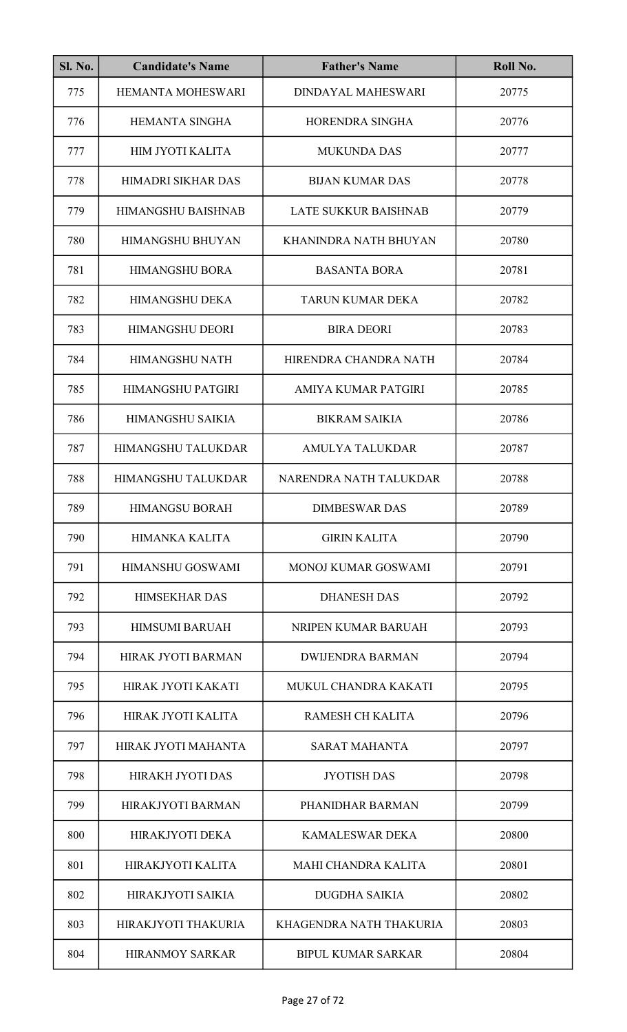| <b>Sl. No.</b> | <b>Candidate's Name</b>   | <b>Father's Name</b>        | Roll No. |
|----------------|---------------------------|-----------------------------|----------|
| 775            | <b>HEMANTA MOHESWARI</b>  | <b>DINDAYAL MAHESWARI</b>   | 20775    |
| 776            | <b>HEMANTA SINGHA</b>     | HORENDRA SINGHA             | 20776    |
| 777            | <b>HIM JYOTI KALITA</b>   | <b>MUKUNDA DAS</b>          | 20777    |
| 778            | HIMADRI SIKHAR DAS        | <b>BIJAN KUMAR DAS</b>      | 20778    |
| 779            | <b>HIMANGSHU BAISHNAB</b> | <b>LATE SUKKUR BAISHNAB</b> | 20779    |
| 780            | <b>HIMANGSHU BHUYAN</b>   | KHANINDRA NATH BHUYAN       | 20780    |
| 781            | <b>HIMANGSHU BORA</b>     | <b>BASANTA BORA</b>         | 20781    |
| 782            | <b>HIMANGSHU DEKA</b>     | <b>TARUN KUMAR DEKA</b>     | 20782    |
| 783            | <b>HIMANGSHU DEORI</b>    | <b>BIRA DEORI</b>           | 20783    |
| 784            | <b>HIMANGSHU NATH</b>     | HIRENDRA CHANDRA NATH       | 20784    |
| 785            | <b>HIMANGSHU PATGIRI</b>  | AMIYA KUMAR PATGIRI         | 20785    |
| 786            | HIMANGSHU SAIKIA          | <b>BIKRAM SAIKIA</b>        | 20786    |
| 787            | HIMANGSHU TALUKDAR        | <b>AMULYA TALUKDAR</b>      | 20787    |
| 788            | HIMANGSHU TALUKDAR        | NARENDRA NATH TALUKDAR      | 20788    |
| 789            | <b>HIMANGSU BORAH</b>     | <b>DIMBESWAR DAS</b>        | 20789    |
| 790            | <b>HIMANKA KALITA</b>     | <b>GIRIN KALITA</b>         | 20790    |
| 791            | HIMANSHU GOSWAMI          | <b>MONOJ KUMAR GOSWAMI</b>  | 20791    |
| 792            | <b>HIMSEKHAR DAS</b>      | <b>DHANESH DAS</b>          | 20792    |
| 793            | <b>HIMSUMI BARUAH</b>     | NRIPEN KUMAR BARUAH         | 20793    |
| 794            | <b>HIRAK JYOTI BARMAN</b> | <b>DWIJENDRA BARMAN</b>     | 20794    |
| 795            | HIRAK JYOTI KAKATI        | MUKUL CHANDRA KAKATI        | 20795    |
| 796            | HIRAK JYOTI KALITA        | <b>RAMESH CH KALITA</b>     | 20796    |
| 797            | HIRAK JYOTI MAHANTA       | <b>SARAT MAHANTA</b>        | 20797    |
| 798            | <b>HIRAKH JYOTI DAS</b>   | <b>JYOTISH DAS</b>          | 20798    |
| 799            | HIRAKJYOTI BARMAN         | PHANIDHAR BARMAN            | 20799    |
| 800            | <b>HIRAKJYOTI DEKA</b>    | KAMALESWAR DEKA             | 20800    |
| 801            | <b>HIRAKJYOTI KALITA</b>  | MAHI CHANDRA KALITA         | 20801    |
| 802            | HIRAKJYOTI SAIKIA         | <b>DUGDHA SAIKIA</b>        | 20802    |
| 803            | HIRAKJYOTI THAKURIA       | KHAGENDRA NATH THAKURIA     | 20803    |
| 804            | <b>HIRANMOY SARKAR</b>    | <b>BIPUL KUMAR SARKAR</b>   | 20804    |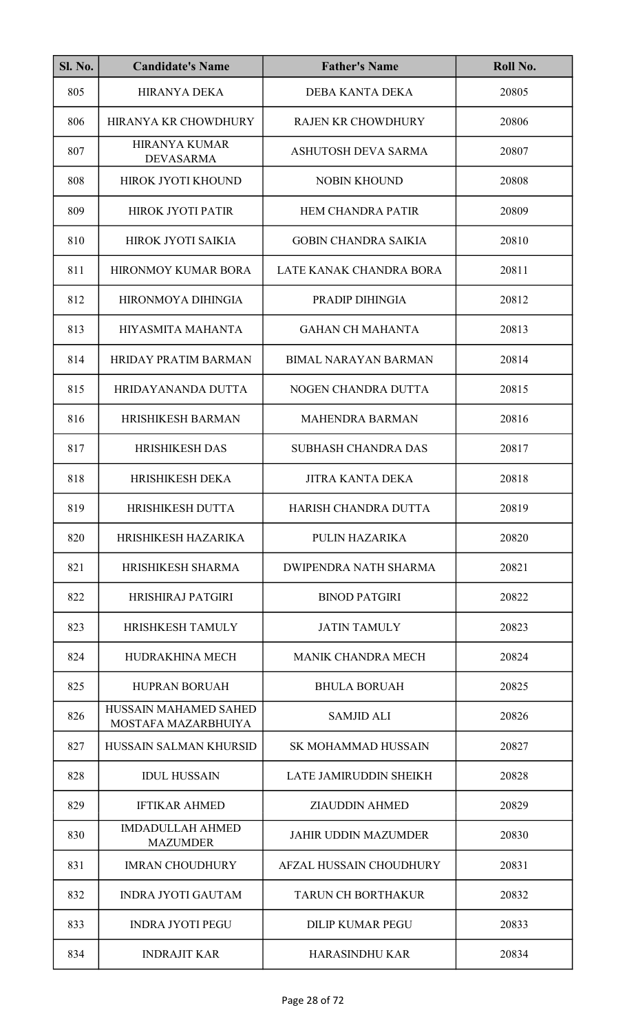| <b>Sl. No.</b> | <b>Candidate's Name</b>                      | <b>Father's Name</b>           | Roll No. |
|----------------|----------------------------------------------|--------------------------------|----------|
| 805            | <b>HIRANYA DEKA</b>                          | <b>DEBA KANTA DEKA</b>         | 20805    |
| 806            | HIRANYA KR CHOWDHURY                         | <b>RAJEN KR CHOWDHURY</b>      | 20806    |
| 807            | <b>HIRANYA KUMAR</b><br><b>DEVASARMA</b>     | ASHUTOSH DEVA SARMA            | 20807    |
| 808            | HIROK JYOTI KHOUND                           | <b>NOBIN KHOUND</b>            | 20808    |
| 809            | <b>HIROK JYOTI PATIR</b>                     | <b>HEM CHANDRA PATIR</b>       | 20809    |
| 810            | HIROK JYOTI SAIKIA                           | <b>GOBIN CHANDRA SAIKIA</b>    | 20810    |
| 811            | <b>HIRONMOY KUMAR BORA</b>                   | LATE KANAK CHANDRA BORA        | 20811    |
| 812            | HIRONMOYA DIHINGIA                           | PRADIP DIHINGIA                | 20812    |
| 813            | HIYASMITA MAHANTA                            | <b>GAHAN CH MAHANTA</b>        | 20813    |
| 814            | <b>HRIDAY PRATIM BARMAN</b>                  | <b>BIMAL NARAYAN BARMAN</b>    | 20814    |
| 815            | HRIDAYANANDA DUTTA                           | NOGEN CHANDRA DUTTA            | 20815    |
| 816            | <b>HRISHIKESH BARMAN</b>                     | <b>MAHENDRA BARMAN</b>         | 20816    |
| 817            | <b>HRISHIKESH DAS</b>                        | <b>SUBHASH CHANDRA DAS</b>     | 20817    |
| 818            | <b>HRISHIKESH DEKA</b>                       | <b>JITRA KANTA DEKA</b>        | 20818    |
| 819            | HRISHIKESH DUTTA                             | HARISH CHANDRA DUTTA           | 20819    |
| 820            | HRISHIKESH HAZARIKA                          | PULIN HAZARIKA                 | 20820    |
| 821            | HRISHIKESH SHARMA                            | <b>DWIPENDRA NATH SHARMA</b>   | 20821    |
| 822            | <b>HRISHIRAJ PATGIRI</b>                     | <b>BINOD PATGIRI</b>           | 20822    |
| 823            | <b>HRISHKESH TAMULY</b>                      | <b>JATIN TAMULY</b>            | 20823    |
| 824            | HUDRAKHINA MECH                              | <b>MANIK CHANDRA MECH</b>      | 20824    |
| 825            | <b>HUPRAN BORUAH</b>                         | <b>BHULA BORUAH</b>            | 20825    |
| 826            | HUSSAIN MAHAMED SAHED<br>MOSTAFA MAZARBHUIYA | <b>SAMJID ALI</b>              | 20826    |
| 827            | HUSSAIN SALMAN KHURSID                       | <b>SK MOHAMMAD HUSSAIN</b>     | 20827    |
| 828            | <b>IDUL HUSSAIN</b>                          | LATE JAMIRUDDIN SHEIKH         | 20828    |
| 829            | <b>IFTIKAR AHMED</b>                         | <b>ZIAUDDIN AHMED</b>          | 20829    |
| 830            | <b>IMDADULLAH AHMED</b><br><b>MAZUMDER</b>   | <b>JAHIR UDDIN MAZUMDER</b>    | 20830    |
| 831            | <b>IMRAN CHOUDHURY</b>                       | <b>AFZAL HUSSAIN CHOUDHURY</b> | 20831    |
| 832            | <b>INDRA JYOTI GAUTAM</b>                    | <b>TARUN CH BORTHAKUR</b>      | 20832    |
| 833            | <b>INDRA JYOTI PEGU</b>                      | <b>DILIP KUMAR PEGU</b>        | 20833    |
| 834            | <b>INDRAJIT KAR</b>                          | HARASINDHU KAR                 | 20834    |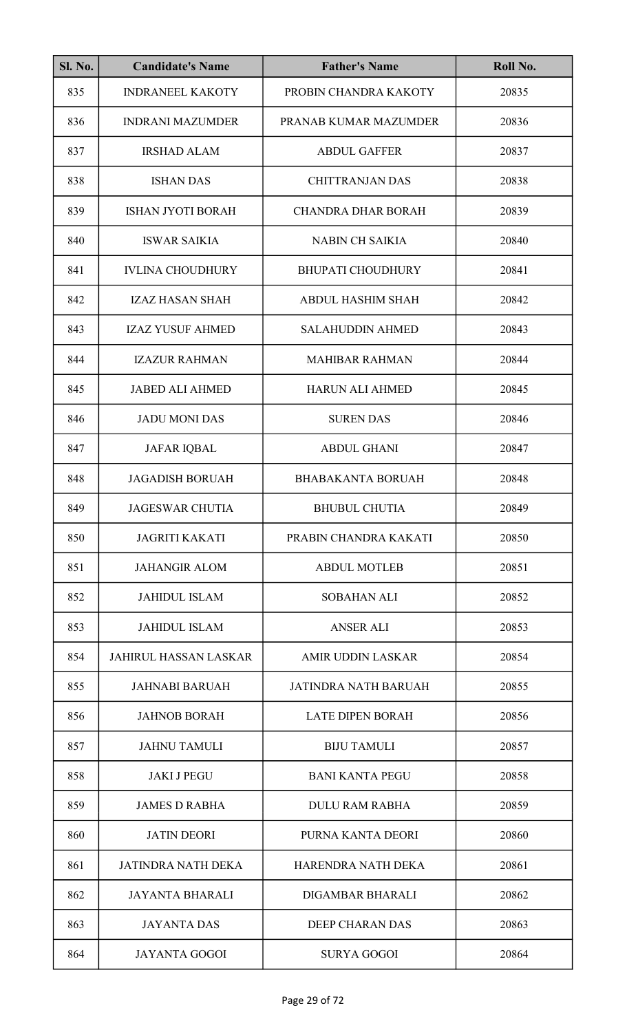| <b>Sl. No.</b> | <b>Candidate's Name</b>      | <b>Father's Name</b>        | Roll No. |
|----------------|------------------------------|-----------------------------|----------|
| 835            | <b>INDRANEEL KAKOTY</b>      | PROBIN CHANDRA KAKOTY       | 20835    |
| 836            | <b>INDRANI MAZUMDER</b>      | PRANAB KUMAR MAZUMDER       | 20836    |
| 837            | <b>IRSHAD ALAM</b>           | <b>ABDUL GAFFER</b>         | 20837    |
| 838            | <b>ISHAN DAS</b>             | <b>CHITTRANJAN DAS</b>      | 20838    |
| 839            | <b>ISHAN JYOTI BORAH</b>     | <b>CHANDRA DHAR BORAH</b>   | 20839    |
| 840            | <b>ISWAR SAIKIA</b>          | <b>NABIN CH SAIKIA</b>      | 20840    |
| 841            | <b>IVLINA CHOUDHURY</b>      | <b>BHUPATI CHOUDHURY</b>    | 20841    |
| 842            | <b>IZAZ HASAN SHAH</b>       | <b>ABDUL HASHIM SHAH</b>    | 20842    |
| 843            | <b>IZAZ YUSUF AHMED</b>      | <b>SALAHUDDIN AHMED</b>     | 20843    |
| 844            | <b>IZAZUR RAHMAN</b>         | <b>MAHIBAR RAHMAN</b>       | 20844    |
| 845            | <b>JABED ALI AHMED</b>       | HARUN ALI AHMED             | 20845    |
| 846            | <b>JADU MONI DAS</b>         | <b>SUREN DAS</b>            | 20846    |
| 847            | <b>JAFAR IQBAL</b>           | <b>ABDUL GHANI</b>          | 20847    |
| 848            | <b>JAGADISH BORUAH</b>       | <b>BHABAKANTA BORUAH</b>    | 20848    |
| 849            | <b>JAGESWAR CHUTIA</b>       | <b>BHUBUL CHUTIA</b>        | 20849    |
| 850            | <b>JAGRITI KAKATI</b>        | PRABIN CHANDRA KAKATI       | 20850    |
| 851            | <b>JAHANGIR ALOM</b>         | <b>ABDUL MOTLEB</b>         | 20851    |
| 852            | <b>JAHIDUL ISLAM</b>         | <b>SOBAHAN ALI</b>          | 20852    |
| 853            | <b>JAHIDUL ISLAM</b>         | <b>ANSER ALI</b>            | 20853    |
| 854            | <b>JAHIRUL HASSAN LASKAR</b> | <b>AMIR UDDIN LASKAR</b>    | 20854    |
| 855            | <b>JAHNABI BARUAH</b>        | <b>JATINDRA NATH BARUAH</b> | 20855    |
| 856            | <b>JAHNOB BORAH</b>          | <b>LATE DIPEN BORAH</b>     | 20856    |
| 857            | <b>JAHNU TAMULI</b>          | <b>BIJU TAMULI</b>          | 20857    |
| 858            | <b>JAKI J PEGU</b>           | <b>BANI KANTA PEGU</b>      | 20858    |
| 859            | <b>JAMES D RABHA</b>         | <b>DULU RAM RABHA</b>       | 20859    |
| 860            | <b>JATIN DEORI</b>           | PURNA KANTA DEORI           | 20860    |
| 861            | <b>JATINDRA NATH DEKA</b>    | HARENDRA NATH DEKA          | 20861    |
| 862            | <b>JAYANTA BHARALI</b>       | DIGAMBAR BHARALI            | 20862    |
| 863            | <b>JAYANTA DAS</b>           | <b>DEEP CHARAN DAS</b>      | 20863    |
| 864            | <b>JAYANTA GOGOI</b>         | <b>SURYA GOGOI</b>          | 20864    |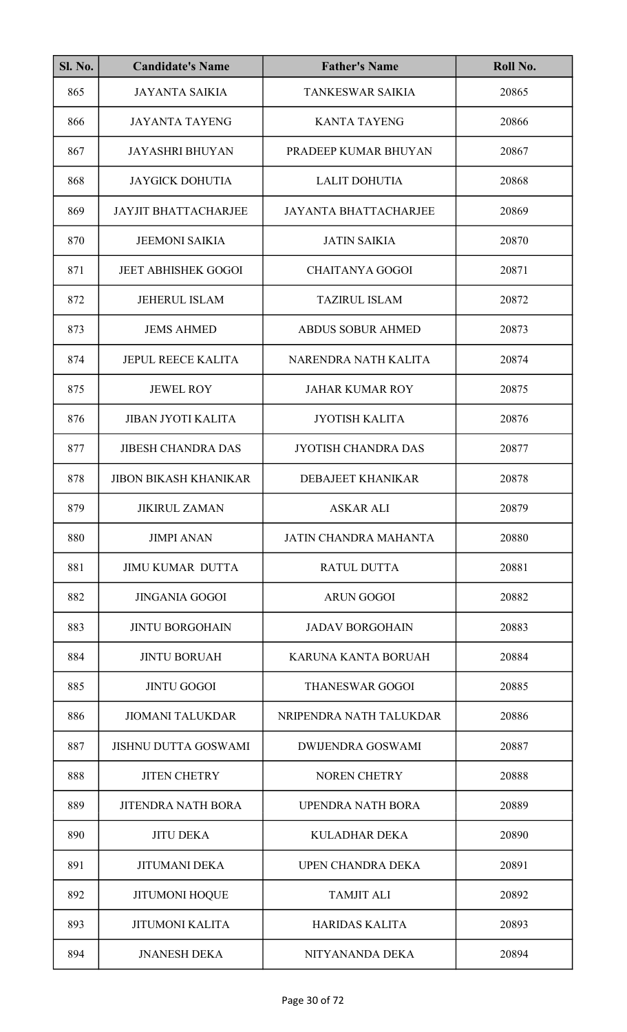| <b>Sl. No.</b> | <b>Candidate's Name</b>      | <b>Father's Name</b>         | Roll No. |
|----------------|------------------------------|------------------------------|----------|
| 865            | <b>JAYANTA SAIKIA</b>        | <b>TANKESWAR SAIKIA</b>      | 20865    |
| 866            | <b>JAYANTA TAYENG</b>        | <b>KANTA TAYENG</b>          | 20866    |
| 867            | <b>JAYASHRI BHUYAN</b>       | PRADEEP KUMAR BHUYAN         | 20867    |
| 868            | <b>JAYGICK DOHUTIA</b>       | <b>LALIT DOHUTIA</b>         | 20868    |
| 869            | <b>JAYJIT BHATTACHARJEE</b>  | <b>JAYANTA BHATTACHARJEE</b> | 20869    |
| 870            | <b>JEEMONI SAIKIA</b>        | <b>JATIN SAIKIA</b>          | 20870    |
| 871            | <b>JEET ABHISHEK GOGOI</b>   | <b>CHAITANYA GOGOI</b>       | 20871    |
| 872            | <b>JEHERUL ISLAM</b>         | <b>TAZIRUL ISLAM</b>         | 20872    |
| 873            | <b>JEMS AHMED</b>            | <b>ABDUS SOBUR AHMED</b>     | 20873    |
| 874            | <b>JEPUL REECE KALITA</b>    | NARENDRA NATH KALITA         | 20874    |
| 875            | <b>JEWEL ROY</b>             | <b>JAHAR KUMAR ROY</b>       | 20875    |
| 876            | <b>JIBAN JYOTI KALITA</b>    | <b>JYOTISH KALITA</b>        | 20876    |
| 877            | <b>JIBESH CHANDRA DAS</b>    | <b>JYOTISH CHANDRA DAS</b>   | 20877    |
| 878            | <b>JIBON BIKASH KHANIKAR</b> | <b>DEBAJEET KHANIKAR</b>     | 20878    |
| 879            | <b>JIKIRUL ZAMAN</b>         | ASKAR ALI                    | 20879    |
| 880            | <b>JIMPI ANAN</b>            | JATIN CHANDRA MAHANTA        | 20880    |
| 881            | <b>JIMU KUMAR DUTTA</b>      | <b>RATUL DUTTA</b>           | 20881    |
| 882            | <b>JINGANIA GOGOI</b>        | <b>ARUN GOGOI</b>            | 20882    |
| 883            | <b>JINTU BORGOHAIN</b>       | <b>JADAV BORGOHAIN</b>       | 20883    |
| 884            | <b>JINTU BORUAH</b>          | KARUNA KANTA BORUAH          | 20884    |
| 885            | <b>JINTU GOGOI</b>           | <b>THANESWAR GOGOI</b>       | 20885    |
| 886            | <b>JIOMANI TALUKDAR</b>      | NRIPENDRA NATH TALUKDAR      | 20886    |
| 887            | <b>JISHNU DUTTA GOSWAMI</b>  | DWIJENDRA GOSWAMI            | 20887    |
| 888            | <b>JITEN CHETRY</b>          | <b>NOREN CHETRY</b>          | 20888    |
| 889            | <b>JITENDRA NATH BORA</b>    | UPENDRA NATH BORA            | 20889    |
| 890            | <b>JITU DEKA</b>             | <b>KULADHAR DEKA</b>         | 20890    |
| 891            | <b>JITUMANI DEKA</b>         | <b>UPEN CHANDRA DEKA</b>     | 20891    |
| 892            | <b>JITUMONI HOQUE</b>        | <b>TAMJIT ALI</b>            | 20892    |
| 893            | <b>JITUMONI KALITA</b>       | <b>HARIDAS KALITA</b>        | 20893    |
| 894            | <b>JNANESH DEKA</b>          | NITYANANDA DEKA              | 20894    |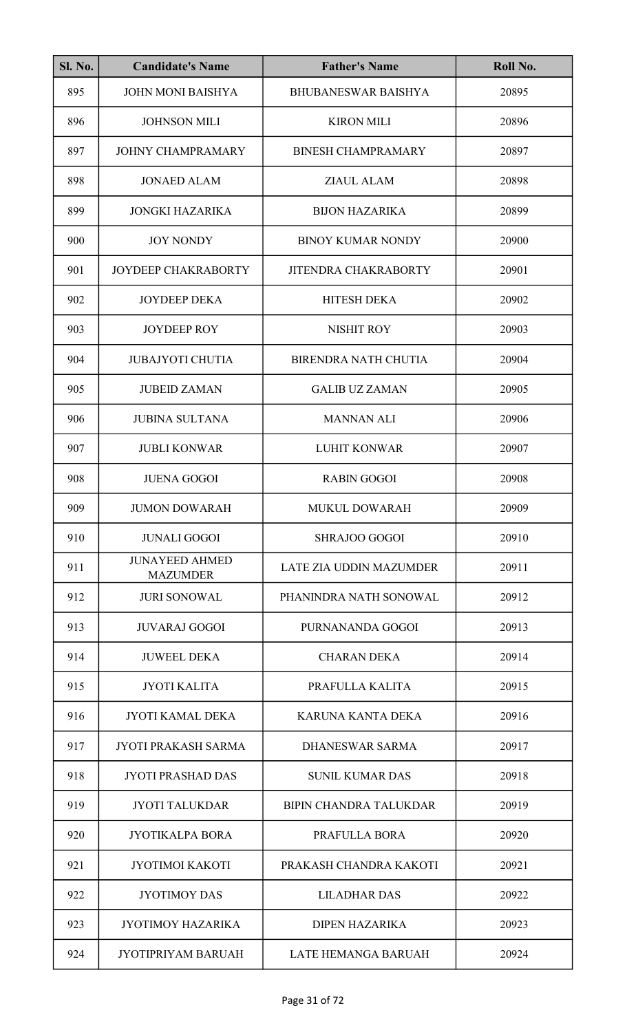| <b>Sl. No.</b> | <b>Candidate's Name</b>                  | <b>Father's Name</b>           | Roll No. |
|----------------|------------------------------------------|--------------------------------|----------|
| 895            | <b>JOHN MONI BAISHYA</b>                 | <b>BHUBANESWAR BAISHYA</b>     | 20895    |
| 896            | <b>JOHNSON MILI</b>                      | <b>KIRON MILI</b>              | 20896    |
| 897            | <b>JOHNY CHAMPRAMARY</b>                 | <b>BINESH CHAMPRAMARY</b>      | 20897    |
| 898            | <b>JONAED ALAM</b>                       | ZIAUL ALAM                     | 20898    |
| 899            | JONGKI HAZARIKA                          | <b>BIJON HAZARIKA</b>          | 20899    |
| 900            | <b>JOY NONDY</b>                         | <b>BINOY KUMAR NONDY</b>       | 20900    |
| 901            | JOYDEEP CHAKRABORTY                      | <b>JITENDRA CHAKRABORTY</b>    | 20901    |
| 902            | <b>JOYDEEP DEKA</b>                      | <b>HITESH DEKA</b>             | 20902    |
| 903            | <b>JOYDEEP ROY</b>                       | <b>NISHIT ROY</b>              | 20903    |
| 904            | <b>JUBAJYOTI CHUTIA</b>                  | <b>BIRENDRA NATH CHUTIA</b>    | 20904    |
| 905            | <b>JUBEID ZAMAN</b>                      | <b>GALIB UZ ZAMAN</b>          | 20905    |
| 906            | <b>JUBINA SULTANA</b>                    | <b>MANNAN ALI</b>              | 20906    |
| 907            | <b>JUBLI KONWAR</b>                      | <b>LUHIT KONWAR</b>            | 20907    |
| 908            | <b>JUENA GOGOI</b>                       | <b>RABIN GOGOI</b>             | 20908    |
| 909            | <b>JUMON DOWARAH</b>                     | <b>MUKUL DOWARAH</b>           | 20909    |
| 910            | <b>JUNALI GOGOI</b>                      | <b>SHRAJOO GOGOI</b>           | 20910    |
| 911            | <b>JUNAYEED AHMED</b><br><b>MAZUMDER</b> | <b>LATE ZIA UDDIN MAZUMDER</b> | 20911    |
| 912            | <b>JURI SONOWAL</b>                      | PHANINDRA NATH SONOWAL         | 20912    |
| 913            | <b>JUVARAJ GOGOI</b>                     | PURNANANDA GOGOI               | 20913    |
| 914            | <b>JUWEEL DEKA</b>                       | <b>CHARAN DEKA</b>             | 20914    |
| 915            | <b>JYOTI KALITA</b>                      | PRAFULLA KALITA                | 20915    |
| 916            | <b>JYOTI KAMAL DEKA</b>                  | KARUNA KANTA DEKA              | 20916    |
| 917            | <b>JYOTI PRAKASH SARMA</b>               | DHANESWAR SARMA                | 20917    |
| 918            | <b>JYOTI PRASHAD DAS</b>                 | <b>SUNIL KUMAR DAS</b>         | 20918    |
| 919            | <b>JYOTI TALUKDAR</b>                    | <b>BIPIN CHANDRA TALUKDAR</b>  | 20919    |
| 920            | <b>JYOTIKALPA BORA</b>                   | PRAFULLA BORA                  | 20920    |
| 921            | <b>JYOTIMOI KAKOTI</b>                   | PRAKASH CHANDRA KAKOTI         | 20921    |
| 922            | <b>JYOTIMOY DAS</b>                      | <b>LILADHAR DAS</b>            | 20922    |
| 923            | <b>JYOTIMOY HAZARIKA</b>                 | <b>DIPEN HAZARIKA</b>          | 20923    |
| 924            | <b>JYOTIPRIYAM BARUAH</b>                | LATE HEMANGA BARUAH            | 20924    |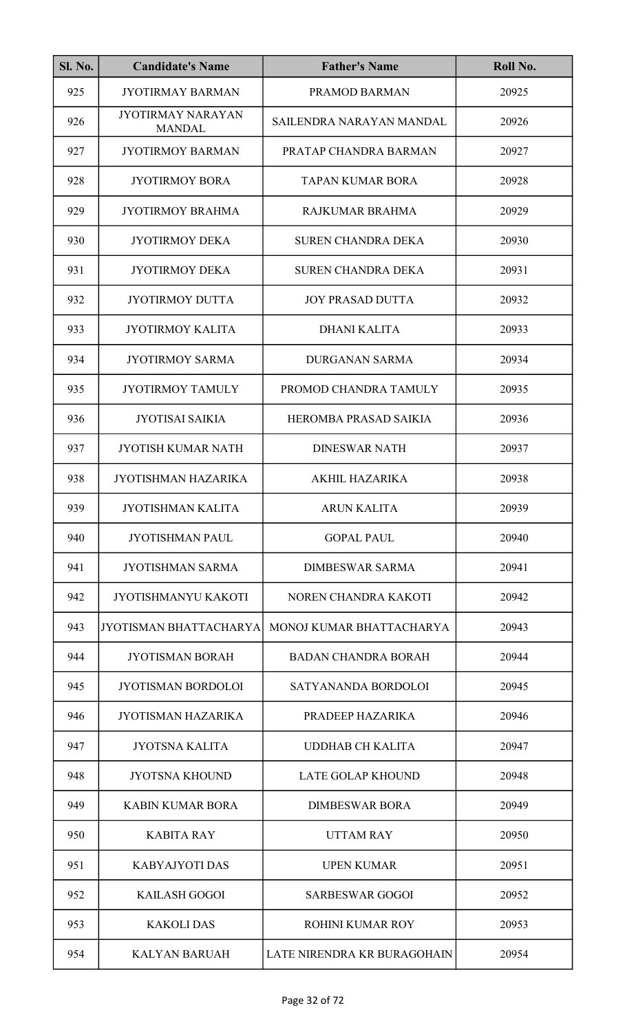| <b>Sl. No.</b> | <b>Candidate's Name</b>                   | <b>Father's Name</b>        | Roll No. |
|----------------|-------------------------------------------|-----------------------------|----------|
| 925            | <b>JYOTIRMAY BARMAN</b>                   | PRAMOD BARMAN               | 20925    |
| 926            | <b>JYOTIRMAY NARAYAN</b><br><b>MANDAL</b> | SAILENDRA NARAYAN MANDAL    | 20926    |
| 927            | <b>JYOTIRMOY BARMAN</b>                   | PRATAP CHANDRA BARMAN       | 20927    |
| 928            | <b>JYOTIRMOY BORA</b>                     | <b>TAPAN KUMAR BORA</b>     | 20928    |
| 929            | <b>JYOTIRMOY BRAHMA</b>                   | RAJKUMAR BRAHMA             | 20929    |
| 930            | <b>JYOTIRMOY DEKA</b>                     | <b>SUREN CHANDRA DEKA</b>   | 20930    |
| 931            | <b>JYOTIRMOY DEKA</b>                     | <b>SUREN CHANDRA DEKA</b>   | 20931    |
| 932            | <b>JYOTIRMOY DUTTA</b>                    | <b>JOY PRASAD DUTTA</b>     | 20932    |
| 933            | <b>JYOTIRMOY KALITA</b>                   | <b>DHANI KALITA</b>         | 20933    |
| 934            | <b>JYOTIRMOY SARMA</b>                    | <b>DURGANAN SARMA</b>       | 20934    |
| 935            | <b>JYOTIRMOY TAMULY</b>                   | PROMOD CHANDRA TAMULY       | 20935    |
| 936            | <b>JYOTISAI SAIKIA</b>                    | HEROMBA PRASAD SAIKIA       | 20936    |
| 937            | <b>JYOTISH KUMAR NATH</b>                 | <b>DINESWAR NATH</b>        | 20937    |
| 938            | JYOTISHMAN HAZARIKA                       | <b>AKHIL HAZARIKA</b>       | 20938    |
| 939            | <b>JYOTISHMAN KALITA</b>                  | <b>ARUN KALITA</b>          | 20939    |
| 940            | <b>JYOTISHMAN PAUL</b>                    | <b>GOPAL PAUL</b>           | 20940    |
| 941            | <b>JYOTISHMAN SARMA</b>                   | <b>DIMBESWAR SARMA</b>      | 20941    |
| 942            | <b>JYOTISHMANYU KAKOTI</b>                | NOREN CHANDRA KAKOTI        | 20942    |
| 943            | <b>JYOTISMAN BHATTACHARYA</b>             | MONOJ KUMAR BHATTACHARYA    | 20943    |
| 944            | <b>JYOTISMAN BORAH</b>                    | <b>BADAN CHANDRA BORAH</b>  | 20944    |
| 945            | <b>JYOTISMAN BORDOLOI</b>                 | SATYANANDA BORDOLOI         | 20945    |
| 946            | <b>JYOTISMAN HAZARIKA</b>                 | PRADEEP HAZARIKA            | 20946    |
| 947            | <b>JYOTSNA KALITA</b>                     | <b>UDDHAB CH KALITA</b>     | 20947    |
| 948            | <b>JYOTSNA KHOUND</b>                     | <b>LATE GOLAP KHOUND</b>    | 20948    |
| 949            | <b>KABIN KUMAR BORA</b>                   | <b>DIMBESWAR BORA</b>       | 20949    |
| 950            | <b>KABITA RAY</b>                         | <b>UTTAM RAY</b>            | 20950    |
| 951            | <b>KABYAJYOTI DAS</b>                     | <b>UPEN KUMAR</b>           | 20951    |
| 952            | <b>KAILASH GOGOI</b>                      | <b>SARBESWAR GOGOI</b>      | 20952    |
| 953            | <b>KAKOLIDAS</b>                          | <b>ROHINI KUMAR ROY</b>     | 20953    |
| 954            | <b>KALYAN BARUAH</b>                      | LATE NIRENDRA KR BURAGOHAIN | 20954    |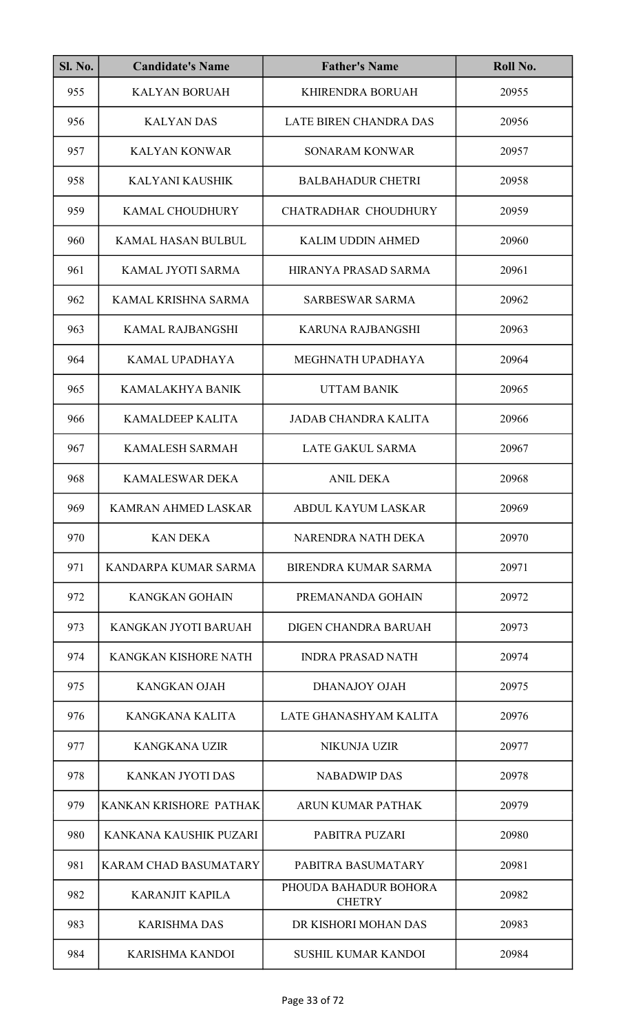| <b>Sl. No.</b> | <b>Candidate's Name</b>      | <b>Father's Name</b>                   | Roll No. |
|----------------|------------------------------|----------------------------------------|----------|
| 955            | <b>KALYAN BORUAH</b>         | KHIRENDRA BORUAH                       | 20955    |
| 956            | <b>KALYAN DAS</b>            | <b>LATE BIREN CHANDRA DAS</b>          | 20956    |
| 957            | <b>KALYAN KONWAR</b>         | <b>SONARAM KONWAR</b>                  | 20957    |
| 958            | KALYANI KAUSHIK              | <b>BALBAHADUR CHETRI</b>               | 20958    |
| 959            | <b>KAMAL CHOUDHURY</b>       | CHATRADHAR CHOUDHURY                   | 20959    |
| 960            | KAMAL HASAN BULBUL           | <b>KALIM UDDIN AHMED</b>               | 20960    |
| 961            | KAMAL JYOTI SARMA            | HIRANYA PRASAD SARMA                   | 20961    |
| 962            | KAMAL KRISHNA SARMA          | <b>SARBESWAR SARMA</b>                 | 20962    |
| 963            | <b>KAMAL RAJBANGSHI</b>      | <b>KARUNA RAJBANGSHI</b>               | 20963    |
| 964            | KAMAL UPADHAYA               | MEGHNATH UPADHAYA                      | 20964    |
| 965            | KAMALAKHYA BANIK             | <b>UTTAM BANIK</b>                     | 20965    |
| 966            | KAMALDEEP KALITA             | <b>JADAB CHANDRA KALITA</b>            | 20966    |
| 967            | <b>KAMALESH SARMAH</b>       | <b>LATE GAKUL SARMA</b>                | 20967    |
| 968            | <b>KAMALESWAR DEKA</b>       | <b>ANIL DEKA</b>                       | 20968    |
| 969            | KAMRAN AHMED LASKAR          | ABDUL KAYUM LASKAR                     | 20969    |
| 970            | <b>KAN DEKA</b>              | NARENDRA NATH DEKA                     | 20970    |
| 971            | KANDARPA KUMAR SARMA         | BIRENDRA KUMAR SARMA                   | 20971    |
| 972            | <b>KANGKAN GOHAIN</b>        | PREMANANDA GOHAIN                      | 20972    |
| 973            | KANGKAN JYOTI BARUAH         | DIGEN CHANDRA BARUAH                   | 20973    |
| 974            | KANGKAN KISHORE NATH         | <b>INDRA PRASAD NATH</b>               | 20974    |
| 975            | KANGKAN OJAH                 | DHANAJOY OJAH                          | 20975    |
| 976            | KANGKANA KALITA              | LATE GHANASHYAM KALITA                 | 20976    |
| 977            | <b>KANGKANA UZIR</b>         | NIKUNJA UZIR                           | 20977    |
| 978            | <b>KANKAN JYOTI DAS</b>      | <b>NABADWIP DAS</b>                    | 20978    |
| 979            | KANKAN KRISHORE PATHAK       | ARUN KUMAR PATHAK                      | 20979    |
| 980            | KANKANA KAUSHIK PUZARI       | PABITRA PUZARI                         | 20980    |
| 981            | <b>KARAM CHAD BASUMATARY</b> | PABITRA BASUMATARY                     | 20981    |
| 982            | <b>KARANJIT KAPILA</b>       | PHOUDA BAHADUR BOHORA<br><b>CHETRY</b> | 20982    |
| 983            | <b>KARISHMA DAS</b>          | DR KISHORI MOHAN DAS                   | 20983    |
| 984            | <b>KARISHMA KANDOI</b>       | <b>SUSHIL KUMAR KANDOI</b>             | 20984    |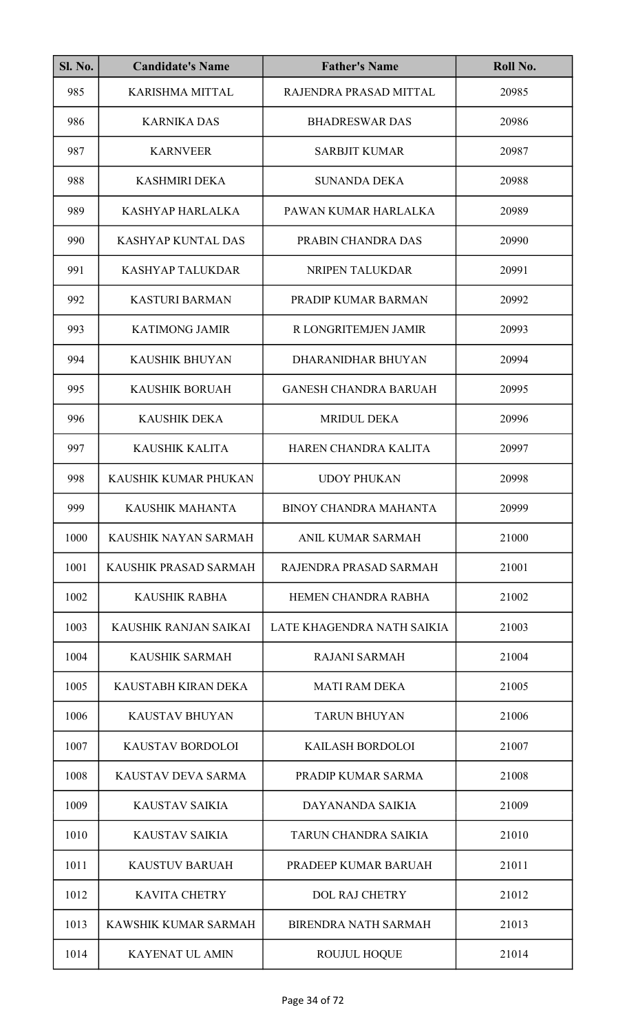| <b>Sl. No.</b> | <b>Candidate's Name</b>   | <b>Father's Name</b>         | Roll No. |
|----------------|---------------------------|------------------------------|----------|
| 985            | <b>KARISHMA MITTAL</b>    | RAJENDRA PRASAD MITTAL       | 20985    |
| 986            | <b>KARNIKA DAS</b>        | <b>BHADRESWAR DAS</b>        | 20986    |
| 987            | <b>KARNVEER</b>           | <b>SARBJIT KUMAR</b>         | 20987    |
| 988            | <b>KASHMIRI DEKA</b>      | <b>SUNANDA DEKA</b>          | 20988    |
| 989            | KASHYAP HARLALKA          | PAWAN KUMAR HARLALKA         | 20989    |
| 990            | <b>KASHYAP KUNTAL DAS</b> | PRABIN CHANDRA DAS           | 20990    |
| 991            | <b>KASHYAP TALUKDAR</b>   | NRIPEN TALUKDAR              | 20991    |
| 992            | <b>KASTURI BARMAN</b>     | PRADIP KUMAR BARMAN          | 20992    |
| 993            | <b>KATIMONG JAMIR</b>     | R LONGRITEMJEN JAMIR         | 20993    |
| 994            | <b>KAUSHIK BHUYAN</b>     | DHARANIDHAR BHUYAN           | 20994    |
| 995            | <b>KAUSHIK BORUAH</b>     | <b>GANESH CHANDRA BARUAH</b> | 20995    |
| 996            | <b>KAUSHIK DEKA</b>       | <b>MRIDUL DEKA</b>           | 20996    |
| 997            | <b>KAUSHIK KALITA</b>     | HAREN CHANDRA KALITA         | 20997    |
| 998            | KAUSHIK KUMAR PHUKAN      | <b>UDOY PHUKAN</b>           | 20998    |
| 999            | KAUSHIK MAHANTA           | <b>BINOY CHANDRA MAHANTA</b> | 20999    |
| 1000           | KAUSHIK NAYAN SARMAH      | ANIL KUMAR SARMAH            | 21000    |
| 1001           | KAUSHIK PRASAD SARMAH     | RAJENDRA PRASAD SARMAH       | 21001    |
| 1002           | <b>KAUSHIK RABHA</b>      | HEMEN CHANDRA RABHA          | 21002    |
| 1003           | KAUSHIK RANJAN SAIKAI     | LATE KHAGENDRA NATH SAIKIA   | 21003    |
| 1004           | <b>KAUSHIK SARMAH</b>     | <b>RAJANI SARMAH</b>         | 21004    |
| 1005           | KAUSTABH KIRAN DEKA       | <b>MATI RAM DEKA</b>         | 21005    |
| 1006           | <b>KAUSTAV BHUYAN</b>     | <b>TARUN BHUYAN</b>          | 21006    |
| 1007           | <b>KAUSTAV BORDOLOI</b>   | <b>KAILASH BORDOLOI</b>      | 21007    |
| 1008           | KAUSTAV DEVA SARMA        | PRADIP KUMAR SARMA           | 21008    |
| 1009           | <b>KAUSTAV SAIKIA</b>     | DAYANANDA SAIKIA             | 21009    |
| 1010           | <b>KAUSTAV SAIKIA</b>     | TARUN CHANDRA SAIKIA         | 21010    |
| 1011           | <b>KAUSTUV BARUAH</b>     | PRADEEP KUMAR BARUAH         | 21011    |
| 1012           | <b>KAVITA CHETRY</b>      | <b>DOL RAJ CHETRY</b>        | 21012    |
| 1013           | KAWSHIK KUMAR SARMAH      | <b>BIRENDRA NATH SARMAH</b>  | 21013    |
| 1014           | <b>KAYENAT UL AMIN</b>    | <b>ROUJUL HOQUE</b>          | 21014    |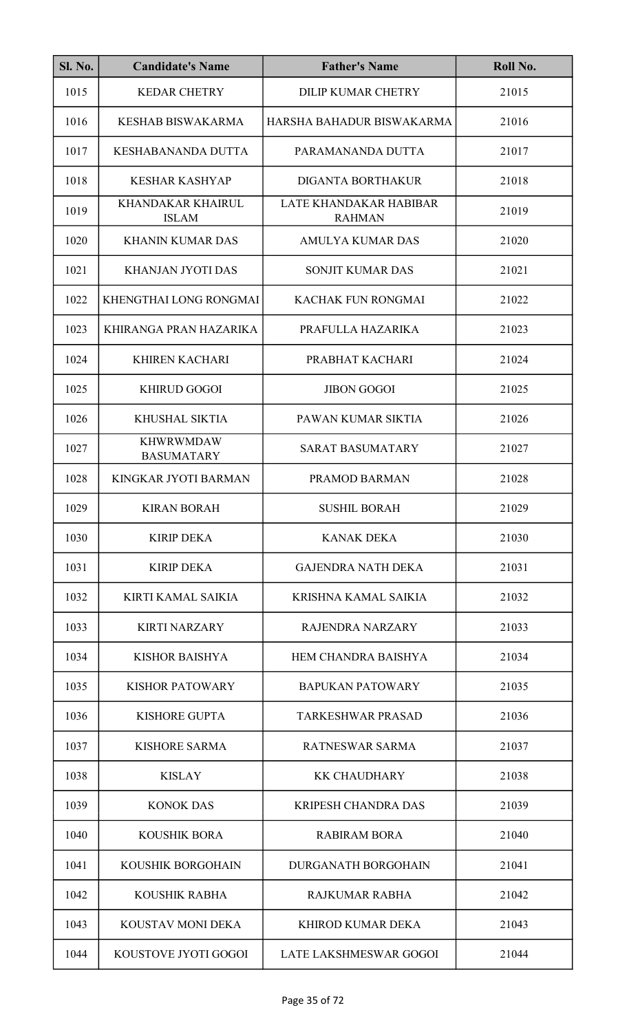| <b>Sl. No.</b> | <b>Candidate's Name</b>               | <b>Father's Name</b>                    | Roll No. |
|----------------|---------------------------------------|-----------------------------------------|----------|
| 1015           | <b>KEDAR CHETRY</b>                   | <b>DILIP KUMAR CHETRY</b>               | 21015    |
| 1016           | <b>KESHAB BISWAKARMA</b>              | HARSHA BAHADUR BISWAKARMA               | 21016    |
| 1017           | <b>KESHABANANDA DUTTA</b>             | PARAMANANDA DUTTA                       | 21017    |
| 1018           | <b>KESHAR KASHYAP</b>                 | <b>DIGANTA BORTHAKUR</b>                | 21018    |
| 1019           | KHANDAKAR KHAIRUL<br><b>ISLAM</b>     | LATE KHANDAKAR HABIBAR<br><b>RAHMAN</b> | 21019    |
| 1020           | <b>KHANIN KUMAR DAS</b>               | <b>AMULYA KUMAR DAS</b>                 | 21020    |
| 1021           | <b>KHANJAN JYOTI DAS</b>              | <b>SONJIT KUMAR DAS</b>                 | 21021    |
| 1022           | KHENGTHAI LONG RONGMAI                | <b>KACHAK FUN RONGMAI</b>               | 21022    |
| 1023           | KHIRANGA PRAN HAZARIKA                | PRAFULLA HAZARIKA                       | 21023    |
| 1024           | <b>KHIREN KACHARI</b>                 | PRABHAT KACHARI                         | 21024    |
| 1025           | <b>KHIRUD GOGOI</b>                   | <b>JIBON GOGOI</b>                      | 21025    |
| 1026           | KHUSHAL SIKTIA                        | PAWAN KUMAR SIKTIA                      | 21026    |
| 1027           | <b>KHWRWMDAW</b><br><b>BASUMATARY</b> | <b>SARAT BASUMATARY</b>                 | 21027    |
| 1028           | KINGKAR JYOTI BARMAN                  | PRAMOD BARMAN                           | 21028    |
| 1029           | <b>KIRAN BORAH</b>                    | <b>SUSHIL BORAH</b>                     | 21029    |
| 1030           | <b>KIRIP DEKA</b>                     | <b>KANAK DEKA</b>                       | 21030    |
| 1031           | <b>KIRIP DEKA</b>                     | <b>GAJENDRA NATH DEKA</b>               | 21031    |
| 1032           | KIRTI KAMAL SAIKIA                    | KRISHNA KAMAL SAIKIA                    | 21032    |
| 1033           | <b>KIRTI NARZARY</b>                  | <b>RAJENDRA NARZARY</b>                 | 21033    |
| 1034           | <b>KISHOR BAISHYA</b>                 | <b>HEM CHANDRA BAISHYA</b>              | 21034    |
| 1035           | <b>KISHOR PATOWARY</b>                | <b>BAPUKAN PATOWARY</b>                 | 21035    |
| 1036           | <b>KISHORE GUPTA</b>                  | <b>TARKESHWAR PRASAD</b>                | 21036    |
| 1037           | <b>KISHORE SARMA</b>                  | RATNESWAR SARMA                         | 21037    |
| 1038           | <b>KISLAY</b>                         | <b>KK CHAUDHARY</b>                     | 21038    |
| 1039           | <b>KONOK DAS</b>                      | <b>KRIPESH CHANDRA DAS</b>              | 21039    |
| 1040           | <b>KOUSHIK BORA</b>                   | <b>RABIRAM BORA</b>                     | 21040    |
| 1041           | KOUSHIK BORGOHAIN                     | <b>DURGANATH BORGOHAIN</b>              | 21041    |
| 1042           | <b>KOUSHIK RABHA</b>                  | <b>RAJKUMAR RABHA</b>                   | 21042    |
| 1043           | KOUSTAV MONI DEKA                     | <b>KHIROD KUMAR DEKA</b>                | 21043    |
| 1044           | KOUSTOVE JYOTI GOGOI                  | LATE LAKSHMESWAR GOGOI                  | 21044    |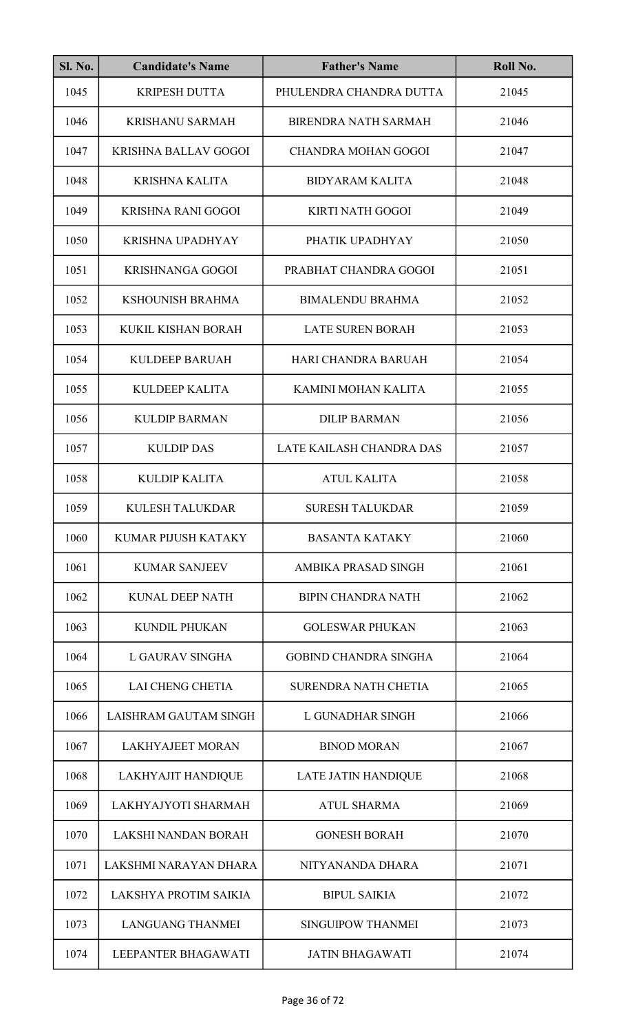| <b>Sl. No.</b> | <b>Candidate's Name</b>     | <b>Father's Name</b>         | Roll No. |
|----------------|-----------------------------|------------------------------|----------|
| 1045           | <b>KRIPESH DUTTA</b>        | PHULENDRA CHANDRA DUTTA      | 21045    |
| 1046           | <b>KRISHANU SARMAH</b>      | <b>BIRENDRA NATH SARMAH</b>  | 21046    |
| 1047           | <b>KRISHNA BALLAV GOGOI</b> | <b>CHANDRA MOHAN GOGOI</b>   | 21047    |
| 1048           | <b>KRISHNA KALITA</b>       | <b>BIDYARAM KALITA</b>       | 21048    |
| 1049           | KRISHNA RANI GOGOI          | <b>KIRTI NATH GOGOI</b>      | 21049    |
| 1050           | <b>KRISHNA UPADHYAY</b>     | PHATIK UPADHYAY              | 21050    |
| 1051           | <b>KRISHNANGA GOGOI</b>     | PRABHAT CHANDRA GOGOI        | 21051    |
| 1052           | KSHOUNISH BRAHMA            | <b>BIMALENDU BRAHMA</b>      | 21052    |
| 1053           | KUKIL KISHAN BORAH          | <b>LATE SUREN BORAH</b>      | 21053    |
| 1054           | <b>KULDEEP BARUAH</b>       | HARI CHANDRA BARUAH          | 21054    |
| 1055           | <b>KULDEEP KALITA</b>       | KAMINI MOHAN KALITA          | 21055    |
| 1056           | <b>KULDIP BARMAN</b>        | <b>DILIP BARMAN</b>          | 21056    |
| 1057           | <b>KULDIP DAS</b>           | LATE KAILASH CHANDRA DAS     | 21057    |
| 1058           | <b>KULDIP KALITA</b>        | <b>ATUL KALITA</b>           | 21058    |
| 1059           | KULESH TALUKDAR             | <b>SURESH TALUKDAR</b>       | 21059    |
| 1060           | <b>KUMAR PIJUSH KATAKY</b>  | <b>BASANTA KATAKY</b>        | 21060    |
| 1061           | <b>KUMAR SANJEEV</b>        | AMBIKA PRASAD SINGH          | 21061    |
| 1062           | KUNAL DEEP NATH             | <b>BIPIN CHANDRA NATH</b>    | 21062    |
| 1063           | <b>KUNDIL PHUKAN</b>        | <b>GOLESWAR PHUKAN</b>       | 21063    |
| 1064           | L GAURAV SINGHA             | <b>GOBIND CHANDRA SINGHA</b> | 21064    |
| 1065           | <b>LAI CHENG CHETIA</b>     | <b>SURENDRA NATH CHETIA</b>  | 21065    |
| 1066           | LAISHRAM GAUTAM SINGH       | L GUNADHAR SINGH             | 21066    |
| 1067           | <b>LAKHYAJEET MORAN</b>     | <b>BINOD MORAN</b>           | 21067    |
| 1068           | <b>LAKHYAJIT HANDIQUE</b>   | <b>LATE JATIN HANDIQUE</b>   | 21068    |
| 1069           | LAKHYAJYOTI SHARMAH         | <b>ATUL SHARMA</b>           | 21069    |
| 1070           | LAKSHI NANDAN BORAH         | <b>GONESH BORAH</b>          | 21070    |
| 1071           | LAKSHMI NARAYAN DHARA       | NITYANANDA DHARA             | 21071    |
| 1072           | LAKSHYA PROTIM SAIKIA       | <b>BIPUL SAIKIA</b>          | 21072    |
| 1073           | <b>LANGUANG THANMEI</b>     | <b>SINGUIPOW THANMEI</b>     | 21073    |
| 1074           | LEEPANTER BHAGAWATI         | <b>JATIN BHAGAWATI</b>       | 21074    |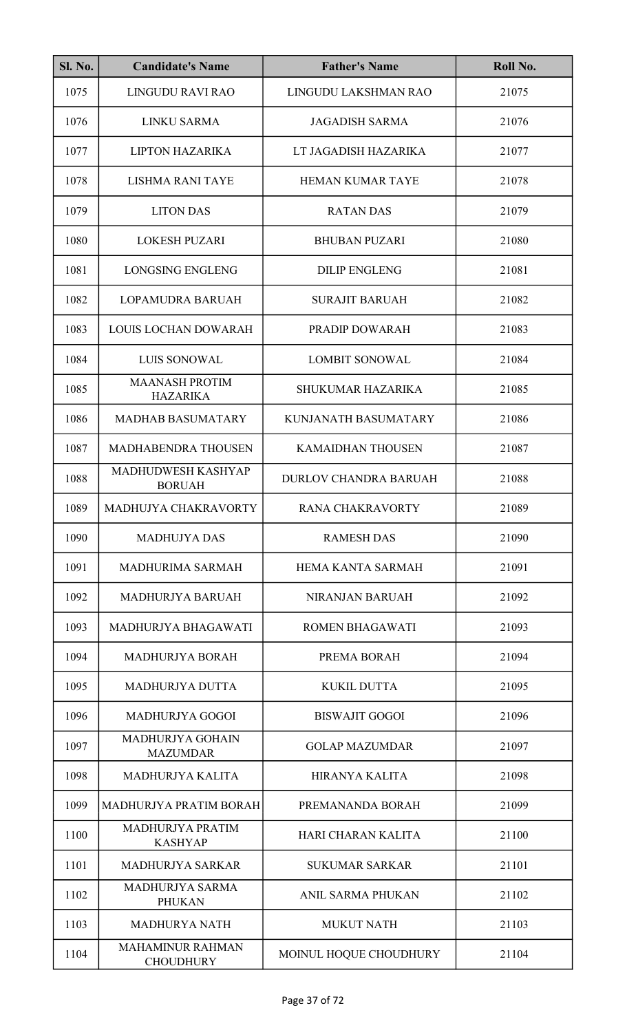| <b>Sl. No.</b> | <b>Candidate's Name</b>                     | <b>Father's Name</b>      | Roll No. |
|----------------|---------------------------------------------|---------------------------|----------|
| 1075           | LINGUDU RAVI RAO                            | LINGUDU LAKSHMAN RAO      | 21075    |
| 1076           | <b>LINKU SARMA</b>                          | <b>JAGADISH SARMA</b>     | 21076    |
| 1077           | <b>LIPTON HAZARIKA</b>                      | LT JAGADISH HAZARIKA      | 21077    |
| 1078           | LISHMA RANI TAYE                            | <b>HEMAN KUMAR TAYE</b>   | 21078    |
| 1079           | <b>LITON DAS</b>                            | <b>RATAN DAS</b>          | 21079    |
| 1080           | <b>LOKESH PUZARI</b>                        | <b>BHUBAN PUZARI</b>      | 21080    |
| 1081           | <b>LONGSING ENGLENG</b>                     | <b>DILIP ENGLENG</b>      | 21081    |
| 1082           | LOPAMUDRA BARUAH                            | <b>SURAJIT BARUAH</b>     | 21082    |
| 1083           | LOUIS LOCHAN DOWARAH                        | PRADIP DOWARAH            | 21083    |
| 1084           | LUIS SONOWAL                                | <b>LOMBIT SONOWAL</b>     | 21084    |
| 1085           | <b>MAANASH PROTIM</b><br><b>HAZARIKA</b>    | <b>SHUKUMAR HAZARIKA</b>  | 21085    |
| 1086           | <b>MADHAB BASUMATARY</b>                    | KUNJANATH BASUMATARY      | 21086    |
| 1087           | MADHABENDRA THOUSEN                         | <b>KAMAIDHAN THOUSEN</b>  | 21087    |
| 1088           | MADHUDWESH KASHYAP<br><b>BORUAH</b>         | DURLOV CHANDRA BARUAH     | 21088    |
| 1089           | MADHUJYA CHAKRAVORTY                        | RANA CHAKRAVORTY          | 21089    |
| 1090           | <b>MADHUJYA DAS</b>                         | <b>RAMESH DAS</b>         | 21090    |
| 1091           | MADHURIMA SARMAH                            | HEMA KANTA SARMAH         | 21091    |
| 1092           | MADHURJYA BARUAH                            | <b>NIRANJAN BARUAH</b>    | 21092    |
| 1093           | MADHURJYA BHAGAWATI                         | <b>ROMEN BHAGAWATI</b>    | 21093    |
| 1094           | <b>MADHURJYA BORAH</b>                      | PREMA BORAH               | 21094    |
| 1095           | <b>MADHURJYA DUTTA</b>                      | <b>KUKIL DUTTA</b>        | 21095    |
| 1096           | <b>MADHURJYA GOGOI</b>                      | <b>BISWAJIT GOGOI</b>     | 21096    |
| 1097           | MADHURJYA GOHAIN<br><b>MAZUMDAR</b>         | <b>GOLAP MAZUMDAR</b>     | 21097    |
| 1098           | MADHURJYA KALITA                            | <b>HIRANYA KALITA</b>     | 21098    |
| 1099           | MADHURJYA PRATIM BORAH                      | PREMANANDA BORAH          | 21099    |
| 1100           | MADHURJYA PRATIM<br><b>KASHYAP</b>          | <b>HARI CHARAN KALITA</b> | 21100    |
| 1101           | <b>MADHURJYA SARKAR</b>                     | <b>SUKUMAR SARKAR</b>     | 21101    |
| 1102           | <b>MADHURJYA SARMA</b><br><b>PHUKAN</b>     | <b>ANIL SARMA PHUKAN</b>  | 21102    |
| 1103           | <b>MADHURYA NATH</b>                        | <b>MUKUT NATH</b>         | 21103    |
| 1104           | <b>MAHAMINUR RAHMAN</b><br><b>CHOUDHURY</b> | MOINUL HOQUE CHOUDHURY    | 21104    |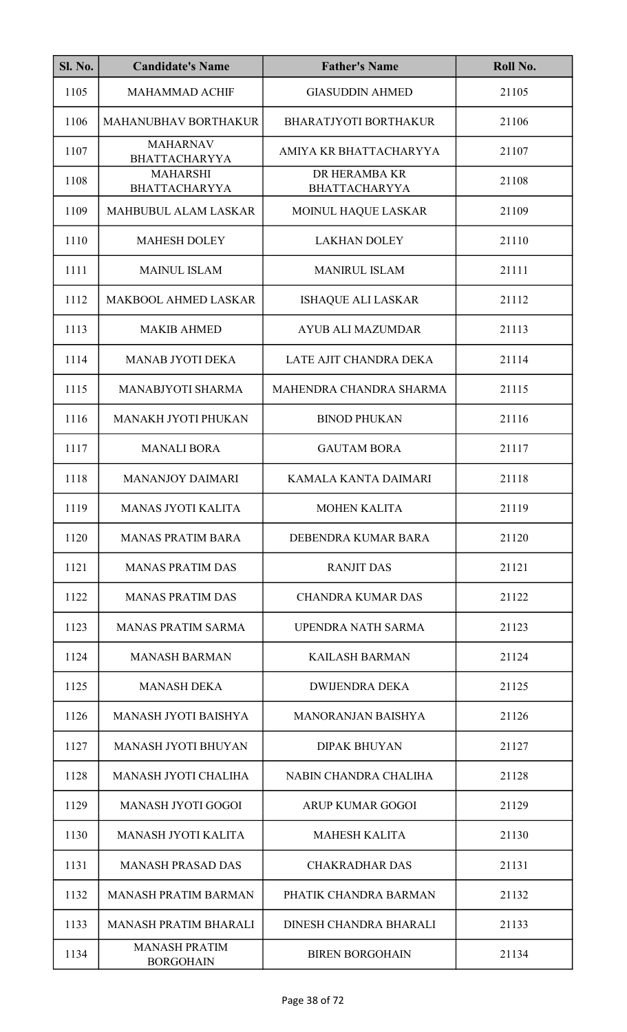| Sl. No. | <b>Candidate's Name</b>                  | <b>Father's Name</b>                  | Roll No. |
|---------|------------------------------------------|---------------------------------------|----------|
| 1105    | <b>MAHAMMAD ACHIF</b>                    | <b>GIASUDDIN AHMED</b>                | 21105    |
| 1106    | MAHANUBHAV BORTHAKUR                     | <b>BHARATJYOTI BORTHAKUR</b>          | 21106    |
| 1107    | <b>MAHARNAV</b><br><b>BHATTACHARYYA</b>  | AMIYA KR BHATTACHARYYA                | 21107    |
| 1108    | <b>MAHARSHI</b><br><b>BHATTACHARYYA</b>  | DR HERAMBA KR<br><b>BHATTACHARYYA</b> | 21108    |
| 1109    | MAHBUBUL ALAM LASKAR                     | MOINUL HAQUE LASKAR                   | 21109    |
| 1110    | <b>MAHESH DOLEY</b>                      | <b>LAKHAN DOLEY</b>                   | 21110    |
| 1111    | <b>MAINUL ISLAM</b>                      | <b>MANIRUL ISLAM</b>                  | 21111    |
| 1112    | <b>MAKBOOL AHMED LASKAR</b>              | <b>ISHAQUE ALI LASKAR</b>             | 21112    |
| 1113    | <b>MAKIB AHMED</b>                       | <b>AYUB ALI MAZUMDAR</b>              | 21113    |
| 1114    | <b>MANAB JYOTI DEKA</b>                  | LATE AJIT CHANDRA DEKA                | 21114    |
| 1115    | MANABJYOTI SHARMA                        | MAHENDRA CHANDRA SHARMA               | 21115    |
| 1116    | MANAKH JYOTI PHUKAN                      | <b>BINOD PHUKAN</b>                   | 21116    |
| 1117    | <b>MANALI BORA</b>                       | <b>GAUTAM BORA</b>                    | 21117    |
| 1118    | <b>MANANJOY DAIMARI</b>                  | KAMALA KANTA DAIMARI                  | 21118    |
| 1119    | <b>MANAS JYOTI KALITA</b>                | <b>MOHEN KALITA</b>                   | 21119    |
| 1120    | <b>MANAS PRATIM BARA</b>                 | DEBENDRA KUMAR BARA                   | 21120    |
| 1121    | <b>MANAS PRATIM DAS</b>                  | <b>RANJIT DAS</b>                     | 21121    |
| 1122    | <b>MANAS PRATIM DAS</b>                  | <b>CHANDRA KUMAR DAS</b>              | 21122    |
| 1123    | <b>MANAS PRATIM SARMA</b>                | UPENDRA NATH SARMA                    | 21123    |
| 1124    | <b>MANASH BARMAN</b>                     | <b>KAILASH BARMAN</b>                 | 21124    |
| 1125    | <b>MANASH DEKA</b>                       | <b>DWIJENDRA DEKA</b>                 | 21125    |
| 1126    | MANASH JYOTI BAISHYA                     | <b>MANORANJAN BAISHYA</b>             | 21126    |
| 1127    | <b>MANASH JYOTI BHUYAN</b>               | <b>DIPAK BHUYAN</b>                   | 21127    |
| 1128    | <b>MANASH JYOTI CHALIHA</b>              | NABIN CHANDRA CHALIHA                 | 21128    |
| 1129    | <b>MANASH JYOTI GOGOI</b>                | <b>ARUP KUMAR GOGOI</b>               | 21129    |
| 1130    | <b>MANASH JYOTI KALITA</b>               | <b>MAHESH KALITA</b>                  | 21130    |
| 1131    | <b>MANASH PRASAD DAS</b>                 | <b>CHAKRADHAR DAS</b>                 | 21131    |
| 1132    | <b>MANASH PRATIM BARMAN</b>              | PHATIK CHANDRA BARMAN                 | 21132    |
| 1133    | <b>MANASH PRATIM BHARALI</b>             | DINESH CHANDRA BHARALI                | 21133    |
| 1134    | <b>MANASH PRATIM</b><br><b>BORGOHAIN</b> | <b>BIREN BORGOHAIN</b>                | 21134    |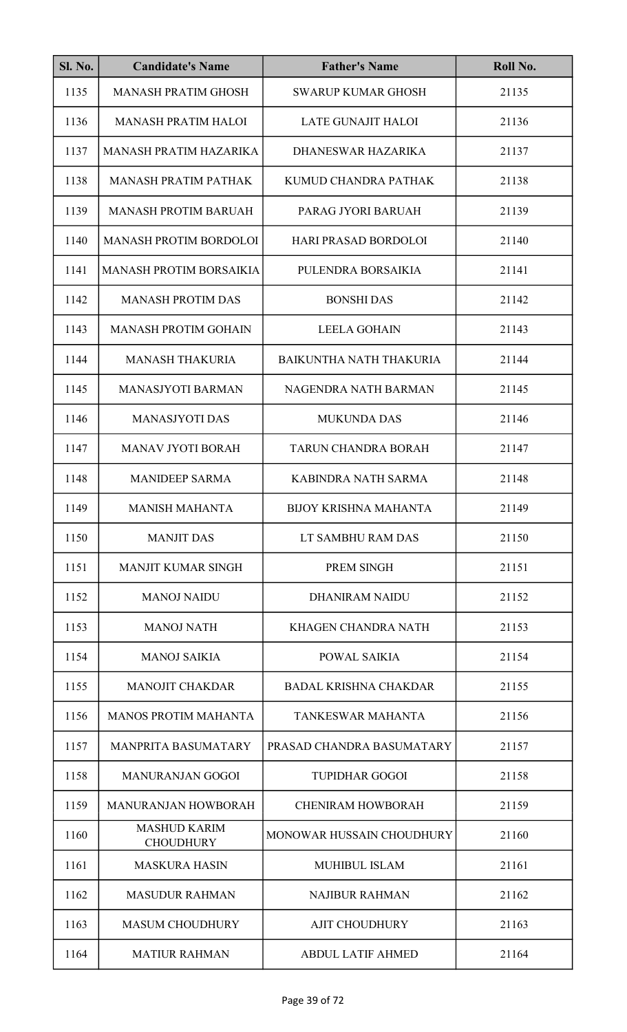| <b>Sl. No.</b> | <b>Candidate's Name</b>                 | <b>Father's Name</b>           | Roll No. |
|----------------|-----------------------------------------|--------------------------------|----------|
| 1135           | <b>MANASH PRATIM GHOSH</b>              | <b>SWARUP KUMAR GHOSH</b>      | 21135    |
| 1136           | <b>MANASH PRATIM HALOI</b>              | <b>LATE GUNAJIT HALOI</b>      | 21136    |
| 1137           | MANASH PRATIM HAZARIKA                  | DHANESWAR HAZARIKA             | 21137    |
| 1138           | <b>MANASH PRATIM PATHAK</b>             | KUMUD CHANDRA PATHAK           | 21138    |
| 1139           | <b>MANASH PROTIM BARUAH</b>             | PARAG JYORI BARUAH             | 21139    |
| 1140           | <b>MANASH PROTIM BORDOLOI</b>           | <b>HARI PRASAD BORDOLOI</b>    | 21140    |
| 1141           | <b>MANASH PROTIM BORSAIKIA</b>          | PULENDRA BORSAIKIA             | 21141    |
| 1142           | <b>MANASH PROTIM DAS</b>                | <b>BONSHI DAS</b>              | 21142    |
| 1143           | <b>MANASH PROTIM GOHAIN</b>             | <b>LEELA GOHAIN</b>            | 21143    |
| 1144           | <b>MANASH THAKURIA</b>                  | <b>BAIKUNTHA NATH THAKURIA</b> | 21144    |
| 1145           | <b>MANASJYOTI BARMAN</b>                | NAGENDRA NATH BARMAN           | 21145    |
| 1146           | <b>MANASJYOTI DAS</b>                   | <b>MUKUNDA DAS</b>             | 21146    |
| 1147           | MANAV JYOTI BORAH                       | <b>TARUN CHANDRA BORAH</b>     | 21147    |
| 1148           | <b>MANIDEEP SARMA</b>                   | KABINDRA NATH SARMA            | 21148    |
| 1149           | <b>MANISH MAHANTA</b>                   | <b>BIJOY KRISHNA MAHANTA</b>   | 21149    |
| 1150           | <b>MANJIT DAS</b>                       | LT SAMBHU RAM DAS              | 21150    |
| 1151           | <b>MANJIT KUMAR SINGH</b>               | PREM SINGH                     | 21151    |
| 1152           | <b>MANOJ NAIDU</b>                      | <b>DHANIRAM NAIDU</b>          | 21152    |
| 1153           | <b>MANOJ NATH</b>                       | KHAGEN CHANDRA NATH            | 21153    |
| 1154           | <b>MANOJ SAIKIA</b>                     | POWAL SAIKIA                   | 21154    |
| 1155           | <b>MANOJIT CHAKDAR</b>                  | <b>BADAL KRISHNA CHAKDAR</b>   | 21155    |
| 1156           | <b>MANOS PROTIM MAHANTA</b>             | TANKESWAR MAHANTA              | 21156    |
| 1157           | <b>MANPRITA BASUMATARY</b>              | PRASAD CHANDRA BASUMATARY      | 21157    |
| 1158           | <b>MANURANJAN GOGOI</b>                 | <b>TUPIDHAR GOGOI</b>          | 21158    |
| 1159           | <b>MANURANJAN HOWBORAH</b>              | <b>CHENIRAM HOWBORAH</b>       | 21159    |
| 1160           | <b>MASHUD KARIM</b><br><b>CHOUDHURY</b> | MONOWAR HUSSAIN CHOUDHURY      | 21160    |
| 1161           | <b>MASKURA HASIN</b>                    | <b>MUHIBUL ISLAM</b>           | 21161    |
| 1162           | <b>MASUDUR RAHMAN</b>                   | <b>NAJIBUR RAHMAN</b>          | 21162    |
| 1163           | <b>MASUM CHOUDHURY</b>                  | <b>AJIT CHOUDHURY</b>          | 21163    |
| 1164           | <b>MATIUR RAHMAN</b>                    | <b>ABDUL LATIF AHMED</b>       | 21164    |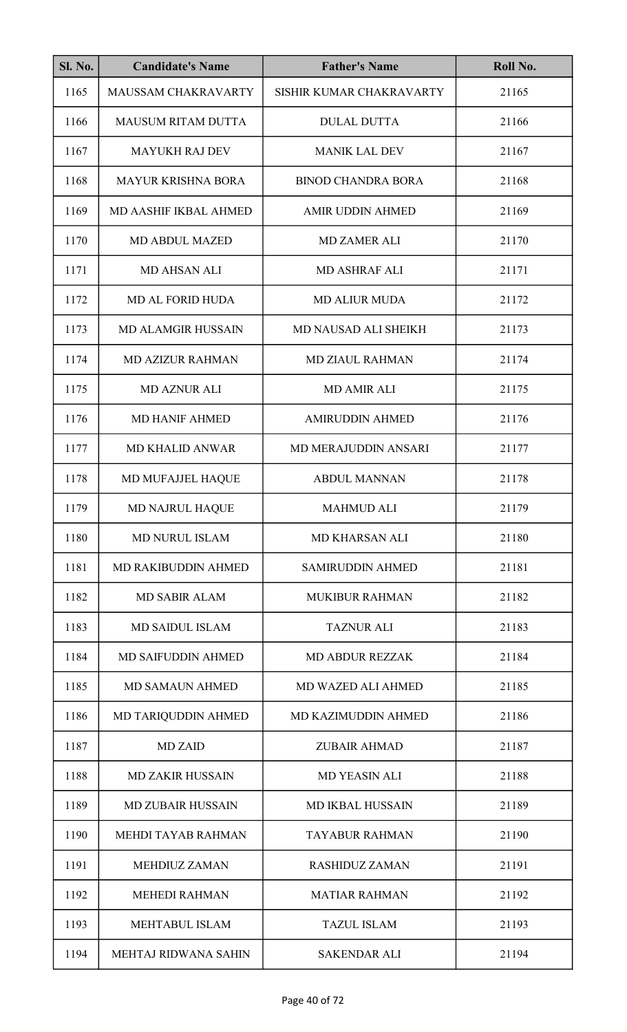| Sl. No. | <b>Candidate's Name</b>   | <b>Father's Name</b>      | Roll No. |
|---------|---------------------------|---------------------------|----------|
| 1165    | MAUSSAM CHAKRAVARTY       | SISHIR KUMAR CHAKRAVARTY  | 21165    |
| 1166    | <b>MAUSUM RITAM DUTTA</b> | <b>DULAL DUTTA</b>        | 21166    |
| 1167    | <b>MAYUKH RAJ DEV</b>     | <b>MANIK LAL DEV</b>      | 21167    |
| 1168    | <b>MAYUR KRISHNA BORA</b> | <b>BINOD CHANDRA BORA</b> | 21168    |
| 1169    | MD AASHIF IKBAL AHMED     | <b>AMIR UDDIN AHMED</b>   | 21169    |
| 1170    | <b>MD ABDUL MAZED</b>     | <b>MD ZAMER ALI</b>       | 21170    |
| 1171    | MD AHSAN ALI              | <b>MD ASHRAF ALI</b>      | 21171    |
| 1172    | <b>MD AL FORID HUDA</b>   | <b>MD ALIUR MUDA</b>      | 21172    |
| 1173    | <b>MD ALAMGIR HUSSAIN</b> | MD NAUSAD ALI SHEIKH      | 21173    |
| 1174    | <b>MD AZIZUR RAHMAN</b>   | <b>MD ZIAUL RAHMAN</b>    | 21174    |
| 1175    | <b>MD AZNUR ALI</b>       | <b>MD AMIR ALI</b>        | 21175    |
| 1176    | <b>MD HANIF AHMED</b>     | <b>AMIRUDDIN AHMED</b>    | 21176    |
| 1177    | <b>MD KHALID ANWAR</b>    | MD MERAJUDDIN ANSARI      | 21177    |
| 1178    | MD MUFAJJEL HAQUE         | <b>ABDUL MANNAN</b>       | 21178    |
| 1179    | MD NAJRUL HAQUE           | <b>MAHMUD ALI</b>         | 21179    |
| 1180    | <b>MD NURUL ISLAM</b>     | <b>MD KHARSAN ALI</b>     | 21180    |
| 1181    | MD RAKIBUDDIN AHMED       | <b>SAMIRUDDIN AHMED</b>   | 21181    |
| 1182    | <b>MD SABIR ALAM</b>      | <b>MUKIBUR RAHMAN</b>     | 21182    |
| 1183    | <b>MD SAIDUL ISLAM</b>    | <b>TAZNUR ALI</b>         | 21183    |
| 1184    | <b>MD SAIFUDDIN AHMED</b> | <b>MD ABDUR REZZAK</b>    | 21184    |
| 1185    | <b>MD SAMAUN AHMED</b>    | <b>MD WAZED ALI AHMED</b> | 21185    |
| 1186    | MD TARIQUDDIN AHMED       | MD KAZIMUDDIN AHMED       | 21186    |
| 1187    | <b>MD ZAID</b>            | <b>ZUBAIR AHMAD</b>       | 21187    |
| 1188    | <b>MD ZAKIR HUSSAIN</b>   | <b>MD YEASIN ALI</b>      | 21188    |
| 1189    | <b>MD ZUBAIR HUSSAIN</b>  | <b>MD IKBAL HUSSAIN</b>   | 21189    |
| 1190    | MEHDI TAYAB RAHMAN        | <b>TAYABUR RAHMAN</b>     | 21190    |
| 1191    | <b>MEHDIUZ ZAMAN</b>      | <b>RASHIDUZ ZAMAN</b>     | 21191    |
| 1192    | <b>MEHEDI RAHMAN</b>      | <b>MATIAR RAHMAN</b>      | 21192    |
| 1193    | <b>MEHTABUL ISLAM</b>     | <b>TAZUL ISLAM</b>        | 21193    |
| 1194    | MEHTAJ RIDWANA SAHIN      | <b>SAKENDAR ALI</b>       | 21194    |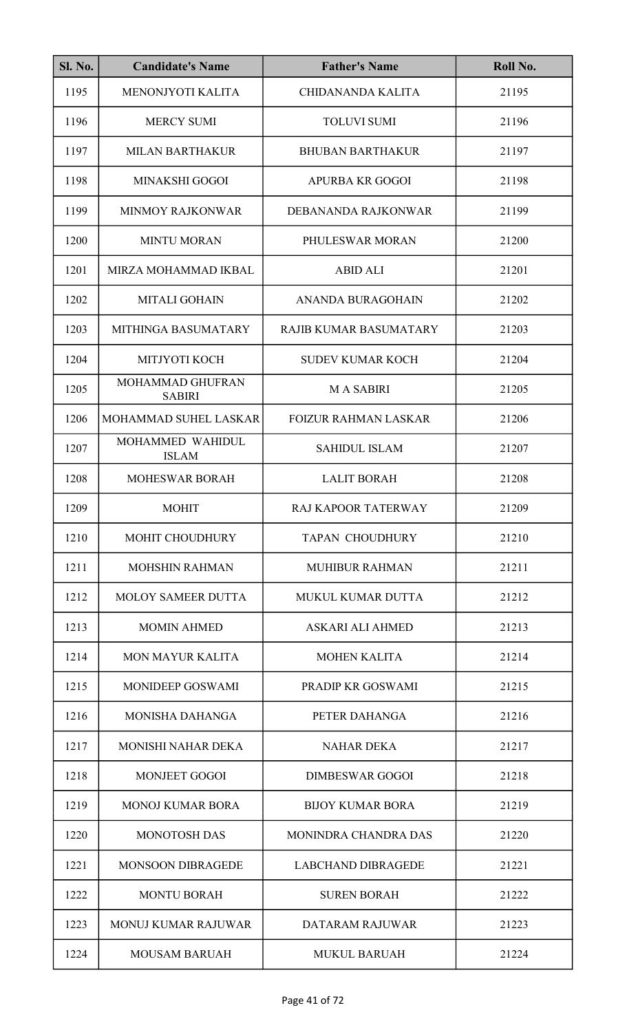| <b>Sl. No.</b> | <b>Candidate's Name</b>           | <b>Father's Name</b>        | Roll No. |
|----------------|-----------------------------------|-----------------------------|----------|
| 1195           | MENONJYOTI KALITA                 | <b>CHIDANANDA KALITA</b>    | 21195    |
| 1196           | <b>MERCY SUMI</b>                 | <b>TOLUVI SUMI</b>          | 21196    |
| 1197           | <b>MILAN BARTHAKUR</b>            | <b>BHUBAN BARTHAKUR</b>     | 21197    |
| 1198           | MINAKSHI GOGOI                    | APURBA KR GOGOI             | 21198    |
| 1199           | <b>MINMOY RAJKONWAR</b>           | DEBANANDA RAJKONWAR         | 21199    |
| 1200           | <b>MINTU MORAN</b>                | PHULESWAR MORAN             | 21200    |
| 1201           | MIRZA MOHAMMAD IKBAL              | <b>ABID ALI</b>             | 21201    |
| 1202           | <b>MITALI GOHAIN</b>              | <b>ANANDA BURAGOHAIN</b>    | 21202    |
| 1203           | MITHINGA BASUMATARY               | RAJIB KUMAR BASUMATARY      | 21203    |
| 1204           | MITJYOTI KOCH                     | <b>SUDEV KUMAR KOCH</b>     | 21204    |
| 1205           | MOHAMMAD GHUFRAN<br><b>SABIRI</b> | <b>MA SABIRI</b>            | 21205    |
| 1206           | MOHAMMAD SUHEL LASKAR             | <b>FOIZUR RAHMAN LASKAR</b> | 21206    |
| 1207           | MOHAMMED WAHIDUL<br><b>ISLAM</b>  | <b>SAHIDUL ISLAM</b>        | 21207    |
| 1208           | <b>MOHESWAR BORAH</b>             | <b>LALIT BORAH</b>          | 21208    |
| 1209           | <b>MOHIT</b>                      | RAJ KAPOOR TATERWAY         | 21209    |
| 1210           | <b>MOHIT CHOUDHURY</b>            | <b>TAPAN CHOUDHURY</b>      | 21210    |
| 1211           | <b>MOHSHIN RAHMAN</b>             | <b>MUHIBUR RAHMAN</b>       | 21211    |
| 1212           | <b>MOLOY SAMEER DUTTA</b>         | <b>MUKUL KUMAR DUTTA</b>    | 21212    |
| 1213           | <b>MOMIN AHMED</b>                | ASKARI ALI AHMED            | 21213    |
| 1214           | <b>MON MAYUR KALITA</b>           | <b>MOHEN KALITA</b>         | 21214    |
| 1215           | <b>MONIDEEP GOSWAMI</b>           | PRADIP KR GOSWAMI           | 21215    |
| 1216           | <b>MONISHA DAHANGA</b>            | PETER DAHANGA               | 21216    |
| 1217           | <b>MONISHI NAHAR DEKA</b>         | <b>NAHAR DEKA</b>           | 21217    |
| 1218           | <b>MONJEET GOGOI</b>              | <b>DIMBESWAR GOGOI</b>      | 21218    |
| 1219           | <b>MONOJ KUMAR BORA</b>           | <b>BIJOY KUMAR BORA</b>     | 21219    |
| 1220           | <b>MONOTOSH DAS</b>               | MONINDRA CHANDRA DAS        | 21220    |
| 1221           | <b>MONSOON DIBRAGEDE</b>          | <b>LABCHAND DIBRAGEDE</b>   | 21221    |
| 1222           | <b>MONTU BORAH</b>                | <b>SUREN BORAH</b>          | 21222    |
| 1223           | <b>MONUJ KUMAR RAJUWAR</b>        | DATARAM RAJUWAR             | 21223    |
| 1224           | <b>MOUSAM BARUAH</b>              | <b>MUKUL BARUAH</b>         | 21224    |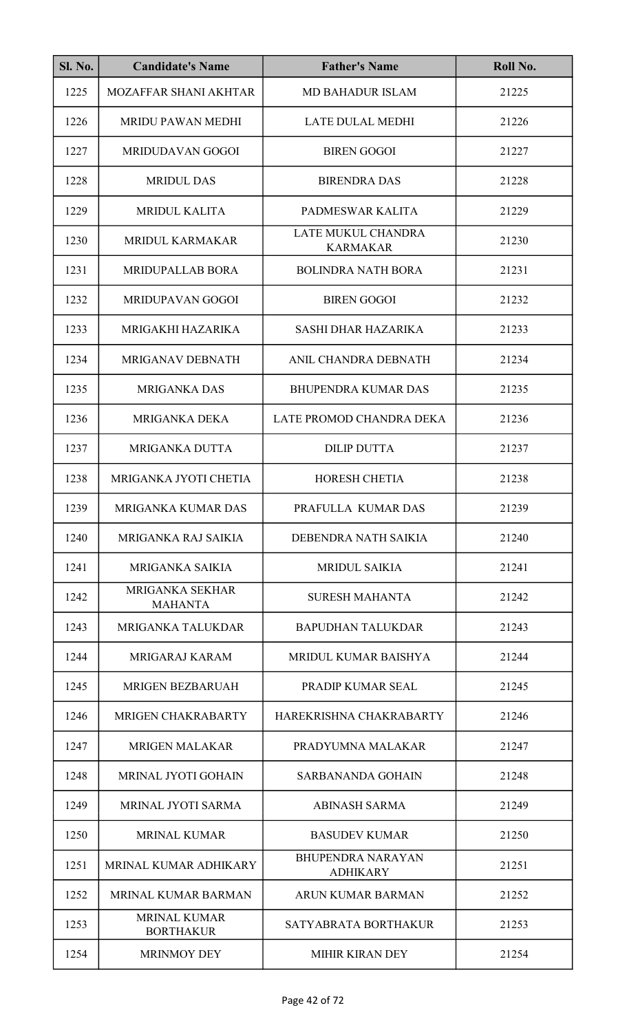| <b>Sl. No.</b> | <b>Candidate's Name</b>                 | <b>Father's Name</b>                        | Roll No. |
|----------------|-----------------------------------------|---------------------------------------------|----------|
| 1225           | MOZAFFAR SHANI AKHTAR                   | <b>MD BAHADUR ISLAM</b>                     | 21225    |
| 1226           | <b>MRIDU PAWAN MEDHI</b>                | <b>LATE DULAL MEDHI</b>                     | 21226    |
| 1227           | MRIDUDAVAN GOGOI                        | <b>BIREN GOGOI</b>                          | 21227    |
| 1228           | <b>MRIDUL DAS</b>                       | <b>BIRENDRA DAS</b>                         | 21228    |
| 1229           | <b>MRIDUL KALITA</b>                    | PADMESWAR KALITA                            | 21229    |
| 1230           | <b>MRIDUL KARMAKAR</b>                  | LATE MUKUL CHANDRA<br><b>KARMAKAR</b>       | 21230    |
| 1231           | MRIDUPALLAB BORA                        | <b>BOLINDRA NATH BORA</b>                   | 21231    |
| 1232           | MRIDUPAVAN GOGOI                        | <b>BIREN GOGOI</b>                          | 21232    |
| 1233           | MRIGAKHI HAZARIKA                       | <b>SASHI DHAR HAZARIKA</b>                  | 21233    |
| 1234           | MRIGANAV DEBNATH                        | ANIL CHANDRA DEBNATH                        | 21234    |
| 1235           | <b>MRIGANKA DAS</b>                     | <b>BHUPENDRA KUMAR DAS</b>                  | 21235    |
| 1236           | MRIGANKA DEKA                           | LATE PROMOD CHANDRA DEKA                    | 21236    |
| 1237           | <b>MRIGANKA DUTTA</b>                   | <b>DILIP DUTTA</b>                          | 21237    |
| 1238           | MRIGANKA JYOTI CHETIA                   | <b>HORESH CHETIA</b>                        | 21238    |
| 1239           | MRIGANKA KUMAR DAS                      | PRAFULLA KUMAR DAS                          | 21239    |
| 1240           | MRIGANKA RAJ SAIKIA                     | DEBENDRA NATH SAIKIA                        | 21240    |
| 1241           | <b>MRIGANKA SAIKIA</b>                  | <b>MRIDUL SAIKIA</b>                        | 21241    |
| 1242           | MRIGANKA SEKHAR<br><b>MAHANTA</b>       | <b>SURESH MAHANTA</b>                       | 21242    |
| 1243           | <b>MRIGANKA TALUKDAR</b>                | <b>BAPUDHAN TALUKDAR</b>                    | 21243    |
| 1244           | MRIGARAJ KARAM                          | MRIDUL KUMAR BAISHYA                        | 21244    |
| 1245           | <b>MRIGEN BEZBARUAH</b>                 | PRADIP KUMAR SEAL                           | 21245    |
| 1246           | MRIGEN CHAKRABARTY                      | HAREKRISHNA CHAKRABARTY                     | 21246    |
| 1247           | <b>MRIGEN MALAKAR</b>                   | PRADYUMNA MALAKAR                           | 21247    |
| 1248           | MRINAL JYOTI GOHAIN                     | SARBANANDA GOHAIN                           | 21248    |
| 1249           | MRINAL JYOTI SARMA                      | <b>ABINASH SARMA</b>                        | 21249    |
| 1250           | <b>MRINAL KUMAR</b>                     | <b>BASUDEV KUMAR</b>                        | 21250    |
| 1251           | MRINAL KUMAR ADHIKARY                   | <b>BHUPENDRA NARAYAN</b><br><b>ADHIKARY</b> | 21251    |
| 1252           | <b>MRINAL KUMAR BARMAN</b>              | ARUN KUMAR BARMAN                           | 21252    |
| 1253           | <b>MRINAL KUMAR</b><br><b>BORTHAKUR</b> | SATYABRATA BORTHAKUR                        | 21253    |
| 1254           | <b>MRINMOY DEY</b>                      | <b>MIHIR KIRAN DEY</b>                      | 21254    |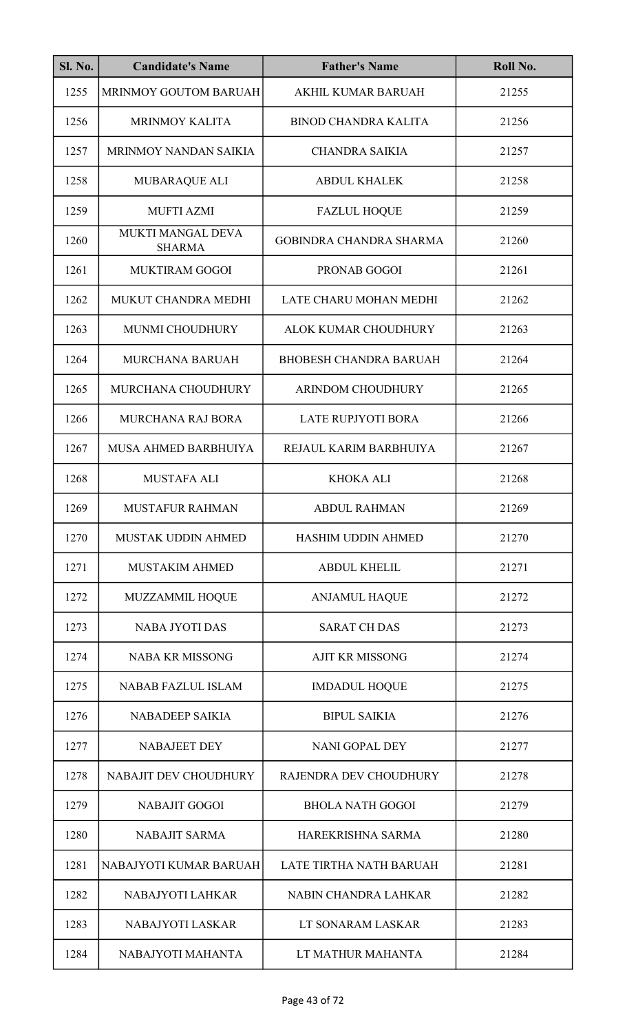| <b>Sl. No.</b> | <b>Candidate's Name</b>            | <b>Father's Name</b>           | Roll No. |
|----------------|------------------------------------|--------------------------------|----------|
| 1255           | MRINMOY GOUTOM BARUAH              | AKHIL KUMAR BARUAH             | 21255    |
| 1256           | <b>MRINMOY KALITA</b>              | <b>BINOD CHANDRA KALITA</b>    | 21256    |
| 1257           | MRINMOY NANDAN SAIKIA              | <b>CHANDRA SAIKIA</b>          | 21257    |
| 1258           | MUBARAQUE ALI                      | <b>ABDUL KHALEK</b>            | 21258    |
| 1259           | <b>MUFTI AZMI</b>                  | <b>FAZLUL HOQUE</b>            | 21259    |
| 1260           | MUKTI MANGAL DEVA<br><b>SHARMA</b> | <b>GOBINDRA CHANDRA SHARMA</b> | 21260    |
| 1261           | <b>MUKTIRAM GOGOI</b>              | PRONAB GOGOI                   | 21261    |
| 1262           | MUKUT CHANDRA MEDHI                | LATE CHARU MOHAN MEDHI         | 21262    |
| 1263           | MUNMI CHOUDHURY                    | ALOK KUMAR CHOUDHURY           | 21263    |
| 1264           | <b>MURCHANA BARUAH</b>             | <b>BHOBESH CHANDRA BARUAH</b>  | 21264    |
| 1265           | MURCHANA CHOUDHURY                 | ARINDOM CHOUDHURY              | 21265    |
| 1266           | <b>MURCHANA RAJ BORA</b>           | <b>LATE RUPJYOTI BORA</b>      | 21266    |
| 1267           | MUSA AHMED BARBHUIYA               | REJAUL KARIM BARBHUIYA         | 21267    |
| 1268           | <b>MUSTAFA ALI</b>                 | <b>KHOKA ALI</b>               | 21268    |
| 1269           | <b>MUSTAFUR RAHMAN</b>             | <b>ABDUL RAHMAN</b>            | 21269    |
| 1270           | MUSTAK UDDIN AHMED                 | <b>HASHIM UDDIN AHMED</b>      | 21270    |
| 1271           | <b>MUSTAKIM AHMED</b>              | <b>ABDUL KHELIL</b>            | 21271    |
| 1272           | <b>MUZZAMMIL HOQUE</b>             | <b>ANJAMUL HAQUE</b>           | 21272    |
| 1273           | <b>NABA JYOTI DAS</b>              | <b>SARAT CH DAS</b>            | 21273    |
| 1274           | <b>NABA KR MISSONG</b>             | <b>AJIT KR MISSONG</b>         | 21274    |
| 1275           | <b>NABAB FAZLUL ISLAM</b>          | <b>IMDADUL HOQUE</b>           | 21275    |
| 1276           | <b>NABADEEP SAIKIA</b>             | <b>BIPUL SAIKIA</b>            | 21276    |
| 1277           | <b>NABAJEET DEY</b>                | <b>NANI GOPAL DEY</b>          | 21277    |
| 1278           | NABAJIT DEV CHOUDHURY              | RAJENDRA DEV CHOUDHURY         | 21278    |
| 1279           | <b>NABAJIT GOGOI</b>               | <b>BHOLA NATH GOGOI</b>        | 21279    |
| 1280           | <b>NABAJIT SARMA</b>               | HAREKRISHNA SARMA              | 21280    |
| 1281           | NABAJYOTI KUMAR BARUAH             | LATE TIRTHA NATH BARUAH        | 21281    |
| 1282           | NABAJYOTI LAHKAR                   | NABIN CHANDRA LAHKAR           | 21282    |
| 1283           | NABAJYOTI LASKAR                   | LT SONARAM LASKAR              | 21283    |
| 1284           | NABAJYOTI MAHANTA                  | LT MATHUR MAHANTA              | 21284    |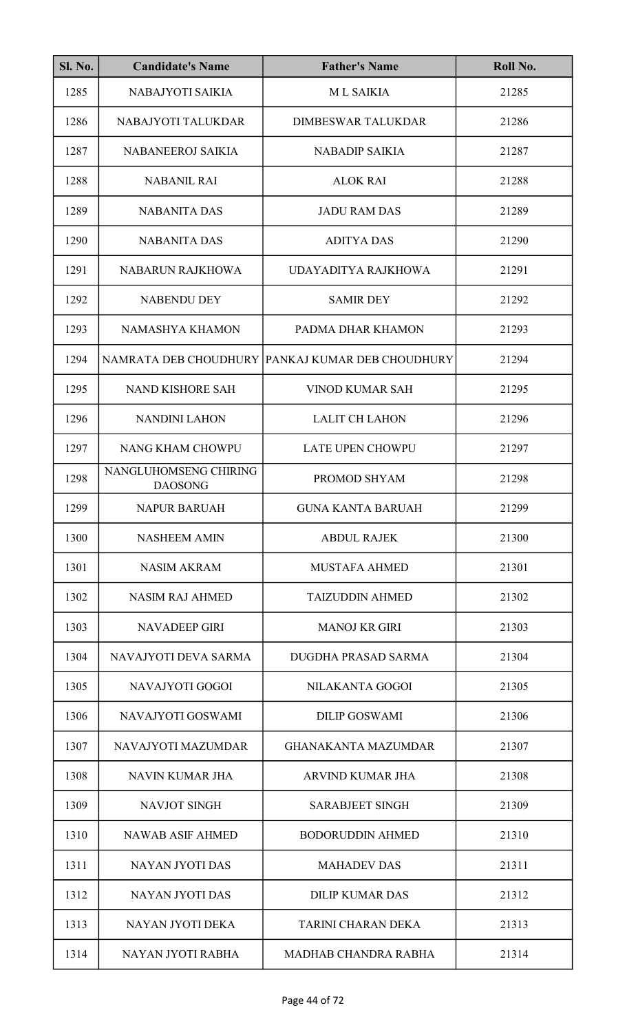| <b>Sl. No.</b> | <b>Candidate's Name</b>                 | <b>Father's Name</b>                             | Roll No. |
|----------------|-----------------------------------------|--------------------------------------------------|----------|
| 1285           | NABAJYOTI SAIKIA                        | <b>ML SAIKIA</b>                                 | 21285    |
| 1286           | NABAJYOTI TALUKDAR                      | <b>DIMBESWAR TALUKDAR</b>                        | 21286    |
| 1287           | NABANEEROJ SAIKIA                       | <b>NABADIP SAIKIA</b>                            | 21287    |
| 1288           | <b>NABANIL RAI</b>                      | <b>ALOK RAI</b>                                  | 21288    |
| 1289           | <b>NABANITA DAS</b>                     | <b>JADU RAM DAS</b>                              | 21289    |
| 1290           | <b>NABANITA DAS</b>                     | <b>ADITYA DAS</b>                                | 21290    |
| 1291           | NABARUN RAJKHOWA                        | UDAYADITYA RAJKHOWA                              | 21291    |
| 1292           | <b>NABENDU DEY</b>                      | <b>SAMIR DEY</b>                                 | 21292    |
| 1293           | <b>NAMASHYA KHAMON</b>                  | PADMA DHAR KHAMON                                | 21293    |
| 1294           |                                         | NAMRATA DEB CHOUDHURY PANKAJ KUMAR DEB CHOUDHURY | 21294    |
| 1295           | <b>NAND KISHORE SAH</b>                 | <b>VINOD KUMAR SAH</b>                           | 21295    |
| 1296           | <b>NANDINI LAHON</b>                    | <b>LALIT CH LAHON</b>                            | 21296    |
| 1297           | NANG KHAM CHOWPU                        | <b>LATE UPEN CHOWPU</b>                          | 21297    |
| 1298           | NANGLUHOMSENG CHIRING<br><b>DAOSONG</b> | PROMOD SHYAM                                     | 21298    |
| 1299           | <b>NAPUR BARUAH</b>                     | <b>GUNA KANTA BARUAH</b>                         | 21299    |
| 1300           | <b>NASHEEM AMIN</b>                     | <b>ABDUL RAJEK</b>                               | 21300    |
| 1301           | <b>NASIM AKRAM</b>                      | <b>MUSTAFA AHMED</b>                             | 21301    |
| 1302           | <b>NASIM RAJ AHMED</b>                  | <b>TAIZUDDIN AHMED</b>                           | 21302    |
| 1303           | <b>NAVADEEP GIRI</b>                    | <b>MANOJ KR GIRI</b>                             | 21303    |
| 1304           | NAVAJYOTI DEVA SARMA                    | DUGDHA PRASAD SARMA                              | 21304    |
| 1305           | NAVAJYOTI GOGOI                         | NILAKANTA GOGOI                                  | 21305    |
| 1306           | NAVAJYOTI GOSWAMI                       | <b>DILIP GOSWAMI</b>                             | 21306    |
| 1307           | NAVAJYOTI MAZUMDAR                      | <b>GHANAKANTA MAZUMDAR</b>                       | 21307    |
| 1308           | NAVIN KUMAR JHA                         | ARVIND KUMAR JHA                                 | 21308    |
| 1309           | NAVJOT SINGH                            | <b>SARABJEET SINGH</b>                           | 21309    |
| 1310           | <b>NAWAB ASIF AHMED</b>                 | <b>BODORUDDIN AHMED</b>                          | 21310    |
| 1311           | <b>NAYAN JYOTI DAS</b>                  | <b>MAHADEV DAS</b>                               | 21311    |
| 1312           | <b>NAYAN JYOTI DAS</b>                  | <b>DILIP KUMAR DAS</b>                           | 21312    |
| 1313           | NAYAN JYOTI DEKA                        | <b>TARINI CHARAN DEKA</b>                        | 21313    |
| 1314           | NAYAN JYOTI RABHA                       | <b>MADHAB CHANDRA RABHA</b>                      | 21314    |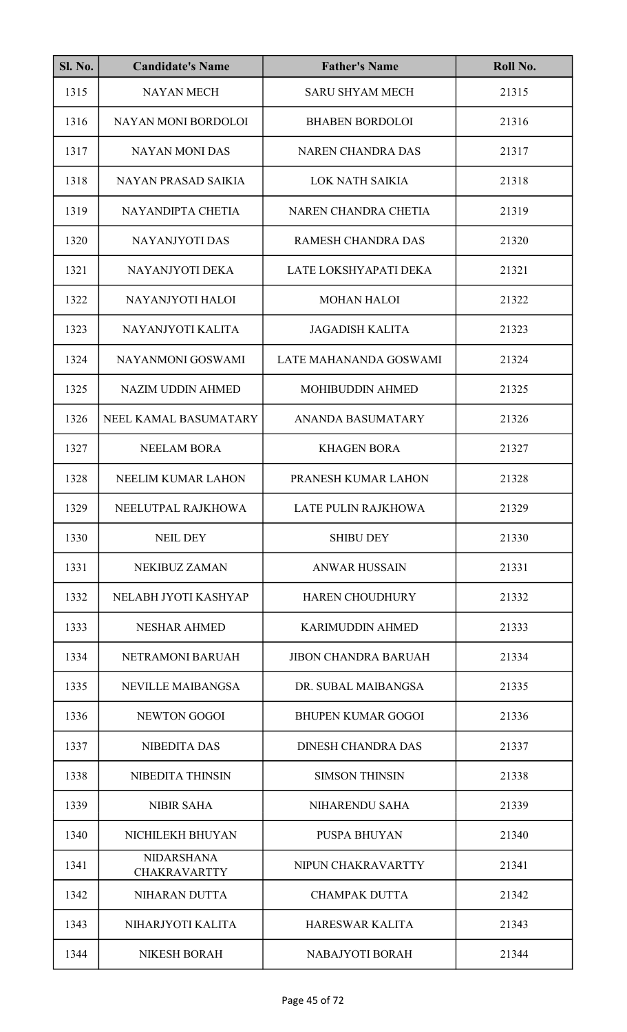| <b>Sl. No.</b> | <b>Candidate's Name</b>                  | <b>Father's Name</b>        | Roll No. |
|----------------|------------------------------------------|-----------------------------|----------|
| 1315           | <b>NAYAN MECH</b>                        | <b>SARU SHYAM MECH</b>      | 21315    |
| 1316           | NAYAN MONI BORDOLOI                      | <b>BHABEN BORDOLOI</b>      | 21316    |
| 1317           | <b>NAYAN MONI DAS</b>                    | <b>NAREN CHANDRA DAS</b>    | 21317    |
| 1318           | <b>NAYAN PRASAD SAIKIA</b>               | <b>LOK NATH SAIKIA</b>      | 21318    |
| 1319           | NAYANDIPTA CHETIA                        | NAREN CHANDRA CHETIA        | 21319    |
| 1320           | <b>NAYANJYOTI DAS</b>                    | <b>RAMESH CHANDRA DAS</b>   | 21320    |
| 1321           | NAYANJYOTI DEKA                          | LATE LOKSHYAPATI DEKA       | 21321    |
| 1322           | NAYANJYOTI HALOI                         | <b>MOHAN HALOI</b>          | 21322    |
| 1323           | NAYANJYOTI KALITA                        | <b>JAGADISH KALITA</b>      | 21323    |
| 1324           | NAYANMONI GOSWAMI                        | LATE MAHANANDA GOSWAMI      | 21324    |
| 1325           | <b>NAZIM UDDIN AHMED</b>                 | <b>MOHIBUDDIN AHMED</b>     | 21325    |
| 1326           | NEEL KAMAL BASUMATARY                    | <b>ANANDA BASUMATARY</b>    | 21326    |
| 1327           | <b>NEELAM BORA</b>                       | <b>KHAGEN BORA</b>          | 21327    |
| 1328           | NEELIM KUMAR LAHON                       | PRANESH KUMAR LAHON         | 21328    |
| 1329           | NEELUTPAL RAJKHOWA                       | LATE PULIN RAJKHOWA         | 21329    |
| 1330           | <b>NEIL DEY</b>                          | <b>SHIBU DEY</b>            | 21330    |
| 1331           | <b>NEKIBUZ ZAMAN</b>                     | <b>ANWAR HUSSAIN</b>        | 21331    |
| 1332           | NELABH JYOTI KASHYAP                     | <b>HAREN CHOUDHURY</b>      | 21332    |
| 1333           | <b>NESHAR AHMED</b>                      | <b>KARIMUDDIN AHMED</b>     | 21333    |
| 1334           | NETRAMONI BARUAH                         | <b>JIBON CHANDRA BARUAH</b> | 21334    |
| 1335           | <b>NEVILLE MAIBANGSA</b>                 | DR. SUBAL MAIBANGSA         | 21335    |
| 1336           | <b>NEWTON GOGOI</b>                      | <b>BHUPEN KUMAR GOGOI</b>   | 21336    |
| 1337           | <b>NIBEDITA DAS</b>                      | <b>DINESH CHANDRA DAS</b>   | 21337    |
| 1338           | NIBEDITA THINSIN                         | <b>SIMSON THINSIN</b>       | 21338    |
| 1339           | <b>NIBIR SAHA</b>                        | NIHARENDU SAHA              | 21339    |
| 1340           | NICHILEKH BHUYAN                         | <b>PUSPA BHUYAN</b>         | 21340    |
| 1341           | <b>NIDARSHANA</b><br><b>CHAKRAVARTTY</b> | NIPUN CHAKRAVARTTY          | 21341    |
| 1342           | NIHARAN DUTTA                            | <b>CHAMPAK DUTTA</b>        | 21342    |
| 1343           | NIHARJYOTI KALITA                        | <b>HARESWAR KALITA</b>      | 21343    |
| 1344           | <b>NIKESH BORAH</b>                      | NABAJYOTI BORAH             | 21344    |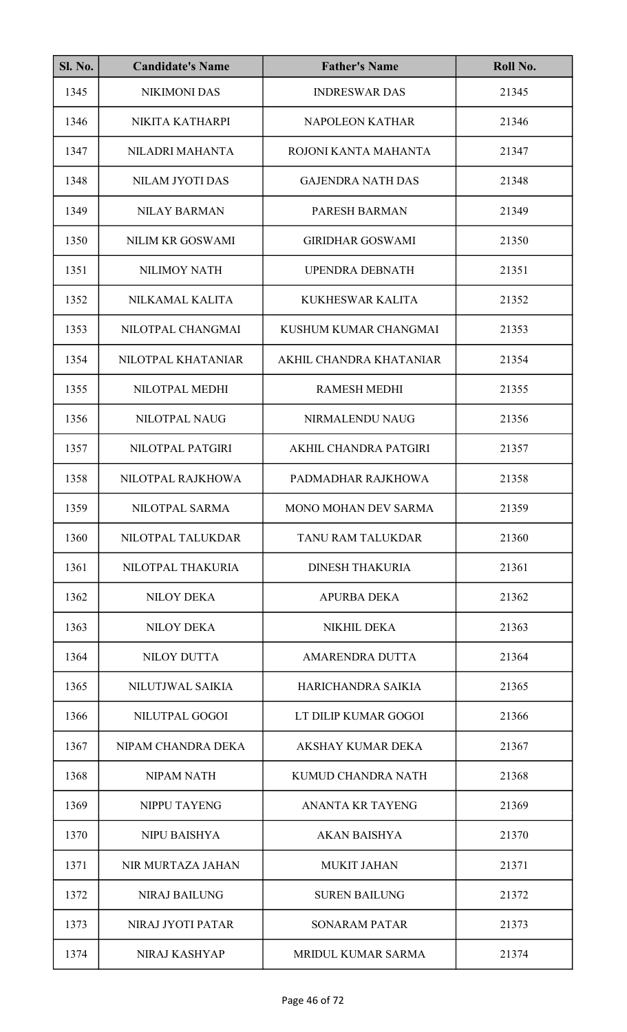| <b>Sl. No.</b> | <b>Candidate's Name</b> | <b>Father's Name</b>     | Roll No. |
|----------------|-------------------------|--------------------------|----------|
| 1345           | <b>NIKIMONI DAS</b>     | <b>INDRESWAR DAS</b>     | 21345    |
| 1346           | NIKITA KATHARPI         | <b>NAPOLEON KATHAR</b>   | 21346    |
| 1347           | NILADRI MAHANTA         | ROJONI KANTA MAHANTA     | 21347    |
| 1348           | NILAM JYOTI DAS         | <b>GAJENDRA NATH DAS</b> | 21348    |
| 1349           | <b>NILAY BARMAN</b>     | PARESH BARMAN            | 21349    |
| 1350           | NILIM KR GOSWAMI        | <b>GIRIDHAR GOSWAMI</b>  | 21350    |
| 1351           | <b>NILIMOY NATH</b>     | <b>UPENDRA DEBNATH</b>   | 21351    |
| 1352           | NILKAMAL KALITA         | <b>KUKHESWAR KALITA</b>  | 21352    |
| 1353           | NILOTPAL CHANGMAI       | KUSHUM KUMAR CHANGMAI    | 21353    |
| 1354           | NILOTPAL KHATANIAR      | AKHIL CHANDRA KHATANIAR  | 21354    |
| 1355           | NILOTPAL MEDHI          | <b>RAMESH MEDHI</b>      | 21355    |
| 1356           | NILOTPAL NAUG           | NIRMALENDU NAUG          | 21356    |
| 1357           | NILOTPAL PATGIRI        | AKHIL CHANDRA PATGIRI    | 21357    |
| 1358           | NILOTPAL RAJKHOWA       | PADMADHAR RAJKHOWA       | 21358    |
| 1359           | NILOTPAL SARMA          | MONO MOHAN DEV SARMA     | 21359    |
| 1360           | NILOTPAL TALUKDAR       | TANU RAM TALUKDAR        | 21360    |
| 1361           | NILOTPAL THAKURIA       | <b>DINESH THAKURIA</b>   | 21361    |
| 1362           | <b>NILOY DEKA</b>       | <b>APURBA DEKA</b>       | 21362    |
| 1363           | <b>NILOY DEKA</b>       | <b>NIKHIL DEKA</b>       | 21363    |
| 1364           | <b>NILOY DUTTA</b>      | AMARENDRA DUTTA          | 21364    |
| 1365           | NILUTJWAL SAIKIA        | HARICHANDRA SAIKIA       | 21365    |
| 1366           | NILUTPAL GOGOI          | LT DILIP KUMAR GOGOI     | 21366    |
| 1367           | NIPAM CHANDRA DEKA      | <b>AKSHAY KUMAR DEKA</b> | 21367    |
| 1368           | <b>NIPAM NATH</b>       | KUMUD CHANDRA NATH       | 21368    |
| 1369           | NIPPU TAYENG            | <b>ANANTA KR TAYENG</b>  | 21369    |
| 1370           | <b>NIPU BAISHYA</b>     | <b>AKAN BAISHYA</b>      | 21370    |
| 1371           | NIR MURTAZA JAHAN       | <b>MUKIT JAHAN</b>       | 21371    |
| 1372           | <b>NIRAJ BAILUNG</b>    | <b>SUREN BAILUNG</b>     | 21372    |
| 1373           | NIRAJ JYOTI PATAR       | <b>SONARAM PATAR</b>     | 21373    |
| 1374           | NIRAJ KASHYAP           | MRIDUL KUMAR SARMA       | 21374    |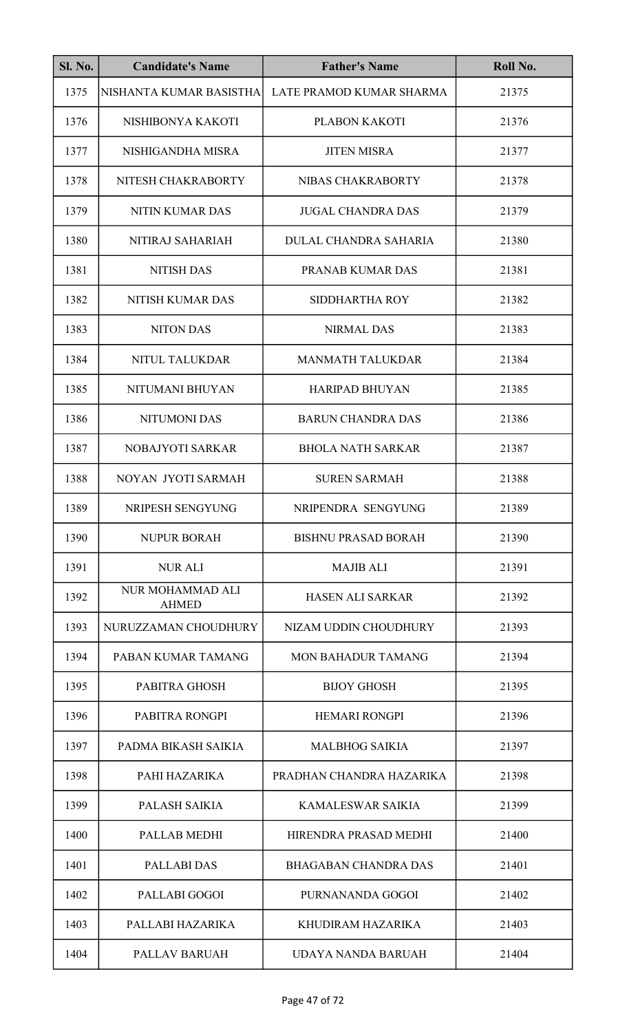| <b>Sl. No.</b> | <b>Candidate's Name</b>          | <b>Father's Name</b>        | Roll No. |
|----------------|----------------------------------|-----------------------------|----------|
| 1375           | NISHANTA KUMAR BASISTHA          | LATE PRAMOD KUMAR SHARMA    | 21375    |
| 1376           | NISHIBONYA KAKOTI                | PLABON KAKOTI               | 21376    |
| 1377           | NISHIGANDHA MISRA                | <b>JITEN MISRA</b>          | 21377    |
| 1378           | NITESH CHAKRABORTY               | NIBAS CHAKRABORTY           | 21378    |
| 1379           | <b>NITIN KUMAR DAS</b>           | <b>JUGAL CHANDRA DAS</b>    | 21379    |
| 1380           | NITIRAJ SAHARIAH                 | DULAL CHANDRA SAHARIA       | 21380    |
| 1381           | <b>NITISH DAS</b>                | PRANAB KUMAR DAS            | 21381    |
| 1382           | NITISH KUMAR DAS                 | <b>SIDDHARTHA ROY</b>       | 21382    |
| 1383           | <b>NITON DAS</b>                 | <b>NIRMAL DAS</b>           | 21383    |
| 1384           | NITUL TALUKDAR                   | <b>MANMATH TALUKDAR</b>     | 21384    |
| 1385           | NITUMANI BHUYAN                  | <b>HARIPAD BHUYAN</b>       | 21385    |
| 1386           | <b>NITUMONI DAS</b>              | <b>BARUN CHANDRA DAS</b>    | 21386    |
| 1387           | NOBAJYOTI SARKAR                 | <b>BHOLA NATH SARKAR</b>    | 21387    |
| 1388           | NOYAN JYOTI SARMAH               | <b>SUREN SARMAH</b>         | 21388    |
| 1389           | NRIPESH SENGYUNG                 | NRIPENDRA SENGYUNG          | 21389    |
| 1390           | <b>NUPUR BORAH</b>               | <b>BISHNU PRASAD BORAH</b>  | 21390    |
| 1391           | <b>NUR ALI</b>                   | <b>MAJIB ALI</b>            | 21391    |
| 1392           | NUR MOHAMMAD ALI<br><b>AHMED</b> | <b>HASEN ALI SARKAR</b>     | 21392    |
| 1393           | NURUZZAMAN CHOUDHURY             | NIZAM UDDIN CHOUDHURY       | 21393    |
| 1394           | PABAN KUMAR TAMANG               | <b>MON BAHADUR TAMANG</b>   | 21394    |
| 1395           | PABITRA GHOSH                    | <b>BIJOY GHOSH</b>          | 21395    |
| 1396           | PABITRA RONGPI                   | <b>HEMARI RONGPI</b>        | 21396    |
| 1397           | PADMA BIKASH SAIKIA              | <b>MALBHOG SAIKIA</b>       | 21397    |
| 1398           | PAHI HAZARIKA                    | PRADHAN CHANDRA HAZARIKA    | 21398    |
| 1399           | PALASH SAIKIA                    | KAMALESWAR SAIKIA           | 21399    |
| 1400           | PALLAB MEDHI                     | HIRENDRA PRASAD MEDHI       | 21400    |
| 1401           | PALLABI DAS                      | <b>BHAGABAN CHANDRA DAS</b> | 21401    |
| 1402           | PALLABI GOGOI                    | PURNANANDA GOGOI            | 21402    |
| 1403           | PALLABI HAZARIKA                 | KHUDIRAM HAZARIKA           | 21403    |
| 1404           | <b>PALLAV BARUAH</b>             | UDAYA NANDA BARUAH          | 21404    |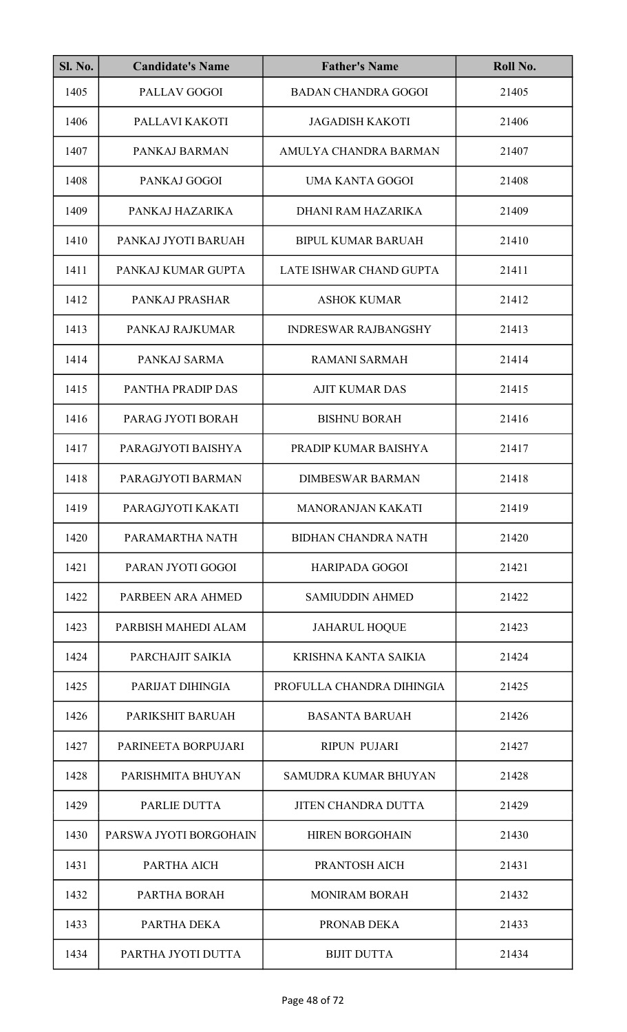| <b>Sl. No.</b> | <b>Candidate's Name</b> | <b>Father's Name</b>        | Roll No. |
|----------------|-------------------------|-----------------------------|----------|
| 1405           | PALLAV GOGOI            | <b>BADAN CHANDRA GOGOI</b>  | 21405    |
| 1406           | PALLAVI KAKOTI          | <b>JAGADISH KAKOTI</b>      | 21406    |
| 1407           | PANKAJ BARMAN           | AMULYA CHANDRA BARMAN       | 21407    |
| 1408           | PANKAJ GOGOI            | <b>UMA KANTA GOGOI</b>      | 21408    |
| 1409           | PANKAJ HAZARIKA         | DHANI RAM HAZARIKA          | 21409    |
| 1410           | PANKAJ JYOTI BARUAH     | <b>BIPUL KUMAR BARUAH</b>   | 21410    |
| 1411           | PANKAJ KUMAR GUPTA      | LATE ISHWAR CHAND GUPTA     | 21411    |
| 1412           | PANKAJ PRASHAR          | <b>ASHOK KUMAR</b>          | 21412    |
| 1413           | PANKAJ RAJKUMAR         | <b>INDRESWAR RAJBANGSHY</b> | 21413    |
| 1414           | PANKAJ SARMA            | <b>RAMANI SARMAH</b>        | 21414    |
| 1415           | PANTHA PRADIP DAS       | <b>AJIT KUMAR DAS</b>       | 21415    |
| 1416           | PARAG JYOTI BORAH       | <b>BISHNU BORAH</b>         | 21416    |
| 1417           | PARAGJYOTI BAISHYA      | PRADIP KUMAR BAISHYA        | 21417    |
| 1418           | PARAGJYOTI BARMAN       | <b>DIMBESWAR BARMAN</b>     | 21418    |
| 1419           | PARAGJYOTI KAKATI       | MANORANJAN KAKATI           | 21419    |
| 1420           | PARAMARTHA NATH         | <b>BIDHAN CHANDRA NATH</b>  | 21420    |
| 1421           | PARAN JYOTI GOGOI       | <b>HARIPADA GOGOI</b>       | 21421    |
| 1422           | PARBEEN ARA AHMED       | <b>SAMIUDDIN AHMED</b>      | 21422    |
| 1423           | PARBISH MAHEDI ALAM     | <b>JAHARUL HOQUE</b>        | 21423    |
| 1424           | PARCHAJIT SAIKIA        | KRISHNA KANTA SAIKIA        | 21424    |
| 1425           | PARIJAT DIHINGIA        | PROFULLA CHANDRA DIHINGIA   | 21425    |
| 1426           | PARIKSHIT BARUAH        | <b>BASANTA BARUAH</b>       | 21426    |
| 1427           | PARINEETA BORPUJARI     | <b>RIPUN PUJARI</b>         | 21427    |
| 1428           | PARISHMITA BHUYAN       | <b>SAMUDRA KUMAR BHUYAN</b> | 21428    |
| 1429           | PARLIE DUTTA            | <b>JITEN CHANDRA DUTTA</b>  | 21429    |
| 1430           | PARSWA JYOTI BORGOHAIN  | <b>HIREN BORGOHAIN</b>      | 21430    |
| 1431           | PARTHA AICH             | PRANTOSH AICH               | 21431    |
| 1432           | PARTHA BORAH            | <b>MONIRAM BORAH</b>        | 21432    |
| 1433           | PARTHA DEKA             | PRONAB DEKA                 | 21433    |
| 1434           | PARTHA JYOTI DUTTA      | <b>BIJIT DUTTA</b>          | 21434    |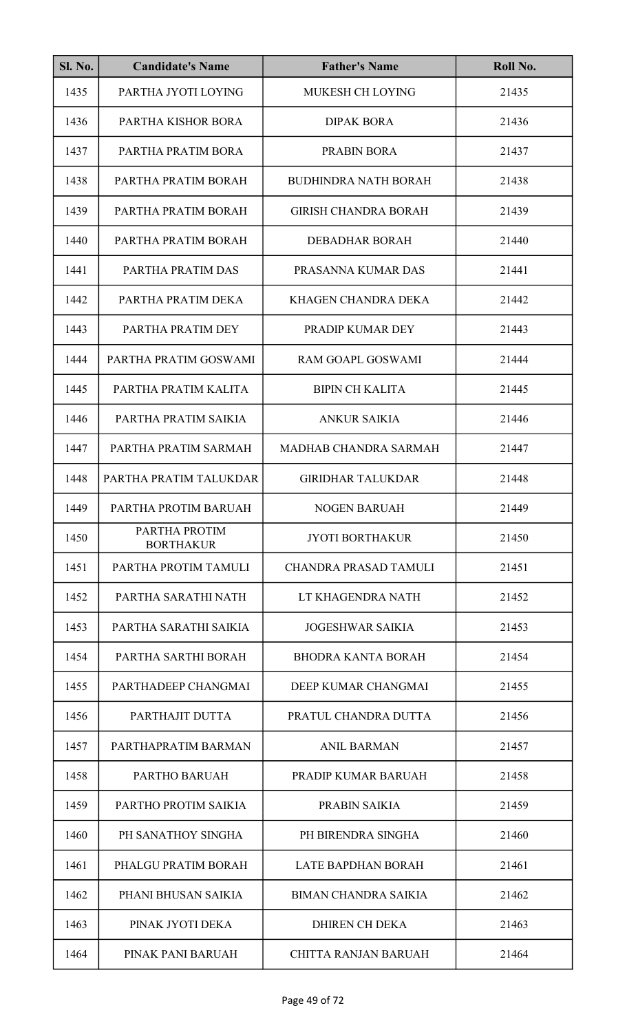| <b>Sl. No.</b> | <b>Candidate's Name</b>           | <b>Father's Name</b>         | Roll No. |
|----------------|-----------------------------------|------------------------------|----------|
| 1435           | PARTHA JYOTI LOYING               | <b>MUKESH CH LOYING</b>      | 21435    |
| 1436           | PARTHA KISHOR BORA                | <b>DIPAK BORA</b>            | 21436    |
| 1437           | PARTHA PRATIM BORA                | <b>PRABIN BORA</b>           | 21437    |
| 1438           | PARTHA PRATIM BORAH               | <b>BUDHINDRA NATH BORAH</b>  | 21438    |
| 1439           | PARTHA PRATIM BORAH               | <b>GIRISH CHANDRA BORAH</b>  | 21439    |
| 1440           | PARTHA PRATIM BORAH               | <b>DEBADHAR BORAH</b>        | 21440    |
| 1441           | PARTHA PRATIM DAS                 | PRASANNA KUMAR DAS           | 21441    |
| 1442           | PARTHA PRATIM DEKA                | KHAGEN CHANDRA DEKA          | 21442    |
| 1443           | PARTHA PRATIM DEY                 | PRADIP KUMAR DEY             | 21443    |
| 1444           | PARTHA PRATIM GOSWAMI             | <b>RAM GOAPL GOSWAMI</b>     | 21444    |
| 1445           | PARTHA PRATIM KALITA              | <b>BIPIN CH KALITA</b>       | 21445    |
| 1446           | PARTHA PRATIM SAIKIA              | <b>ANKUR SAIKIA</b>          | 21446    |
| 1447           | PARTHA PRATIM SARMAH              | MADHAB CHANDRA SARMAH        | 21447    |
| 1448           | PARTHA PRATIM TALUKDAR            | <b>GIRIDHAR TALUKDAR</b>     | 21448    |
| 1449           | PARTHA PROTIM BARUAH              | <b>NOGEN BARUAH</b>          | 21449    |
| 1450           | PARTHA PROTIM<br><b>BORTHAKUR</b> | <b>JYOTI BORTHAKUR</b>       | 21450    |
| 1451           | PARTHA PROTIM TAMULI              | <b>CHANDRA PRASAD TAMULI</b> | 21451    |
| 1452           | PARTHA SARATHI NATH               | LT KHAGENDRA NATH            | 21452    |
| 1453           | PARTHA SARATHI SAIKIA             | <b>JOGESHWAR SAIKIA</b>      | 21453    |
| 1454           | PARTHA SARTHI BORAH               | <b>BHODRA KANTA BORAH</b>    | 21454    |
| 1455           | PARTHADEEP CHANGMAI               | DEEP KUMAR CHANGMAI          | 21455    |
| 1456           | PARTHAJIT DUTTA                   | PRATUL CHANDRA DUTTA         | 21456    |
| 1457           | PARTHAPRATIM BARMAN               | <b>ANIL BARMAN</b>           | 21457    |
| 1458           | PARTHO BARUAH                     | PRADIP KUMAR BARUAH          | 21458    |
| 1459           | PARTHO PROTIM SAIKIA              | PRABIN SAIKIA                | 21459    |
| 1460           | PH SANATHOY SINGHA                | PH BIRENDRA SINGHA           | 21460    |
| 1461           | PHALGU PRATIM BORAH               | <b>LATE BAPDHAN BORAH</b>    | 21461    |
| 1462           | PHANI BHUSAN SAIKIA               | <b>BIMAN CHANDRA SAIKIA</b>  | 21462    |
| 1463           | PINAK JYOTI DEKA                  | <b>DHIREN CH DEKA</b>        | 21463    |
| 1464           | PINAK PANI BARUAH                 | <b>CHITTA RANJAN BARUAH</b>  | 21464    |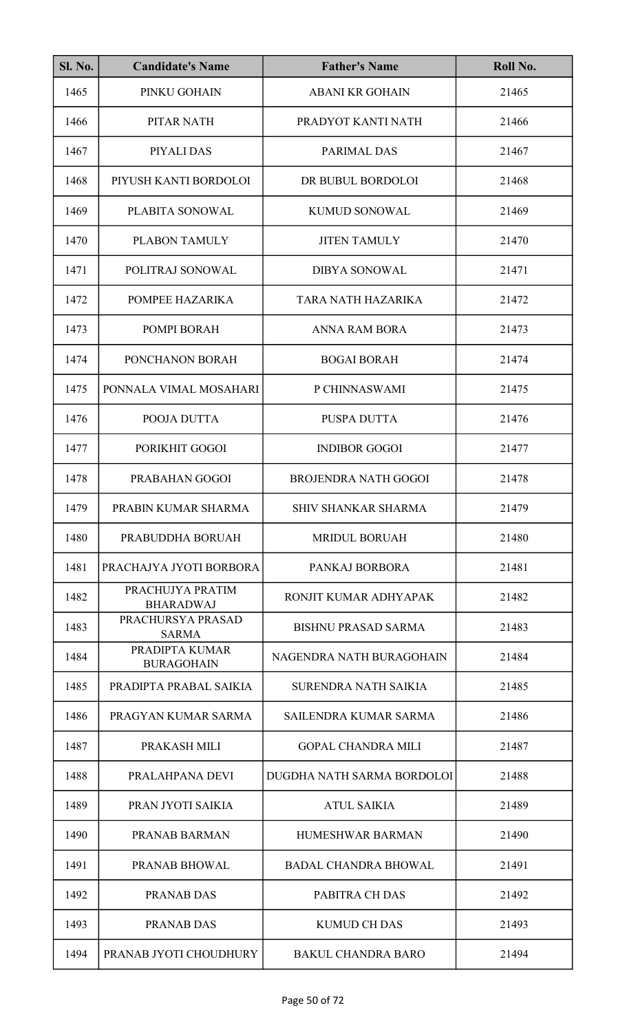| <b>Sl. No.</b> | <b>Candidate's Name</b>              | <b>Father's Name</b>         | Roll No. |
|----------------|--------------------------------------|------------------------------|----------|
| 1465           | PINKU GOHAIN                         | <b>ABANI KR GOHAIN</b>       | 21465    |
| 1466           | PITAR NATH                           | PRADYOT KANTI NATH           | 21466    |
| 1467           | PIYALI DAS                           | PARIMAL DAS                  | 21467    |
| 1468           | PIYUSH KANTI BORDOLOI                | DR BUBUL BORDOLOI            | 21468    |
| 1469           | PLABITA SONOWAL                      | <b>KUMUD SONOWAL</b>         | 21469    |
| 1470           | PLABON TAMULY                        | <b>JITEN TAMULY</b>          | 21470    |
| 1471           | POLITRAJ SONOWAL                     | <b>DIBYA SONOWAL</b>         | 21471    |
| 1472           | POMPEE HAZARIKA                      | TARA NATH HAZARIKA           | 21472    |
| 1473           | POMPI BORAH                          | <b>ANNA RAM BORA</b>         | 21473    |
| 1474           | PONCHANON BORAH                      | <b>BOGAI BORAH</b>           | 21474    |
| 1475           | PONNALA VIMAL MOSAHARI               | P CHINNASWAMI                | 21475    |
| 1476           | POOJA DUTTA                          | PUSPA DUTTA                  | 21476    |
| 1477           | PORIKHIT GOGOI                       | <b>INDIBOR GOGOI</b>         | 21477    |
| 1478           | PRABAHAN GOGOI                       | <b>BROJENDRA NATH GOGOI</b>  | 21478    |
| 1479           | PRABIN KUMAR SHARMA                  | SHIV SHANKAR SHARMA          | 21479    |
| 1480           | PRABUDDHA BORUAH                     | <b>MRIDUL BORUAH</b>         | 21480    |
| 1481           | PRACHAJYA JYOTI BORBORA              | PANKAJ BORBORA               | 21481    |
| 1482           | PRACHUJYA PRATIM<br><b>BHARADWAJ</b> | RONJIT KUMAR ADHYAPAK        | 21482    |
| 1483           | PRACHURSYA PRASAD<br><b>SARMA</b>    | <b>BISHNU PRASAD SARMA</b>   | 21483    |
| 1484           | PRADIPTA KUMAR<br><b>BURAGOHAIN</b>  | NAGENDRA NATH BURAGOHAIN     | 21484    |
| 1485           | PRADIPTA PRABAL SAIKIA               | SURENDRA NATH SAIKIA         | 21485    |
| 1486           | PRAGYAN KUMAR SARMA                  | <b>SAILENDRA KUMAR SARMA</b> | 21486    |
| 1487           | PRAKASH MILI                         | <b>GOPAL CHANDRA MILI</b>    | 21487    |
| 1488           | PRALAHPANA DEVI                      | DUGDHA NATH SARMA BORDOLOI   | 21488    |
| 1489           | PRAN JYOTI SAIKIA                    | <b>ATUL SAIKIA</b>           | 21489    |
| 1490           | PRANAB BARMAN                        | <b>HUMESHWAR BARMAN</b>      | 21490    |
| 1491           | PRANAB BHOWAL                        | <b>BADAL CHANDRA BHOWAL</b>  | 21491    |
| 1492           | PRANAB DAS                           | PABITRA CH DAS               | 21492    |
| 1493           | <b>PRANAB DAS</b>                    | <b>KUMUD CH DAS</b>          | 21493    |
| 1494           | PRANAB JYOTI CHOUDHURY               | <b>BAKUL CHANDRA BARO</b>    | 21494    |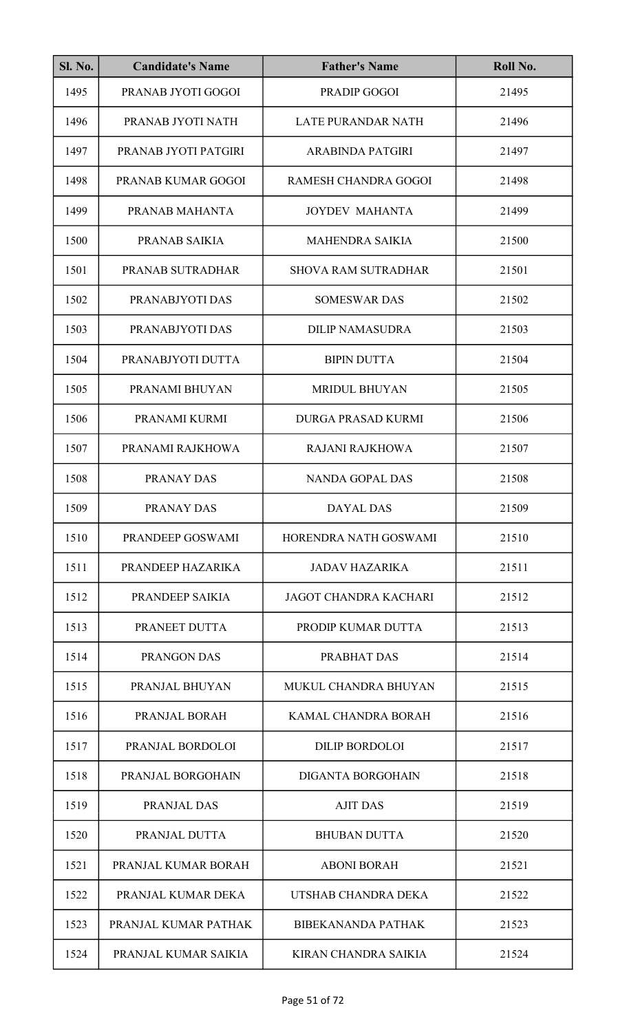| <b>Sl. No.</b> | <b>Candidate's Name</b> | <b>Father's Name</b>         | Roll No. |
|----------------|-------------------------|------------------------------|----------|
| 1495           | PRANAB JYOTI GOGOI      | PRADIP GOGOI                 | 21495    |
| 1496           | PRANAB JYOTI NATH       | <b>LATE PURANDAR NATH</b>    | 21496    |
| 1497           | PRANAB JYOTI PATGIRI    | <b>ARABINDA PATGIRI</b>      | 21497    |
| 1498           | PRANAB KUMAR GOGOI      | RAMESH CHANDRA GOGOI         | 21498    |
| 1499           | PRANAB MAHANTA          | <b>JOYDEV MAHANTA</b>        | 21499    |
| 1500           | PRANAB SAIKIA           | <b>MAHENDRA SAIKIA</b>       | 21500    |
| 1501           | PRANAB SUTRADHAR        | <b>SHOVA RAM SUTRADHAR</b>   | 21501    |
| 1502           | PRANABJYOTI DAS         | <b>SOMESWAR DAS</b>          | 21502    |
| 1503           | PRANABJYOTI DAS         | <b>DILIP NAMASUDRA</b>       | 21503    |
| 1504           | PRANABJYOTI DUTTA       | <b>BIPIN DUTTA</b>           | 21504    |
| 1505           | PRANAMI BHUYAN          | <b>MRIDUL BHUYAN</b>         | 21505    |
| 1506           | PRANAMI KURMI           | <b>DURGA PRASAD KURMI</b>    | 21506    |
| 1507           | PRANAMI RAJKHOWA        | <b>RAJANI RAJKHOWA</b>       | 21507    |
| 1508           | PRANAY DAS              | <b>NANDA GOPAL DAS</b>       | 21508    |
| 1509           | PRANAY DAS              | <b>DAYAL DAS</b>             | 21509    |
| 1510           | PRANDEEP GOSWAMI        | HORENDRA NATH GOSWAMI        | 21510    |
| 1511           | PRANDEEP HAZARIKA       | <b>JADAV HAZARIKA</b>        | 21511    |
| 1512           | PRANDEEP SAIKIA         | <b>JAGOT CHANDRA KACHARI</b> | 21512    |
| 1513           | PRANEET DUTTA           | PRODIP KUMAR DUTTA           | 21513    |
| 1514           | <b>PRANGON DAS</b>      | PRABHAT DAS                  | 21514    |
| 1515           | PRANJAL BHUYAN          | MUKUL CHANDRA BHUYAN         | 21515    |
| 1516           | PRANJAL BORAH           | KAMAL CHANDRA BORAH          | 21516    |
| 1517           | PRANJAL BORDOLOI        | DILIP BORDOLOI               | 21517    |
| 1518           | PRANJAL BORGOHAIN       | <b>DIGANTA BORGOHAIN</b>     | 21518    |
| 1519           | PRANJAL DAS             | <b>AJIT DAS</b>              | 21519    |
| 1520           | PRANJAL DUTTA           | <b>BHUBAN DUTTA</b>          | 21520    |
| 1521           | PRANJAL KUMAR BORAH     | <b>ABONI BORAH</b>           | 21521    |
| 1522           | PRANJAL KUMAR DEKA      | UTSHAB CHANDRA DEKA          | 21522    |
| 1523           | PRANJAL KUMAR PATHAK    | <b>BIBEKANANDA PATHAK</b>    | 21523    |
| 1524           | PRANJAL KUMAR SAIKIA    | KIRAN CHANDRA SAIKIA         | 21524    |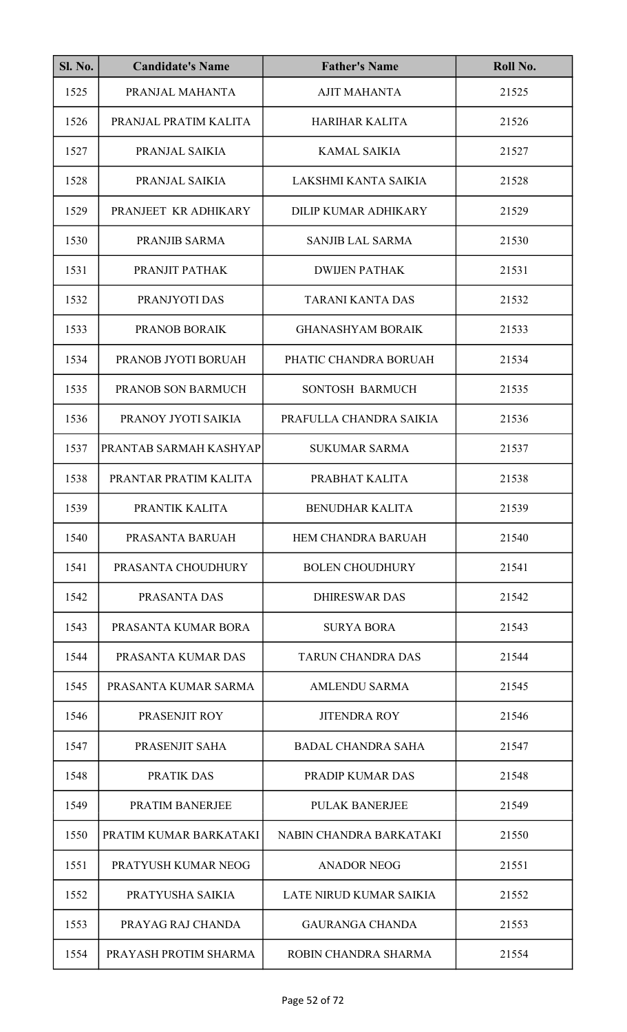| SI. No. | <b>Candidate's Name</b> | <b>Father's Name</b>      | Roll No. |
|---------|-------------------------|---------------------------|----------|
| 1525    | PRANJAL MAHANTA         | <b>AJIT MAHANTA</b>       | 21525    |
| 1526    | PRANJAL PRATIM KALITA   | <b>HARIHAR KALITA</b>     | 21526    |
| 1527    | PRANJAL SAIKIA          | <b>KAMAL SAIKIA</b>       | 21527    |
| 1528    | PRANJAL SAIKIA          | LAKSHMI KANTA SAIKIA      | 21528    |
| 1529    | PRANJEET KR ADHIKARY    | DILIP KUMAR ADHIKARY      | 21529    |
| 1530    | PRANJIB SARMA           | <b>SANJIB LAL SARMA</b>   | 21530    |
| 1531    | PRANJIT PATHAK          | <b>DWIJEN PATHAK</b>      | 21531    |
| 1532    | PRANJYOTI DAS           | <b>TARANI KANTA DAS</b>   | 21532    |
| 1533    | PRANOB BORAIK           | <b>GHANASHYAM BORAIK</b>  | 21533    |
| 1534    | PRANOB JYOTI BORUAH     | PHATIC CHANDRA BORUAH     | 21534    |
| 1535    | PRANOB SON BARMUCH      | SONTOSH BARMUCH           | 21535    |
| 1536    | PRANOY JYOTI SAIKIA     | PRAFULLA CHANDRA SAIKIA   | 21536    |
| 1537    | PRANTAB SARMAH KASHYAP  | <b>SUKUMAR SARMA</b>      | 21537    |
| 1538    | PRANTAR PRATIM KALITA   | PRABHAT KALITA            | 21538    |
| 1539    | PRANTIK KALITA          | BENUDHAR KALITA           | 21539    |
| 1540    | PRASANTA BARUAH         | HEM CHANDRA BARUAH        | 21540    |
| 1541    | PRASANTA CHOUDHURY      | <b>BOLEN CHOUDHURY</b>    | 21541    |
| 1542    | PRASANTA DAS            | <b>DHIRESWAR DAS</b>      | 21542    |
| 1543    | PRASANTA KUMAR BORA     | <b>SURYA BORA</b>         | 21543    |
| 1544    | PRASANTA KUMAR DAS      | <b>TARUN CHANDRA DAS</b>  | 21544    |
| 1545    | PRASANTA KUMAR SARMA    | <b>AMLENDU SARMA</b>      | 21545    |
| 1546    | PRASENJIT ROY           | <b>JITENDRA ROY</b>       | 21546    |
| 1547    | PRASENJIT SAHA          | <b>BADAL CHANDRA SAHA</b> | 21547    |
| 1548    | PRATIK DAS              | <b>PRADIP KUMAR DAS</b>   | 21548    |
| 1549    | PRATIM BANERJEE         | <b>PULAK BANERJEE</b>     | 21549    |
| 1550    | PRATIM KUMAR BARKATAKI  | NABIN CHANDRA BARKATAKI   | 21550    |
| 1551    | PRATYUSH KUMAR NEOG     | <b>ANADOR NEOG</b>        | 21551    |
| 1552    | PRATYUSHA SAIKIA        | LATE NIRUD KUMAR SAIKIA   | 21552    |
| 1553    | PRAYAG RAJ CHANDA       | <b>GAURANGA CHANDA</b>    | 21553    |
| 1554    | PRAYASH PROTIM SHARMA   | ROBIN CHANDRA SHARMA      | 21554    |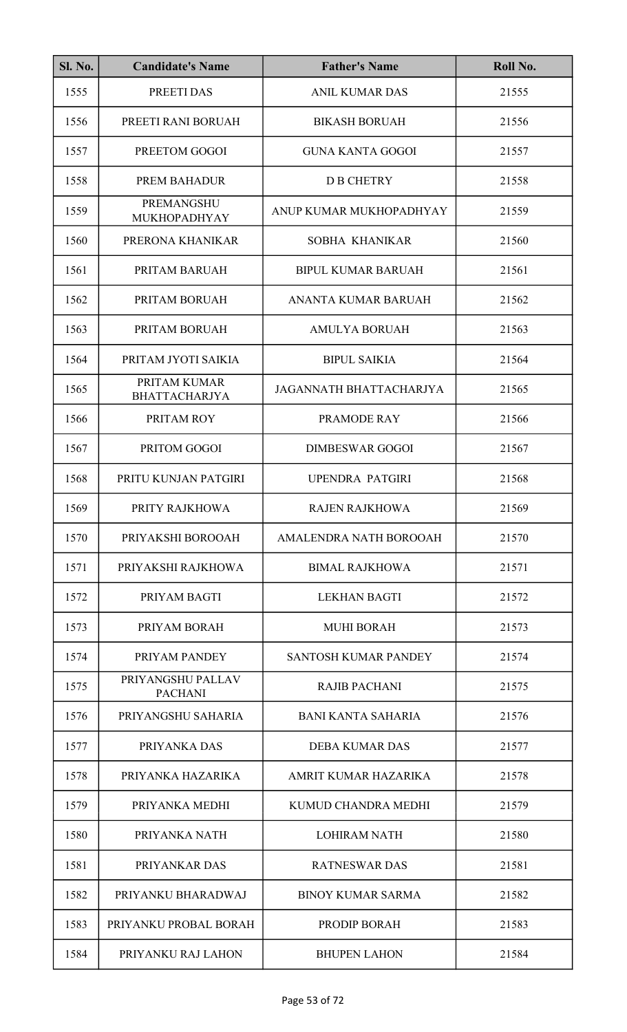| <b>Sl. No.</b> | <b>Candidate's Name</b>              | <b>Father's Name</b>        | Roll No. |
|----------------|--------------------------------------|-----------------------------|----------|
| 1555           | PREETI DAS                           | <b>ANIL KUMAR DAS</b>       | 21555    |
| 1556           | PREETI RANI BORUAH                   | <b>BIKASH BORUAH</b>        | 21556    |
| 1557           | PREETOM GOGOI                        | <b>GUNA KANTA GOGOI</b>     | 21557    |
| 1558           | PREM BAHADUR                         | <b>D B CHETRY</b>           | 21558    |
| 1559           | <b>PREMANGSHU</b><br>MUKHOPADHYAY    | ANUP KUMAR MUKHOPADHYAY     | 21559    |
| 1560           | PRERONA KHANIKAR                     | SOBHA KHANIKAR              | 21560    |
| 1561           | PRITAM BARUAH                        | <b>BIPUL KUMAR BARUAH</b>   | 21561    |
| 1562           | PRITAM BORUAH                        | ANANTA KUMAR BARUAH         | 21562    |
| 1563           | PRITAM BORUAH                        | <b>AMULYA BORUAH</b>        | 21563    |
| 1564           | PRITAM JYOTI SAIKIA                  | <b>BIPUL SAIKIA</b>         | 21564    |
| 1565           | PRITAM KUMAR<br><b>BHATTACHARJYA</b> | JAGANNATH BHATTACHARJYA     | 21565    |
| 1566           | PRITAM ROY                           | PRAMODE RAY                 | 21566    |
| 1567           | PRITOM GOGOI                         | <b>DIMBESWAR GOGOI</b>      | 21567    |
| 1568           | PRITU KUNJAN PATGIRI                 | <b>UPENDRA PATGIRI</b>      | 21568    |
| 1569           | PRITY RAJKHOWA                       | <b>RAJEN RAJKHOWA</b>       | 21569    |
| 1570           | PRIYAKSHI BOROOAH                    | AMALENDRA NATH BOROOAH      | 21570    |
| 1571           | PRIYAKSHI RAJKHOWA                   | <b>BIMAL RAJKHOWA</b>       | 21571    |
| 1572           | PRIYAM BAGTI                         | <b>LEKHAN BAGTI</b>         | 21572    |
| 1573           | PRIYAM BORAH                         | <b>MUHI BORAH</b>           | 21573    |
| 1574           | PRIYAM PANDEY                        | <b>SANTOSH KUMAR PANDEY</b> | 21574    |
| 1575           | PRIYANGSHU PALLAV<br><b>PACHANI</b>  | <b>RAJIB PACHANI</b>        | 21575    |
| 1576           | PRIYANGSHU SAHARIA                   | <b>BANI KANTA SAHARIA</b>   | 21576    |
| 1577           | PRIYANKA DAS                         | <b>DEBA KUMAR DAS</b>       | 21577    |
| 1578           | PRIYANKA HAZARIKA                    | AMRIT KUMAR HAZARIKA        | 21578    |
| 1579           | PRIYANKA MEDHI                       | KUMUD CHANDRA MEDHI         | 21579    |
| 1580           | PRIYANKA NATH                        | <b>LOHIRAM NATH</b>         | 21580    |
| 1581           | PRIYANKAR DAS                        | <b>RATNESWAR DAS</b>        | 21581    |
| 1582           | PRIYANKU BHARADWAJ                   | <b>BINOY KUMAR SARMA</b>    | 21582    |
| 1583           | PRIYANKU PROBAL BORAH                | PRODIP BORAH                | 21583    |
| 1584           | PRIYANKU RAJ LAHON                   | <b>BHUPEN LAHON</b>         | 21584    |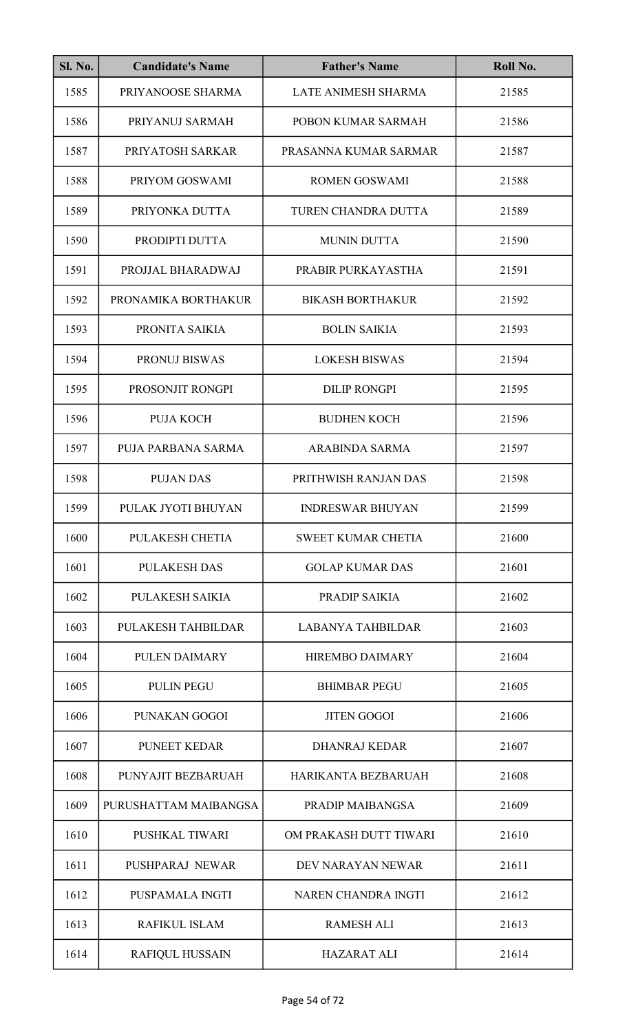| <b>Sl. No.</b> | <b>Candidate's Name</b> | <b>Father's Name</b>      | Roll No. |
|----------------|-------------------------|---------------------------|----------|
| 1585           | PRIYANOOSE SHARMA       | LATE ANIMESH SHARMA       | 21585    |
| 1586           | PRIYANUJ SARMAH         | POBON KUMAR SARMAH        | 21586    |
| 1587           | PRIYATOSH SARKAR        | PRASANNA KUMAR SARMAR     | 21587    |
| 1588           | PRIYOM GOSWAMI          | <b>ROMEN GOSWAMI</b>      | 21588    |
| 1589           | PRIYONKA DUTTA          | TUREN CHANDRA DUTTA       | 21589    |
| 1590           | PRODIPTI DUTTA          | <b>MUNIN DUTTA</b>        | 21590    |
| 1591           | PROJJAL BHARADWAJ       | PRABIR PURKAYASTHA        | 21591    |
| 1592           | PRONAMIKA BORTHAKUR     | <b>BIKASH BORTHAKUR</b>   | 21592    |
| 1593           | PRONITA SAIKIA          | <b>BOLIN SAIKIA</b>       | 21593    |
| 1594           | PRONUJ BISWAS           | <b>LOKESH BISWAS</b>      | 21594    |
| 1595           | PROSONJIT RONGPI        | <b>DILIP RONGPI</b>       | 21595    |
| 1596           | <b>PUJA KOCH</b>        | <b>BUDHEN KOCH</b>        | 21596    |
| 1597           | PUJA PARBANA SARMA      | <b>ARABINDA SARMA</b>     | 21597    |
| 1598           | <b>PUJAN DAS</b>        | PRITHWISH RANJAN DAS      | 21598    |
| 1599           | PULAK JYOTI BHUYAN      | <b>INDRESWAR BHUYAN</b>   | 21599    |
| 1600           | PULAKESH CHETIA         | <b>SWEET KUMAR CHETIA</b> | 21600    |
| 1601           | <b>PULAKESH DAS</b>     | <b>GOLAP KUMAR DAS</b>    | 21601    |
| 1602           | PULAKESH SAIKIA         | PRADIP SAIKIA             | 21602    |
| 1603           | PULAKESH TAHBILDAR      | <b>LABANYA TAHBILDAR</b>  | 21603    |
| 1604           | PULEN DAIMARY           | <b>HIREMBO DAIMARY</b>    | 21604    |
| 1605           | <b>PULIN PEGU</b>       | <b>BHIMBAR PEGU</b>       | 21605    |
| 1606           | PUNAKAN GOGOI           | <b>JITEN GOGOI</b>        | 21606    |
| 1607           | <b>PUNEET KEDAR</b>     | <b>DHANRAJ KEDAR</b>      | 21607    |
| 1608           | PUNYAJIT BEZBARUAH      | HARIKANTA BEZBARUAH       | 21608    |
| 1609           | PURUSHATTAM MAIBANGSA   | PRADIP MAIBANGSA          | 21609    |
| 1610           | PUSHKAL TIWARI          | OM PRAKASH DUTT TIWARI    | 21610    |
| 1611           | PUSHPARAJ NEWAR         | DEV NARAYAN NEWAR         | 21611    |
| 1612           | PUSPAMALA INGTI         | NAREN CHANDRA INGTI       | 21612    |
| 1613           | <b>RAFIKUL ISLAM</b>    | <b>RAMESH ALI</b>         | 21613    |
| 1614           | <b>RAFIQUL HUSSAIN</b>  | <b>HAZARAT ALI</b>        | 21614    |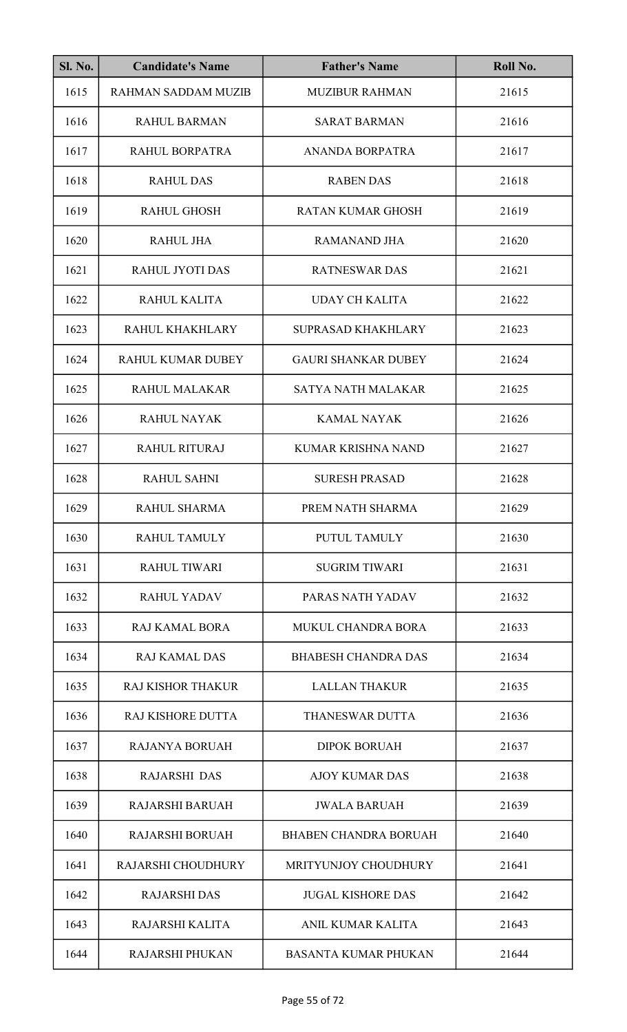| <b>Sl. No.</b> | <b>Candidate's Name</b>   | <b>Father's Name</b>         | Roll No. |
|----------------|---------------------------|------------------------------|----------|
| 1615           | RAHMAN SADDAM MUZIB       | <b>MUZIBUR RAHMAN</b>        | 21615    |
| 1616           | <b>RAHUL BARMAN</b>       | <b>SARAT BARMAN</b>          | 21616    |
| 1617           | RAHUL BORPATRA            | ANANDA BORPATRA              | 21617    |
| 1618           | <b>RAHUL DAS</b>          | <b>RABEN DAS</b>             | 21618    |
| 1619           | <b>RAHUL GHOSH</b>        | <b>RATAN KUMAR GHOSH</b>     | 21619    |
| 1620           | <b>RAHUL JHA</b>          | <b>RAMANAND JHA</b>          | 21620    |
| 1621           | <b>RAHUL JYOTI DAS</b>    | <b>RATNESWAR DAS</b>         | 21621    |
| 1622           | RAHUL KALITA              | <b>UDAY CH KALITA</b>        | 21622    |
| 1623           | RAHUL KHAKHLARY           | <b>SUPRASAD KHAKHLARY</b>    | 21623    |
| 1624           | <b>RAHUL KUMAR DUBEY</b>  | <b>GAURI SHANKAR DUBEY</b>   | 21624    |
| 1625           | RAHUL MALAKAR             | <b>SATYA NATH MALAKAR</b>    | 21625    |
| 1626           | <b>RAHUL NAYAK</b>        | <b>KAMAL NAYAK</b>           | 21626    |
| 1627           | <b>RAHUL RITURAJ</b>      | <b>KUMAR KRISHNA NAND</b>    | 21627    |
| 1628           | <b>RAHUL SAHNI</b>        | <b>SURESH PRASAD</b>         | 21628    |
| 1629           | RAHUL SHARMA              | PREM NATH SHARMA             | 21629    |
| 1630           | <b>RAHUL TAMULY</b>       | PUTUL TAMULY                 | 21630    |
| 1631           | <b>RAHUL TIWARI</b>       | <b>SUGRIM TIWARI</b>         | 21631    |
| 1632           | <b>RAHUL YADAV</b>        | PARAS NATH YADAV             | 21632    |
| 1633           | RAJ KAMAL BORA            | <b>MUKUL CHANDRA BORA</b>    | 21633    |
| 1634           | <b>RAJ KAMAL DAS</b>      | <b>BHABESH CHANDRA DAS</b>   | 21634    |
| 1635           | <b>RAJ KISHOR THAKUR</b>  | <b>LALLAN THAKUR</b>         | 21635    |
| 1636           | <b>RAJ KISHORE DUTTA</b>  | THANESWAR DUTTA              | 21636    |
| 1637           | <b>RAJANYA BORUAH</b>     | <b>DIPOK BORUAH</b>          | 21637    |
| 1638           | <b>RAJARSHI DAS</b>       | <b>AJOY KUMAR DAS</b>        | 21638    |
| 1639           | <b>RAJARSHI BARUAH</b>    | <b>JWALA BARUAH</b>          | 21639    |
| 1640           | <b>RAJARSHI BORUAH</b>    | <b>BHABEN CHANDRA BORUAH</b> | 21640    |
| 1641           | <b>RAJARSHI CHOUDHURY</b> | MRITYUNJOY CHOUDHURY         | 21641    |
| 1642           | <b>RAJARSHI DAS</b>       | <b>JUGAL KISHORE DAS</b>     | 21642    |
| 1643           | RAJARSHI KALITA           | ANIL KUMAR KALITA            | 21643    |
| 1644           | <b>RAJARSHI PHUKAN</b>    | <b>BASANTA KUMAR PHUKAN</b>  | 21644    |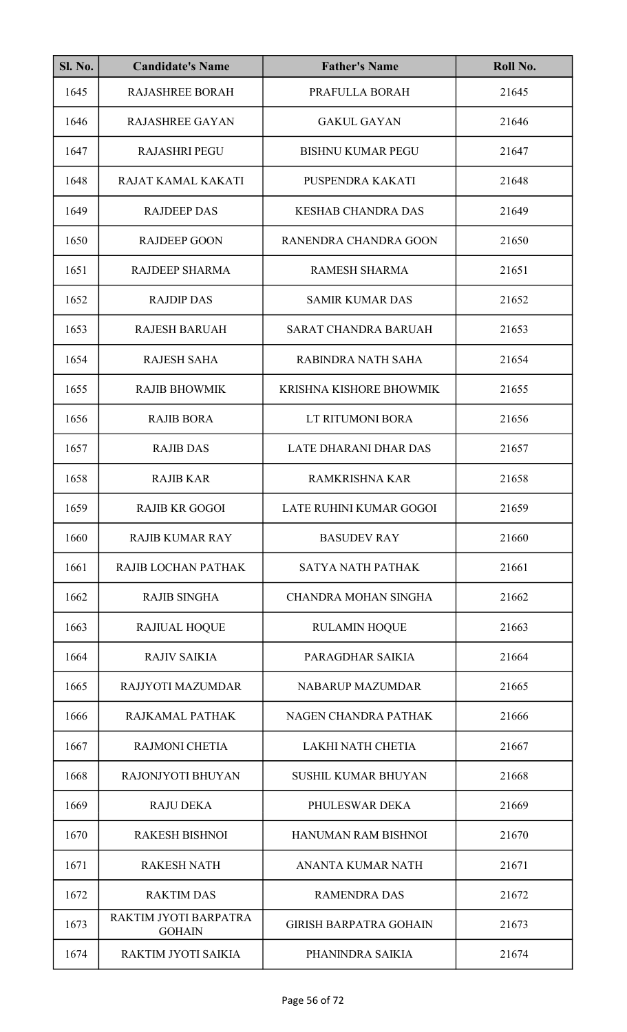| <b>Sl. No.</b> | <b>Candidate's Name</b>                | <b>Father's Name</b>          | Roll No. |
|----------------|----------------------------------------|-------------------------------|----------|
| 1645           | <b>RAJASHREE BORAH</b>                 | PRAFULLA BORAH                | 21645    |
| 1646           | <b>RAJASHREE GAYAN</b>                 | <b>GAKUL GAYAN</b>            | 21646    |
| 1647           | <b>RAJASHRI PEGU</b>                   | <b>BISHNU KUMAR PEGU</b>      | 21647    |
| 1648           | RAJAT KAMAL KAKATI                     | PUSPENDRA KAKATI              | 21648    |
| 1649           | <b>RAJDEEP DAS</b>                     | <b>KESHAB CHANDRA DAS</b>     | 21649    |
| 1650           | <b>RAJDEEP GOON</b>                    | RANENDRA CHANDRA GOON         | 21650    |
| 1651           | RAJDEEP SHARMA                         | <b>RAMESH SHARMA</b>          | 21651    |
| 1652           | <b>RAJDIP DAS</b>                      | <b>SAMIR KUMAR DAS</b>        | 21652    |
| 1653           | <b>RAJESH BARUAH</b>                   | <b>SARAT CHANDRA BARUAH</b>   | 21653    |
| 1654           | <b>RAJESH SAHA</b>                     | RABINDRA NATH SAHA            | 21654    |
| 1655           | <b>RAJIB BHOWMIK</b>                   | KRISHNA KISHORE BHOWMIK       | 21655    |
| 1656           | <b>RAJIB BORA</b>                      | LT RITUMONI BORA              | 21656    |
| 1657           | <b>RAJIB DAS</b>                       | LATE DHARANI DHAR DAS         | 21657    |
| 1658           | <b>RAJIB KAR</b>                       | <b>RAMKRISHNA KAR</b>         | 21658    |
| 1659           | <b>RAJIB KR GOGOI</b>                  | LATE RUHINI KUMAR GOGOI       | 21659    |
| 1660           | <b>RAJIB KUMAR RAY</b>                 | <b>BASUDEV RAY</b>            | 21660    |
| 1661           | RAJIB LOCHAN PATHAK                    | <b>SATYA NATH PATHAK</b>      | 21661    |
| 1662           | <b>RAJIB SINGHA</b>                    | <b>CHANDRA MOHAN SINGHA</b>   | 21662    |
| 1663           | <b>RAJIUAL HOQUE</b>                   | <b>RULAMIN HOQUE</b>          | 21663    |
| 1664           | <b>RAJIV SAIKIA</b>                    | PARAGDHAR SAIKIA              | 21664    |
| 1665           | RAJJYOTI MAZUMDAR                      | <b>NABARUP MAZUMDAR</b>       | 21665    |
| 1666           | RAJKAMAL PATHAK                        | NAGEN CHANDRA PATHAK          | 21666    |
| 1667           | <b>RAJMONI CHETIA</b>                  | <b>LAKHI NATH CHETIA</b>      | 21667    |
| 1668           | RAJONJYOTI BHUYAN                      | <b>SUSHIL KUMAR BHUYAN</b>    | 21668    |
| 1669           | <b>RAJU DEKA</b>                       | PHULESWAR DEKA                | 21669    |
| 1670           | <b>RAKESH BISHNOI</b>                  | HANUMAN RAM BISHNOI           | 21670    |
| 1671           | <b>RAKESH NATH</b>                     | <b>ANANTA KUMAR NATH</b>      | 21671    |
| 1672           | <b>RAKTIM DAS</b>                      | <b>RAMENDRA DAS</b>           | 21672    |
| 1673           | RAKTIM JYOTI BARPATRA<br><b>GOHAIN</b> | <b>GIRISH BARPATRA GOHAIN</b> | 21673    |
| 1674           | RAKTIM JYOTI SAIKIA                    | PHANINDRA SAIKIA              | 21674    |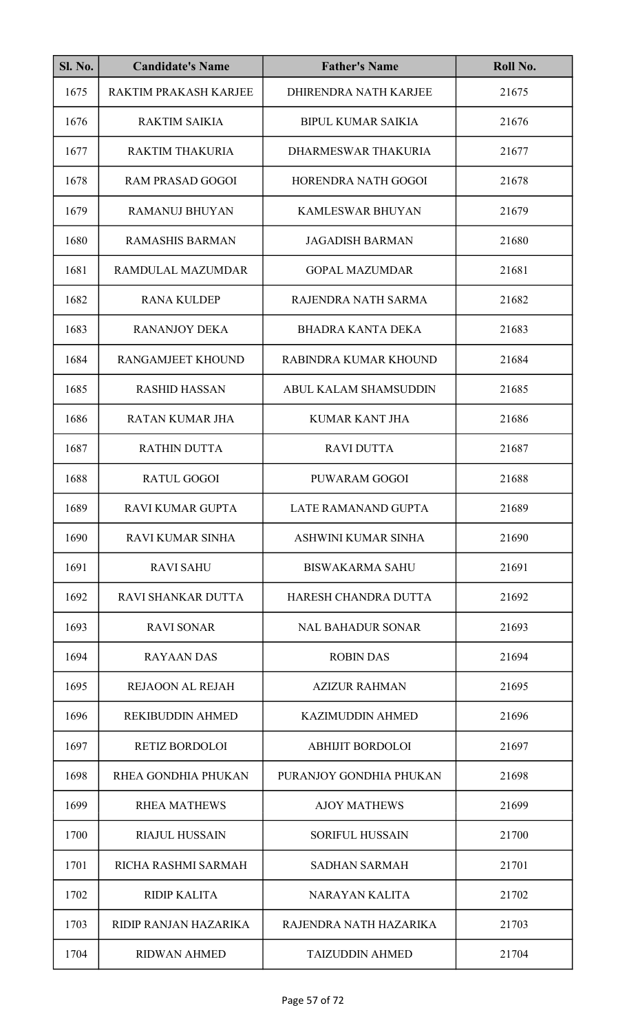| <b>Sl. No.</b> | <b>Candidate's Name</b>      | <b>Father's Name</b>      | Roll No. |
|----------------|------------------------------|---------------------------|----------|
| 1675           | <b>RAKTIM PRAKASH KARJEE</b> | DHIRENDRA NATH KARJEE     | 21675    |
| 1676           | <b>RAKTIM SAIKIA</b>         | <b>BIPUL KUMAR SAIKIA</b> | 21676    |
| 1677           | <b>RAKTIM THAKURIA</b>       | DHARMESWAR THAKURIA       | 21677    |
| 1678           | <b>RAM PRASAD GOGOI</b>      | HORENDRA NATH GOGOI       | 21678    |
| 1679           | <b>RAMANUJ BHUYAN</b>        | <b>KAMLESWAR BHUYAN</b>   | 21679    |
| 1680           | <b>RAMASHIS BARMAN</b>       | <b>JAGADISH BARMAN</b>    | 21680    |
| 1681           | RAMDULAL MAZUMDAR            | <b>GOPAL MAZUMDAR</b>     | 21681    |
| 1682           | <b>RANA KULDEP</b>           | RAJENDRA NATH SARMA       | 21682    |
| 1683           | <b>RANANJOY DEKA</b>         | <b>BHADRA KANTA DEKA</b>  | 21683    |
| 1684           | RANGAMJEET KHOUND            | RABINDRA KUMAR KHOUND     | 21684    |
| 1685           | <b>RASHID HASSAN</b>         | ABUL KALAM SHAMSUDDIN     | 21685    |
| 1686           | <b>RATAN KUMAR JHA</b>       | <b>KUMAR KANT JHA</b>     | 21686    |
| 1687           | <b>RATHIN DUTTA</b>          | <b>RAVI DUTTA</b>         | 21687    |
| 1688           | <b>RATUL GOGOI</b>           | PUWARAM GOGOI             | 21688    |
| 1689           | RAVI KUMAR GUPTA             | LATE RAMANAND GUPTA       | 21689    |
| 1690           | <b>RAVI KUMAR SINHA</b>      | ASHWINI KUMAR SINHA       | 21690    |
| 1691           | <b>RAVI SAHU</b>             | <b>BISWAKARMA SAHU</b>    | 21691    |
| 1692           | RAVI SHANKAR DUTTA           | HARESH CHANDRA DUTTA      | 21692    |
| 1693           | <b>RAVI SONAR</b>            | <b>NAL BAHADUR SONAR</b>  | 21693    |
| 1694           | <b>RAYAAN DAS</b>            | <b>ROBIN DAS</b>          | 21694    |
| 1695           | <b>REJAOON AL REJAH</b>      | <b>AZIZUR RAHMAN</b>      | 21695    |
| 1696           | <b>REKIBUDDIN AHMED</b>      | <b>KAZIMUDDIN AHMED</b>   | 21696    |
| 1697           | <b>RETIZ BORDOLOI</b>        | <b>ABHIJIT BORDOLOI</b>   | 21697    |
| 1698           | RHEA GONDHIA PHUKAN          | PURANJOY GONDHIA PHUKAN   | 21698    |
| 1699           | <b>RHEA MATHEWS</b>          | <b>AJOY MATHEWS</b>       | 21699    |
| 1700           | <b>RIAJUL HUSSAIN</b>        | <b>SORIFUL HUSSAIN</b>    | 21700    |
| 1701           | RICHA RASHMI SARMAH          | <b>SADHAN SARMAH</b>      | 21701    |
| 1702           | <b>RIDIP KALITA</b>          | <b>NARAYAN KALITA</b>     | 21702    |
| 1703           | RIDIP RANJAN HAZARIKA        | RAJENDRA NATH HAZARIKA    | 21703    |
| 1704           | <b>RIDWAN AHMED</b>          | <b>TAIZUDDIN AHMED</b>    | 21704    |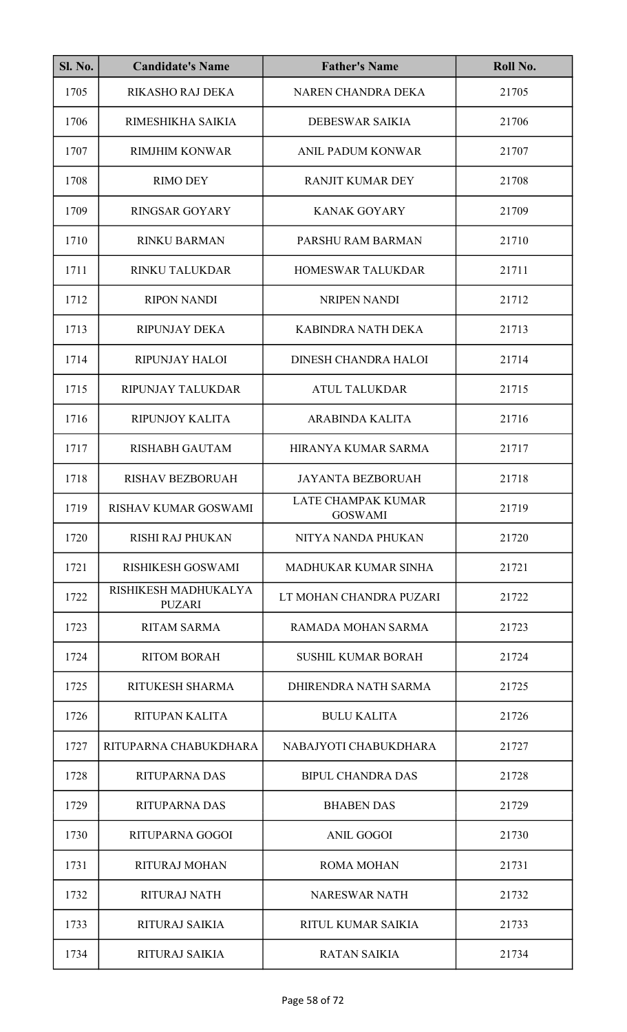| <b>Sl. No.</b> | <b>Candidate's Name</b>               | <b>Father's Name</b>                 | Roll No. |
|----------------|---------------------------------------|--------------------------------------|----------|
| 1705           | <b>RIKASHO RAJ DEKA</b>               | NAREN CHANDRA DEKA                   | 21705    |
| 1706           | RIMESHIKHA SAIKIA                     | <b>DEBESWAR SAIKIA</b>               | 21706    |
| 1707           | <b>RIMJHIM KONWAR</b>                 | ANIL PADUM KONWAR                    | 21707    |
| 1708           | <b>RIMO DEY</b>                       | <b>RANJIT KUMAR DEY</b>              | 21708    |
| 1709           | <b>RINGSAR GOYARY</b>                 | <b>KANAK GOYARY</b>                  | 21709    |
| 1710           | <b>RINKU BARMAN</b>                   | PARSHU RAM BARMAN                    | 21710    |
| 1711           | RINKU TALUKDAR                        | HOMESWAR TALUKDAR                    | 21711    |
| 1712           | <b>RIPON NANDI</b>                    | <b>NRIPEN NANDI</b>                  | 21712    |
| 1713           | <b>RIPUNJAY DEKA</b>                  | KABINDRA NATH DEKA                   | 21713    |
| 1714           | <b>RIPUNJAY HALOI</b>                 | <b>DINESH CHANDRA HALOI</b>          | 21714    |
| 1715           | RIPUNJAY TALUKDAR                     | <b>ATUL TALUKDAR</b>                 | 21715    |
| 1716           | RIPUNJOY KALITA                       | <b>ARABINDA KALITA</b>               | 21716    |
| 1717           | <b>RISHABH GAUTAM</b>                 | HIRANYA KUMAR SARMA                  | 21717    |
| 1718           | <b>RISHAV BEZBORUAH</b>               | <b>JAYANTA BEZBORUAH</b>             | 21718    |
| 1719           | RISHAV KUMAR GOSWAMI                  | LATE CHAMPAK KUMAR<br><b>GOSWAMI</b> | 21719    |
| 1720           | <b>RISHI RAJ PHUKAN</b>               | NITYA NANDA PHUKAN                   | 21720    |
| 1721           | RISHIKESH GOSWAMI                     | <b>MADHUKAR KUMAR SINHA</b>          | 21721    |
| 1722           | RISHIKESH MADHUKALYA<br><b>PUZARI</b> | LT MOHAN CHANDRA PUZARI              | 21722    |
| 1723           | <b>RITAM SARMA</b>                    | RAMADA MOHAN SARMA                   | 21723    |
| 1724           | <b>RITOM BORAH</b>                    | <b>SUSHIL KUMAR BORAH</b>            | 21724    |
| 1725           | RITUKESH SHARMA                       | DHIRENDRA NATH SARMA                 | 21725    |
| 1726           | RITUPAN KALITA                        | <b>BULU KALITA</b>                   | 21726    |
| 1727           | RITUPARNA CHABUKDHARA                 | NABAJYOTI CHABUKDHARA                | 21727    |
| 1728           | <b>RITUPARNA DAS</b>                  | <b>BIPUL CHANDRA DAS</b>             | 21728    |
| 1729           | <b>RITUPARNA DAS</b>                  | <b>BHABEN DAS</b>                    | 21729    |
| 1730           | RITUPARNA GOGOI                       | <b>ANIL GOGOI</b>                    | 21730    |
| 1731           | <b>RITURAJ MOHAN</b>                  | <b>ROMA MOHAN</b>                    | 21731    |
| 1732           | <b>RITURAJ NATH</b>                   | <b>NARESWAR NATH</b>                 | 21732    |
| 1733           | <b>RITURAJ SAIKIA</b>                 | RITUL KUMAR SAIKIA                   | 21733    |
| 1734           | <b>RITURAJ SAIKIA</b>                 | <b>RATAN SAIKIA</b>                  | 21734    |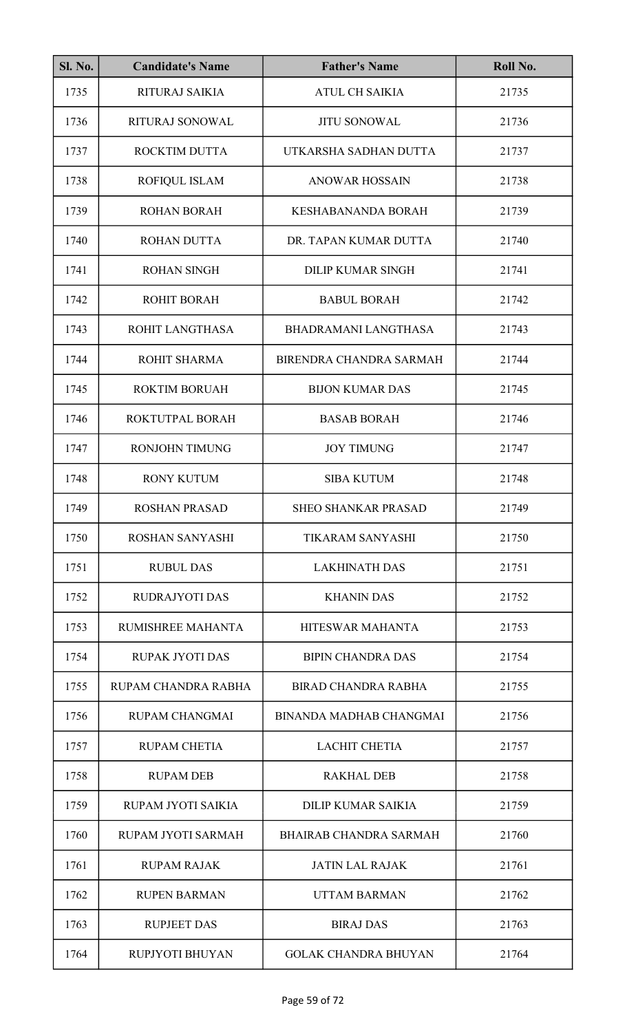| <b>Sl. No.</b> | <b>Candidate's Name</b> | <b>Father's Name</b>           | Roll No. |
|----------------|-------------------------|--------------------------------|----------|
| 1735           | <b>RITURAJ SAIKIA</b>   | <b>ATUL CH SAIKIA</b>          | 21735    |
| 1736           | RITURAJ SONOWAL         | <b>JITU SONOWAL</b>            | 21736    |
| 1737           | ROCKTIM DUTTA           | UTKARSHA SADHAN DUTTA          | 21737    |
| 1738           | ROFIQUL ISLAM           | <b>ANOWAR HOSSAIN</b>          | 21738    |
| 1739           | <b>ROHAN BORAH</b>      | <b>KESHABANANDA BORAH</b>      | 21739    |
| 1740           | ROHAN DUTTA             | DR. TAPAN KUMAR DUTTA          | 21740    |
| 1741           | <b>ROHAN SINGH</b>      | <b>DILIP KUMAR SINGH</b>       | 21741    |
| 1742           | <b>ROHIT BORAH</b>      | <b>BABUL BORAH</b>             | 21742    |
| 1743           | ROHIT LANGTHASA         | <b>BHADRAMANI LANGTHASA</b>    | 21743    |
| 1744           | ROHIT SHARMA            | BIRENDRA CHANDRA SARMAH        | 21744    |
| 1745           | <b>ROKTIM BORUAH</b>    | <b>BIJON KUMAR DAS</b>         | 21745    |
| 1746           | ROKTUTPAL BORAH         | <b>BASAB BORAH</b>             | 21746    |
| 1747           | <b>RONJOHN TIMUNG</b>   | <b>JOY TIMUNG</b>              | 21747    |
| 1748           | <b>RONY KUTUM</b>       | <b>SIBA KUTUM</b>              | 21748    |
| 1749           | <b>ROSHAN PRASAD</b>    | SHEO SHANKAR PRASAD            | 21749    |
| 1750           | <b>ROSHAN SANYASHI</b>  | <b>TIKARAM SANYASHI</b>        | 21750    |
| 1751           | <b>RUBUL DAS</b>        | <b>LAKHINATH DAS</b>           | 21751    |
| 1752           | <b>RUDRAJYOTI DAS</b>   | <b>KHANIN DAS</b>              | 21752    |
| 1753           | RUMISHREE MAHANTA       | HITESWAR MAHANTA               | 21753    |
| 1754           | <b>RUPAK JYOTI DAS</b>  | <b>BIPIN CHANDRA DAS</b>       | 21754    |
| 1755           | RUPAM CHANDRA RABHA     | <b>BIRAD CHANDRA RABHA</b>     | 21755    |
| 1756           | <b>RUPAM CHANGMAI</b>   | <b>BINANDA MADHAB CHANGMAI</b> | 21756    |
| 1757           | <b>RUPAM CHETIA</b>     | <b>LACHIT CHETIA</b>           | 21757    |
| 1758           | <b>RUPAM DEB</b>        | <b>RAKHAL DEB</b>              | 21758    |
| 1759           | RUPAM JYOTI SAIKIA      | <b>DILIP KUMAR SAIKIA</b>      | 21759    |
| 1760           | RUPAM JYOTI SARMAH      | <b>BHAIRAB CHANDRA SARMAH</b>  | 21760    |
| 1761           | <b>RUPAM RAJAK</b>      | <b>JATIN LAL RAJAK</b>         | 21761    |
| 1762           | <b>RUPEN BARMAN</b>     | <b>UTTAM BARMAN</b>            | 21762    |
| 1763           | <b>RUPJEET DAS</b>      | <b>BIRAJ DAS</b>               | 21763    |
| 1764           | RUPJYOTI BHUYAN         | <b>GOLAK CHANDRA BHUYAN</b>    | 21764    |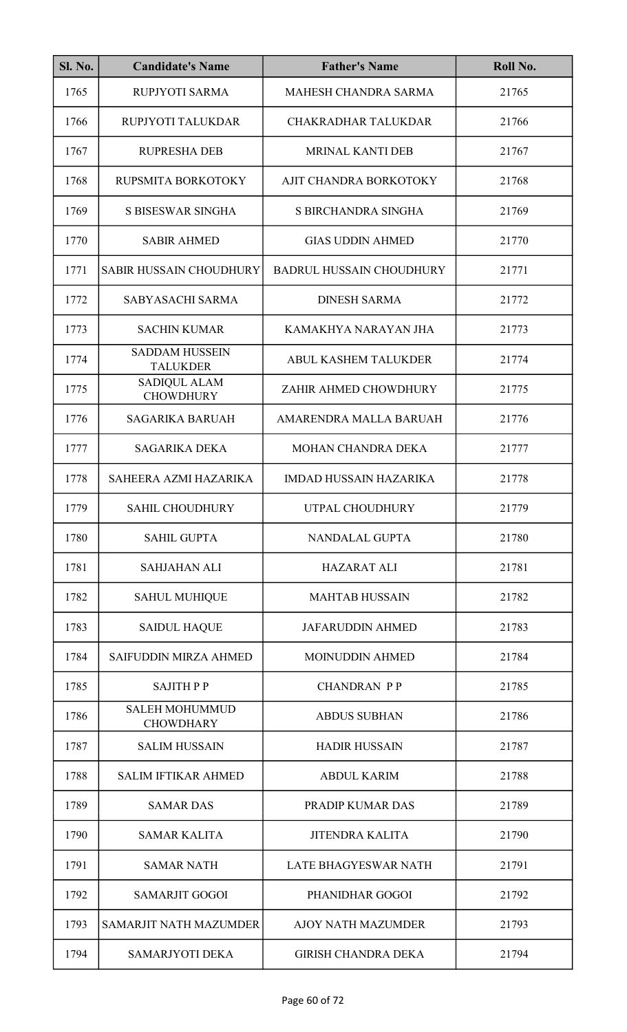| <b>Sl. No.</b> | <b>Candidate's Name</b>                   | <b>Father's Name</b>            | Roll No. |
|----------------|-------------------------------------------|---------------------------------|----------|
| 1765           | RUPJYOTI SARMA                            | MAHESH CHANDRA SARMA            | 21765    |
| 1766           | RUPJYOTI TALUKDAR                         | <b>CHAKRADHAR TALUKDAR</b>      | 21766    |
| 1767           | <b>RUPRESHA DEB</b>                       | MRINAL KANTI DEB                | 21767    |
| 1768           | RUPSMITA BORKOTOKY                        | AJIT CHANDRA BORKOTOKY          | 21768    |
| 1769           | S BISESWAR SINGHA                         | S BIRCHANDRA SINGHA             | 21769    |
| 1770           | <b>SABIR AHMED</b>                        | <b>GIAS UDDIN AHMED</b>         | 21770    |
| 1771           | <b>SABIR HUSSAIN CHOUDHURY</b>            | <b>BADRUL HUSSAIN CHOUDHURY</b> | 21771    |
| 1772           | SABYASACHI SARMA                          | <b>DINESH SARMA</b>             | 21772    |
| 1773           | <b>SACHIN KUMAR</b>                       | KAMAKHYA NARAYAN JHA            | 21773    |
| 1774           | <b>SADDAM HUSSEIN</b><br><b>TALUKDER</b>  | <b>ABUL KASHEM TALUKDER</b>     | 21774    |
| 1775           | SADIQUL ALAM<br><b>CHOWDHURY</b>          | ZAHIR AHMED CHOWDHURY           | 21775    |
| 1776           | <b>SAGARIKA BARUAH</b>                    | AMARENDRA MALLA BARUAH          | 21776    |
| 1777           | <b>SAGARIKA DEKA</b>                      | MOHAN CHANDRA DEKA              | 21777    |
| 1778           | SAHEERA AZMI HAZARIKA                     | <b>IMDAD HUSSAIN HAZARIKA</b>   | 21778    |
| 1779           | <b>SAHIL CHOUDHURY</b>                    | UTPAL CHOUDHURY                 | 21779    |
| 1780           | <b>SAHIL GUPTA</b>                        | NANDALAL GUPTA                  | 21780    |
| 1781           | <b>SAHJAHAN ALI</b>                       | <b>HAZARAT ALI</b>              | 21781    |
| 1782           | <b>SAHUL MUHIQUE</b>                      | <b>MAHTAB HUSSAIN</b>           | 21782    |
| 1783           | <b>SAIDUL HAQUE</b>                       | <b>JAFARUDDIN AHMED</b>         | 21783    |
| 1784           | <b>SAIFUDDIN MIRZA AHMED</b>              | <b>MOINUDDIN AHMED</b>          | 21784    |
| 1785           | <b>SAJITHPP</b>                           | <b>CHANDRAN PP</b>              | 21785    |
| 1786           | <b>SALEH MOHUMMUD</b><br><b>CHOWDHARY</b> | <b>ABDUS SUBHAN</b>             | 21786    |
| 1787           | <b>SALIM HUSSAIN</b>                      | <b>HADIR HUSSAIN</b>            | 21787    |
| 1788           | <b>SALIM IFTIKAR AHMED</b>                | <b>ABDUL KARIM</b>              | 21788    |
| 1789           | <b>SAMAR DAS</b>                          | PRADIP KUMAR DAS                | 21789    |
| 1790           | <b>SAMAR KALITA</b>                       | <b>JITENDRA KALITA</b>          | 21790    |
| 1791           | <b>SAMAR NATH</b>                         | LATE BHAGYESWAR NATH            | 21791    |
| 1792           | <b>SAMARJIT GOGOI</b>                     | PHANIDHAR GOGOI                 | 21792    |
| 1793           | <b>SAMARJIT NATH MAZUMDER</b>             | <b>AJOY NATH MAZUMDER</b>       | 21793    |
| 1794           | <b>SAMARJYOTI DEKA</b>                    | <b>GIRISH CHANDRA DEKA</b>      | 21794    |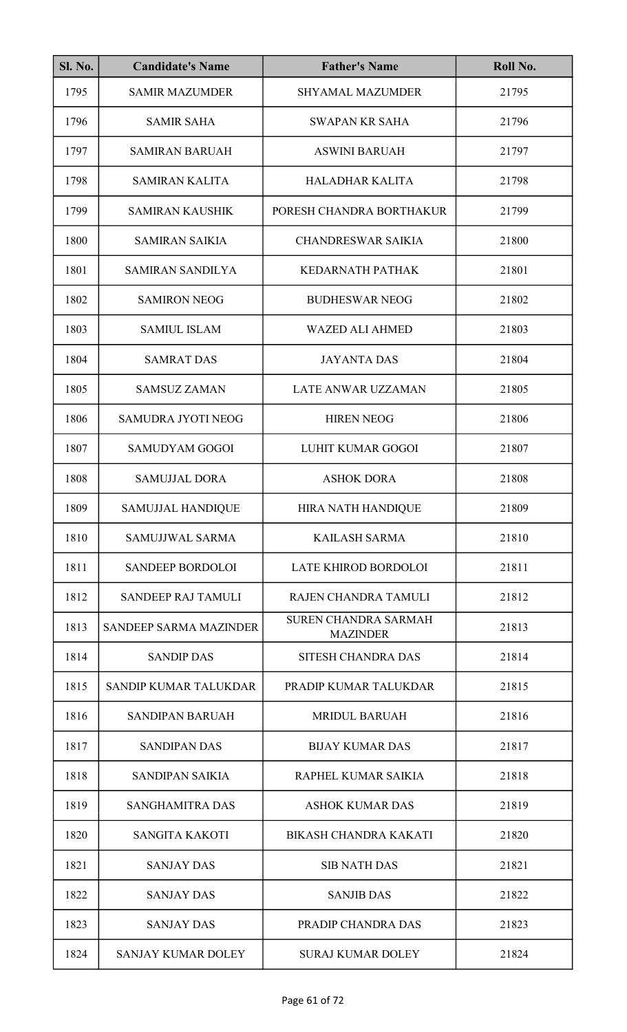| <b>Sl. No.</b> | <b>Candidate's Name</b>       | <b>Father's Name</b>                           | Roll No. |
|----------------|-------------------------------|------------------------------------------------|----------|
| 1795           | <b>SAMIR MAZUMDER</b>         | <b>SHYAMAL MAZUMDER</b>                        | 21795    |
| 1796           | <b>SAMIR SAHA</b>             | <b>SWAPAN KR SAHA</b>                          | 21796    |
| 1797           | <b>SAMIRAN BARUAH</b>         | <b>ASWINI BARUAH</b>                           | 21797    |
| 1798           | <b>SAMIRAN KALITA</b>         | <b>HALADHAR KALITA</b>                         | 21798    |
| 1799           | <b>SAMIRAN KAUSHIK</b>        | PORESH CHANDRA BORTHAKUR                       | 21799    |
| 1800           | <b>SAMIRAN SAIKIA</b>         | <b>CHANDRESWAR SAIKIA</b>                      | 21800    |
| 1801           | <b>SAMIRAN SANDILYA</b>       | <b>KEDARNATH PATHAK</b>                        | 21801    |
| 1802           | <b>SAMIRON NEOG</b>           | <b>BUDHESWAR NEOG</b>                          | 21802    |
| 1803           | <b>SAMIUL ISLAM</b>           | <b>WAZED ALI AHMED</b>                         | 21803    |
| 1804           | <b>SAMRAT DAS</b>             | <b>JAYANTA DAS</b>                             | 21804    |
| 1805           | <b>SAMSUZ ZAMAN</b>           | <b>LATE ANWAR UZZAMAN</b>                      | 21805    |
| 1806           | <b>SAMUDRA JYOTI NEOG</b>     | <b>HIREN NEOG</b>                              | 21806    |
| 1807           | <b>SAMUDYAM GOGOI</b>         | LUHIT KUMAR GOGOI                              | 21807    |
| 1808           | <b>SAMUJJAL DORA</b>          | <b>ASHOK DORA</b>                              | 21808    |
| 1809           | SAMUJJAL HANDIQUE             | HIRA NATH HANDIQUE                             | 21809    |
| 1810           | SAMUJJWAL SARMA               | <b>KAILASH SARMA</b>                           | 21810    |
| 1811           | <b>SANDEEP BORDOLOI</b>       | LATE KHIROD BORDOLOI                           | 21811    |
| 1812           | SANDEEP RAJ TAMULI            | RAJEN CHANDRA TAMULI                           | 21812    |
| 1813           | <b>SANDEEP SARMA MAZINDER</b> | <b>SUREN CHANDRA SARMAH</b><br><b>MAZINDER</b> | 21813    |
| 1814           | <b>SANDIP DAS</b>             | SITESH CHANDRA DAS                             | 21814    |
| 1815           | <b>SANDIP KUMAR TALUKDAR</b>  | PRADIP KUMAR TALUKDAR                          | 21815    |
| 1816           | <b>SANDIPAN BARUAH</b>        | <b>MRIDUL BARUAH</b>                           | 21816    |
| 1817           | <b>SANDIPAN DAS</b>           | <b>BIJAY KUMAR DAS</b>                         | 21817    |
| 1818           | <b>SANDIPAN SAIKIA</b>        | RAPHEL KUMAR SAIKIA                            | 21818    |
| 1819           | <b>SANGHAMITRA DAS</b>        | <b>ASHOK KUMAR DAS</b>                         | 21819    |
| 1820           | <b>SANGITA KAKOTI</b>         | <b>BIKASH CHANDRA KAKATI</b>                   | 21820    |
| 1821           | <b>SANJAY DAS</b>             | <b>SIB NATH DAS</b>                            | 21821    |
| 1822           | <b>SANJAY DAS</b>             | <b>SANJIB DAS</b>                              | 21822    |
| 1823           | <b>SANJAY DAS</b>             | PRADIP CHANDRA DAS                             | 21823    |
| 1824           | <b>SANJAY KUMAR DOLEY</b>     | <b>SURAJ KUMAR DOLEY</b>                       | 21824    |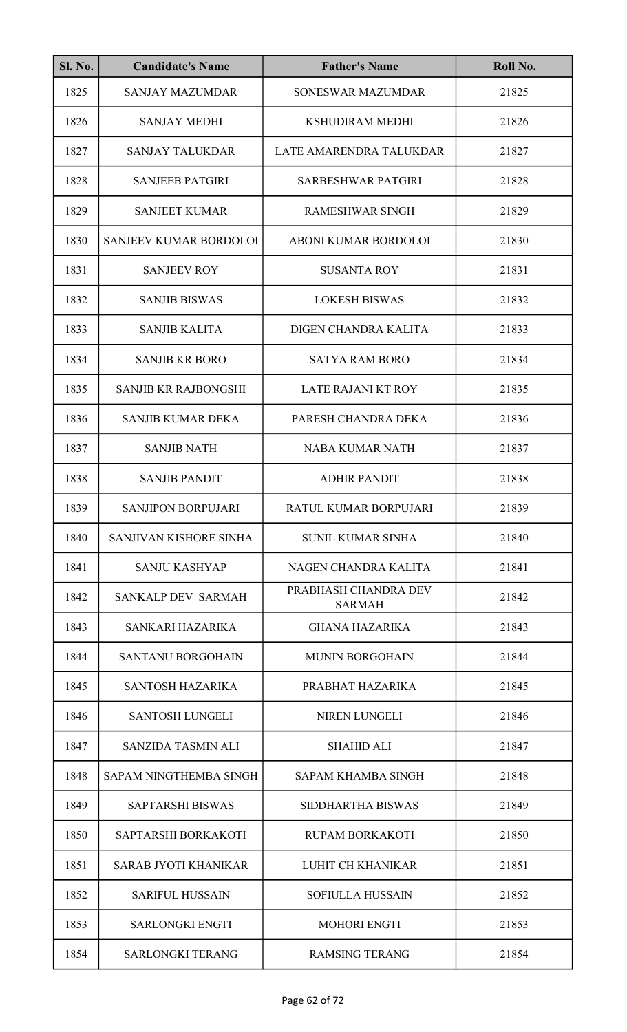| <b>Sl. No.</b> | <b>Candidate's Name</b>       | <b>Father's Name</b>                  | Roll No. |
|----------------|-------------------------------|---------------------------------------|----------|
| 1825           | <b>SANJAY MAZUMDAR</b>        | SONESWAR MAZUMDAR                     | 21825    |
| 1826           | <b>SANJAY MEDHI</b>           | <b>KSHUDIRAM MEDHI</b>                | 21826    |
| 1827           | <b>SANJAY TALUKDAR</b>        | LATE AMARENDRA TALUKDAR               | 21827    |
| 1828           | <b>SANJEEB PATGIRI</b>        | <b>SARBESHWAR PATGIRI</b>             | 21828    |
| 1829           | <b>SANJEET KUMAR</b>          | <b>RAMESHWAR SINGH</b>                | 21829    |
| 1830           | SANJEEV KUMAR BORDOLOI        | ABONI KUMAR BORDOLOI                  | 21830    |
| 1831           | <b>SANJEEV ROY</b>            | <b>SUSANTA ROY</b>                    | 21831    |
| 1832           | <b>SANJIB BISWAS</b>          | <b>LOKESH BISWAS</b>                  | 21832    |
| 1833           | <b>SANJIB KALITA</b>          | DIGEN CHANDRA KALITA                  | 21833    |
| 1834           | <b>SANJIB KR BORO</b>         | <b>SATYA RAM BORO</b>                 | 21834    |
| 1835           | <b>SANJIB KR RAJBONGSHI</b>   | <b>LATE RAJANI KT ROY</b>             | 21835    |
| 1836           | <b>SANJIB KUMAR DEKA</b>      | PARESH CHANDRA DEKA                   | 21836    |
| 1837           | <b>SANJIB NATH</b>            | <b>NABA KUMAR NATH</b>                | 21837    |
| 1838           | <b>SANJIB PANDIT</b>          | <b>ADHIR PANDIT</b>                   | 21838    |
| 1839           | SANJIPON BORPUJARI            | RATUL KUMAR BORPUJARI                 | 21839    |
| 1840           | SANJIVAN KISHORE SINHA        | <b>SUNIL KUMAR SINHA</b>              | 21840    |
| 1841           | <b>SANJU KASHYAP</b>          | NAGEN CHANDRA KALITA                  | 21841    |
| 1842           | SANKALP DEV SARMAH            | PRABHASH CHANDRA DEV<br><b>SARMAH</b> | 21842    |
| 1843           | SANKARI HAZARIKA              | <b>GHANA HAZARIKA</b>                 | 21843    |
| 1844           | <b>SANTANU BORGOHAIN</b>      | <b>MUNIN BORGOHAIN</b>                | 21844    |
| 1845           | <b>SANTOSH HAZARIKA</b>       | PRABHAT HAZARIKA                      | 21845    |
| 1846           | <b>SANTOSH LUNGELI</b>        | NIREN LUNGELI                         | 21846    |
| 1847           | SANZIDA TASMIN ALI            | <b>SHAHID ALI</b>                     | 21847    |
| 1848           | <b>SAPAM NINGTHEMBA SINGH</b> | <b>SAPAM KHAMBA SINGH</b>             | 21848    |
| 1849           | <b>SAPTARSHI BISWAS</b>       | SIDDHARTHA BISWAS                     | 21849    |
| 1850           | SAPTARSHI BORKAKOTI           | <b>RUPAM BORKAKOTI</b>                | 21850    |
| 1851           | <b>SARAB JYOTI KHANIKAR</b>   | <b>LUHIT CH KHANIKAR</b>              | 21851    |
| 1852           | <b>SARIFUL HUSSAIN</b>        | <b>SOFIULLA HUSSAIN</b>               | 21852    |
| 1853           | <b>SARLONGKI ENGTI</b>        | <b>MOHORI ENGTI</b>                   | 21853    |
| 1854           | <b>SARLONGKI TERANG</b>       | <b>RAMSING TERANG</b>                 | 21854    |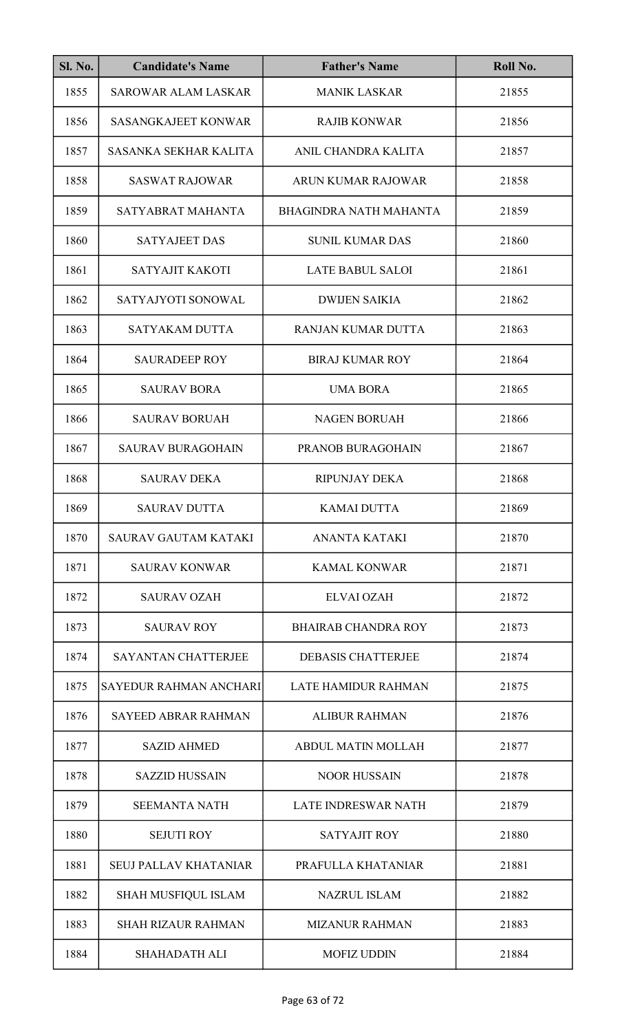| SI. No. | <b>Candidate's Name</b>      | <b>Father's Name</b>          | Roll No. |
|---------|------------------------------|-------------------------------|----------|
| 1855    | <b>SAROWAR ALAM LASKAR</b>   | <b>MANIK LASKAR</b>           | 21855    |
| 1856    | <b>SASANGKAJEET KONWAR</b>   | <b>RAJIB KONWAR</b>           | 21856    |
| 1857    | SASANKA SEKHAR KALITA        | ANIL CHANDRA KALITA           | 21857    |
| 1858    | <b>SASWAT RAJOWAR</b>        | <b>ARUN KUMAR RAJOWAR</b>     | 21858    |
| 1859    | SATYABRAT MAHANTA            | <b>BHAGINDRA NATH MAHANTA</b> | 21859    |
| 1860    | <b>SATYAJEET DAS</b>         | <b>SUNIL KUMAR DAS</b>        | 21860    |
| 1861    | SATYAJIT KAKOTI              | <b>LATE BABUL SALOI</b>       | 21861    |
| 1862    | SATYAJYOTI SONOWAL           | <b>DWIJEN SAIKIA</b>          | 21862    |
| 1863    | <b>SATYAKAM DUTTA</b>        | <b>RANJAN KUMAR DUTTA</b>     | 21863    |
| 1864    | <b>SAURADEEP ROY</b>         | <b>BIRAJ KUMAR ROY</b>        | 21864    |
| 1865    | <b>SAURAV BORA</b>           | <b>UMA BORA</b>               | 21865    |
| 1866    | <b>SAURAV BORUAH</b>         | <b>NAGEN BORUAH</b>           | 21866    |
| 1867    | <b>SAURAV BURAGOHAIN</b>     | PRANOB BURAGOHAIN             | 21867    |
| 1868    | <b>SAURAV DEKA</b>           | <b>RIPUNJAY DEKA</b>          | 21868    |
| 1869    | <b>SAURAV DUTTA</b>          | KAMAI DUTTA                   | 21869    |
| 1870    | <b>SAURAV GAUTAM KATAKI</b>  | <b>ANANTA KATAKI</b>          | 21870    |
| 1871    | <b>SAURAV KONWAR</b>         | <b>KAMAL KONWAR</b>           | 21871    |
| 1872    | <b>SAURAV OZAH</b>           | <b>ELVAI OZAH</b>             | 21872    |
| 1873    | <b>SAURAV ROY</b>            | <b>BHAIRAB CHANDRA ROY</b>    | 21873    |
| 1874    | <b>SAYANTAN CHATTERJEE</b>   | <b>DEBASIS CHATTERJEE</b>     | 21874    |
| 1875    | SAYEDUR RAHMAN ANCHARI       | <b>LATE HAMIDUR RAHMAN</b>    | 21875    |
| 1876    | <b>SAYEED ABRAR RAHMAN</b>   | <b>ALIBUR RAHMAN</b>          | 21876    |
| 1877    | <b>SAZID AHMED</b>           | <b>ABDUL MATIN MOLLAH</b>     | 21877    |
| 1878    | <b>SAZZID HUSSAIN</b>        | <b>NOOR HUSSAIN</b>           | 21878    |
| 1879    | <b>SEEMANTA NATH</b>         | <b>LATE INDRESWAR NATH</b>    | 21879    |
| 1880    | <b>SEJUTI ROY</b>            | <b>SATYAJIT ROY</b>           | 21880    |
| 1881    | <b>SEUJ PALLAV KHATANIAR</b> | PRAFULLA KHATANIAR            | 21881    |
| 1882    | SHAH MUSFIQUL ISLAM          | <b>NAZRUL ISLAM</b>           | 21882    |
| 1883    | <b>SHAH RIZAUR RAHMAN</b>    | <b>MIZANUR RAHMAN</b>         | 21883    |
| 1884    | <b>SHAHADATH ALI</b>         | <b>MOFIZ UDDIN</b>            | 21884    |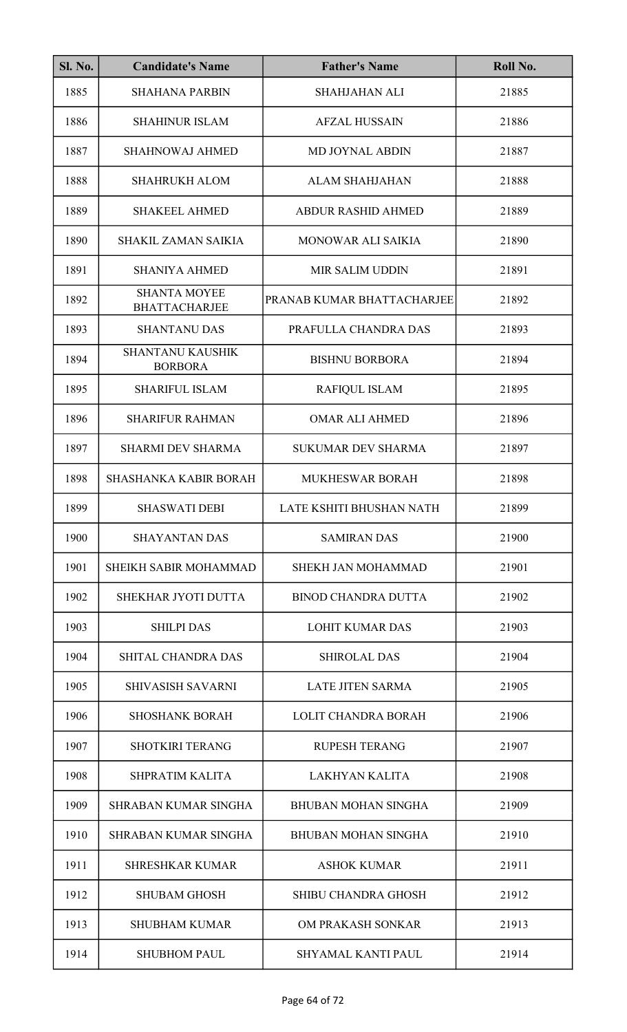| <b>Sl. No.</b> | <b>Candidate's Name</b>                     | <b>Father's Name</b>       | Roll No. |
|----------------|---------------------------------------------|----------------------------|----------|
| 1885           | <b>SHAHANA PARBIN</b>                       | <b>SHAHJAHAN ALI</b>       | 21885    |
| 1886           | <b>SHAHINUR ISLAM</b>                       | <b>AFZAL HUSSAIN</b>       | 21886    |
| 1887           | <b>SHAHNOWAJ AHMED</b>                      | <b>MD JOYNAL ABDIN</b>     | 21887    |
| 1888           | <b>SHAHRUKH ALOM</b>                        | <b>ALAM SHAHJAHAN</b>      | 21888    |
| 1889           | <b>SHAKEEL AHMED</b>                        | <b>ABDUR RASHID AHMED</b>  | 21889    |
| 1890           | <b>SHAKIL ZAMAN SAIKIA</b>                  | MONOWAR ALI SAIKIA         | 21890    |
| 1891           | <b>SHANIYA AHMED</b>                        | <b>MIR SALIM UDDIN</b>     | 21891    |
| 1892           | <b>SHANTA MOYEE</b><br><b>BHATTACHARJEE</b> | PRANAB KUMAR BHATTACHARJEE | 21892    |
| 1893           | <b>SHANTANU DAS</b>                         | PRAFULLA CHANDRA DAS       | 21893    |
| 1894           | <b>SHANTANU KAUSHIK</b><br><b>BORBORA</b>   | <b>BISHNU BORBORA</b>      | 21894    |
| 1895           | <b>SHARIFUL ISLAM</b>                       | <b>RAFIQUL ISLAM</b>       | 21895    |
| 1896           | <b>SHARIFUR RAHMAN</b>                      | <b>OMAR ALI AHMED</b>      | 21896    |
| 1897           | <b>SHARMI DEV SHARMA</b>                    | <b>SUKUMAR DEV SHARMA</b>  | 21897    |
| 1898           | <b>SHASHANKA KABIR BORAH</b>                | MUKHESWAR BORAH            | 21898    |
| 1899           | <b>SHASWATI DEBI</b>                        | LATE KSHITI BHUSHAN NATH   | 21899    |
| 1900           | <b>SHAYANTAN DAS</b>                        | <b>SAMIRAN DAS</b>         | 21900    |
| 1901           | SHEIKH SABIR MOHAMMAD                       | <b>SHEKH JAN MOHAMMAD</b>  | 21901    |
| 1902           | SHEKHAR JYOTI DUTTA                         | <b>BINOD CHANDRA DUTTA</b> | 21902    |
| 1903           | <b>SHILPI DAS</b>                           | <b>LOHIT KUMAR DAS</b>     | 21903    |
| 1904           | SHITAL CHANDRA DAS                          | <b>SHIROLAL DAS</b>        | 21904    |
| 1905           | <b>SHIVASISH SAVARNI</b>                    | <b>LATE JITEN SARMA</b>    | 21905    |
| 1906           | <b>SHOSHANK BORAH</b>                       | LOLIT CHANDRA BORAH        | 21906    |
| 1907           | <b>SHOTKIRI TERANG</b>                      | <b>RUPESH TERANG</b>       | 21907    |
| 1908           | SHPRATIM KALITA                             | <b>LAKHYAN KALITA</b>      | 21908    |
| 1909           | <b>SHRABAN KUMAR SINGHA</b>                 | <b>BHUBAN MOHAN SINGHA</b> | 21909    |
| 1910           | <b>SHRABAN KUMAR SINGHA</b>                 | <b>BHUBAN MOHAN SINGHA</b> | 21910    |
| 1911           | <b>SHRESHKAR KUMAR</b>                      | <b>ASHOK KUMAR</b>         | 21911    |
| 1912           | <b>SHUBAM GHOSH</b>                         | <b>SHIBU CHANDRA GHOSH</b> | 21912    |
| 1913           | <b>SHUBHAM KUMAR</b>                        | OM PRAKASH SONKAR          | 21913    |
| 1914           | <b>SHUBHOM PAUL</b>                         | SHYAMAL KANTI PAUL         | 21914    |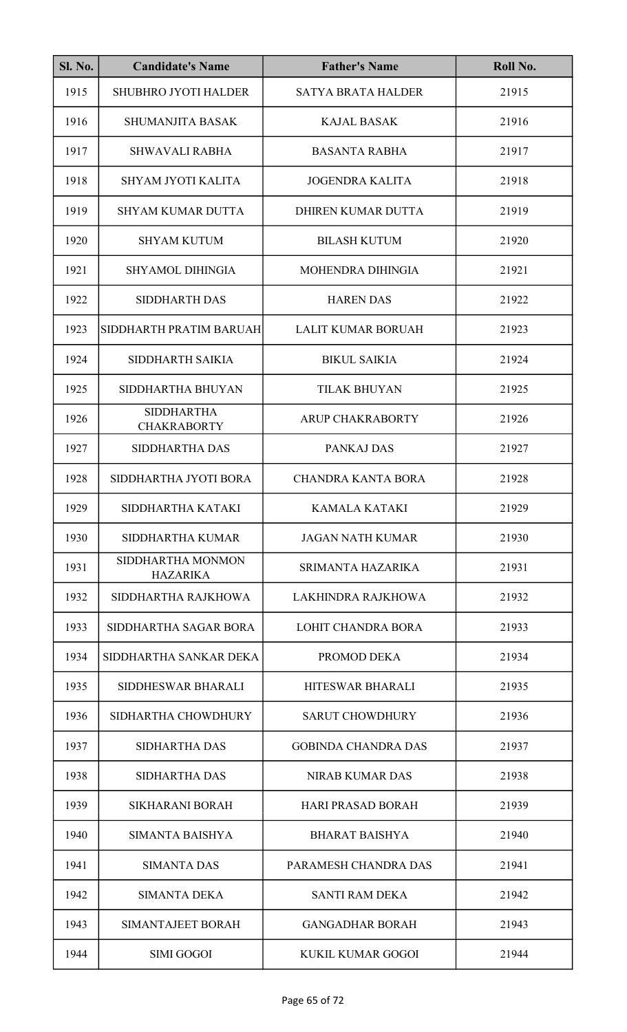| <b>Sl. No.</b> | <b>Candidate's Name</b>                 | <b>Father's Name</b>       | Roll No. |
|----------------|-----------------------------------------|----------------------------|----------|
| 1915           | <b>SHUBHRO JYOTI HALDER</b>             | <b>SATYA BRATA HALDER</b>  | 21915    |
| 1916           | <b>SHUMANJITA BASAK</b>                 | <b>KAJAL BASAK</b>         | 21916    |
| 1917           | <b>SHWAVALI RABHA</b>                   | <b>BASANTA RABHA</b>       | 21917    |
| 1918           | SHYAM JYOTI KALITA                      | <b>JOGENDRA KALITA</b>     | 21918    |
| 1919           | <b>SHYAM KUMAR DUTTA</b>                | DHIREN KUMAR DUTTA         | 21919    |
| 1920           | <b>SHYAM KUTUM</b>                      | <b>BILASH KUTUM</b>        | 21920    |
| 1921           | <b>SHYAMOL DIHINGIA</b>                 | MOHENDRA DIHINGIA          | 21921    |
| 1922           | <b>SIDDHARTH DAS</b>                    | <b>HAREN DAS</b>           | 21922    |
| 1923           | SIDDHARTH PRATIM BARUAH                 | <b>LALIT KUMAR BORUAH</b>  | 21923    |
| 1924           | SIDDHARTH SAIKIA                        | <b>BIKUL SAIKIA</b>        | 21924    |
| 1925           | SIDDHARTHA BHUYAN                       | <b>TILAK BHUYAN</b>        | 21925    |
| 1926           | <b>SIDDHARTHA</b><br><b>CHAKRABORTY</b> | ARUP CHAKRABORTY           | 21926    |
| 1927           | SIDDHARTHA DAS                          | PANKAJ DAS                 | 21927    |
| 1928           | SIDDHARTHA JYOTI BORA                   | <b>CHANDRA KANTA BORA</b>  | 21928    |
| 1929           | SIDDHARTHA KATAKI                       | KAMALA KATAKI              | 21929    |
| 1930           | SIDDHARTHA KUMAR                        | <b>JAGAN NATH KUMAR</b>    | 21930    |
| 1931           | SIDDHARTHA MONMON<br><b>HAZARIKA</b>    | SRIMANTA HAZARIKA          | 21931    |
| 1932           | SIDDHARTHA RAJKHOWA                     | LAKHINDRA RAJKHOWA         | 21932    |
| 1933           | SIDDHARTHA SAGAR BORA                   | <b>LOHIT CHANDRA BORA</b>  | 21933    |
| 1934           | SIDDHARTHA SANKAR DEKA                  | PROMOD DEKA                | 21934    |
| 1935           | SIDDHESWAR BHARALI                      | HITESWAR BHARALI           | 21935    |
| 1936           | SIDHARTHA CHOWDHURY                     | <b>SARUT CHOWDHURY</b>     | 21936    |
| 1937           | <b>SIDHARTHA DAS</b>                    | <b>GOBINDA CHANDRA DAS</b> | 21937    |
| 1938           | <b>SIDHARTHA DAS</b>                    | <b>NIRAB KUMAR DAS</b>     | 21938    |
| 1939           | <b>SIKHARANI BORAH</b>                  | <b>HARI PRASAD BORAH</b>   | 21939    |
| 1940           | SIMANTA BAISHYA                         | <b>BHARAT BAISHYA</b>      | 21940    |
| 1941           | <b>SIMANTA DAS</b>                      | PARAMESH CHANDRA DAS       | 21941    |
| 1942           | <b>SIMANTA DEKA</b>                     | <b>SANTI RAM DEKA</b>      | 21942    |
| 1943           | SIMANTAJEET BORAH                       | <b>GANGADHAR BORAH</b>     | 21943    |
| 1944           | <b>SIMI GOGOI</b>                       | KUKIL KUMAR GOGOI          | 21944    |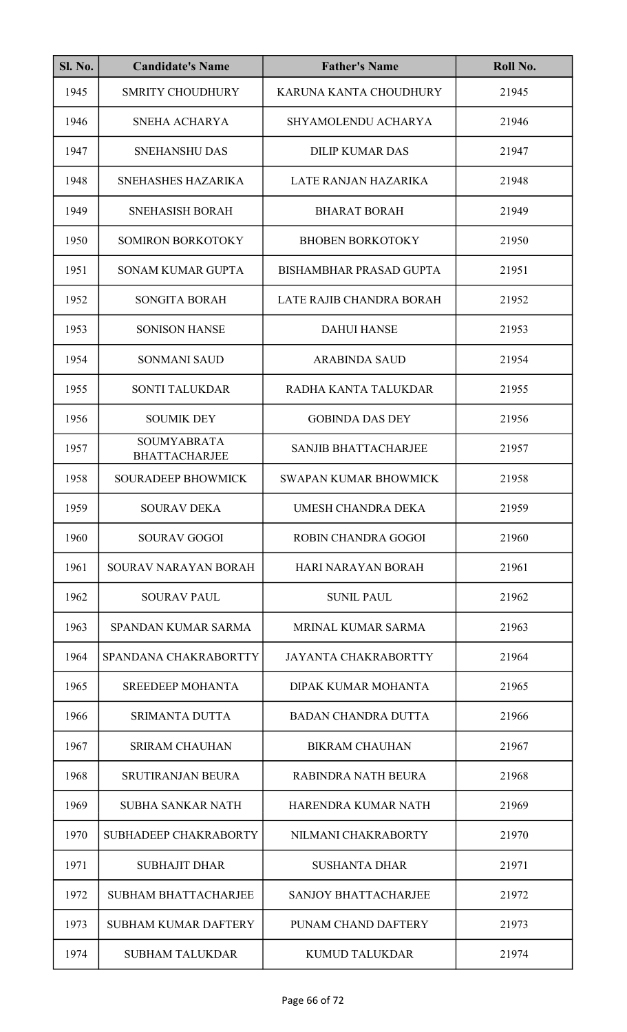| <b>Sl. No.</b> | <b>Candidate's Name</b>                    | <b>Father's Name</b>           | Roll No. |
|----------------|--------------------------------------------|--------------------------------|----------|
| 1945           | <b>SMRITY CHOUDHURY</b>                    | KARUNA KANTA CHOUDHURY         | 21945    |
| 1946           | <b>SNEHA ACHARYA</b>                       | SHYAMOLENDU ACHARYA            | 21946    |
| 1947           | <b>SNEHANSHU DAS</b>                       | <b>DILIP KUMAR DAS</b>         | 21947    |
| 1948           | SNEHASHES HAZARIKA                         | LATE RANJAN HAZARIKA           | 21948    |
| 1949           | <b>SNEHASISH BORAH</b>                     | <b>BHARAT BORAH</b>            | 21949    |
| 1950           | <b>SOMIRON BORKOTOKY</b>                   | <b>BHOBEN BORKOTOKY</b>        | 21950    |
| 1951           | <b>SONAM KUMAR GUPTA</b>                   | <b>BISHAMBHAR PRASAD GUPTA</b> | 21951    |
| 1952           | <b>SONGITA BORAH</b>                       | LATE RAJIB CHANDRA BORAH       | 21952    |
| 1953           | <b>SONISON HANSE</b>                       | <b>DAHUI HANSE</b>             | 21953    |
| 1954           | <b>SONMANI SAUD</b>                        | <b>ARABINDA SAUD</b>           | 21954    |
| 1955           | <b>SONTI TALUKDAR</b>                      | RADHA KANTA TALUKDAR           | 21955    |
| 1956           | <b>SOUMIK DEY</b>                          | <b>GOBINDA DAS DEY</b>         | 21956    |
| 1957           | <b>SOUMYABRATA</b><br><b>BHATTACHARJEE</b> | <b>SANJIB BHATTACHARJEE</b>    | 21957    |
| 1958           | <b>SOURADEEP BHOWMICK</b>                  | <b>SWAPAN KUMAR BHOWMICK</b>   | 21958    |
| 1959           | <b>SOURAV DEKA</b>                         | UMESH CHANDRA DEKA             | 21959    |
| 1960           | <b>SOURAV GOGOI</b>                        | <b>ROBIN CHANDRA GOGOI</b>     | 21960    |
| 1961           | SOURAV NARAYAN BORAH                       | <b>HARI NARAYAN BORAH</b>      | 21961    |
| 1962           | <b>SOURAV PAUL</b>                         | <b>SUNIL PAUL</b>              | 21962    |
| 1963           | <b>SPANDAN KUMAR SARMA</b>                 | <b>MRINAL KUMAR SARMA</b>      | 21963    |
| 1964           | SPANDANA CHAKRABORTTY                      | <b>JAYANTA CHAKRABORTTY</b>    | 21964    |
| 1965           | <b>SREEDEEP MOHANTA</b>                    | DIPAK KUMAR MOHANTA            | 21965    |
| 1966           | <b>SRIMANTA DUTTA</b>                      | <b>BADAN CHANDRA DUTTA</b>     | 21966    |
| 1967           | <b>SRIRAM CHAUHAN</b>                      | <b>BIKRAM CHAUHAN</b>          | 21967    |
| 1968           | <b>SRUTIRANJAN BEURA</b>                   | RABINDRA NATH BEURA            | 21968    |
| 1969           | <b>SUBHA SANKAR NATH</b>                   | HARENDRA KUMAR NATH            | 21969    |
| 1970           | SUBHADEEP CHAKRABORTY                      | NILMANI CHAKRABORTY            | 21970    |
| 1971           | <b>SUBHAJIT DHAR</b>                       | <b>SUSHANTA DHAR</b>           | 21971    |
| 1972           | <b>SUBHAM BHATTACHARJEE</b>                | <b>SANJOY BHATTACHARJEE</b>    | 21972    |
| 1973           | <b>SUBHAM KUMAR DAFTERY</b>                | PUNAM CHAND DAFTERY            | 21973    |
| 1974           | <b>SUBHAM TALUKDAR</b>                     | <b>KUMUD TALUKDAR</b>          | 21974    |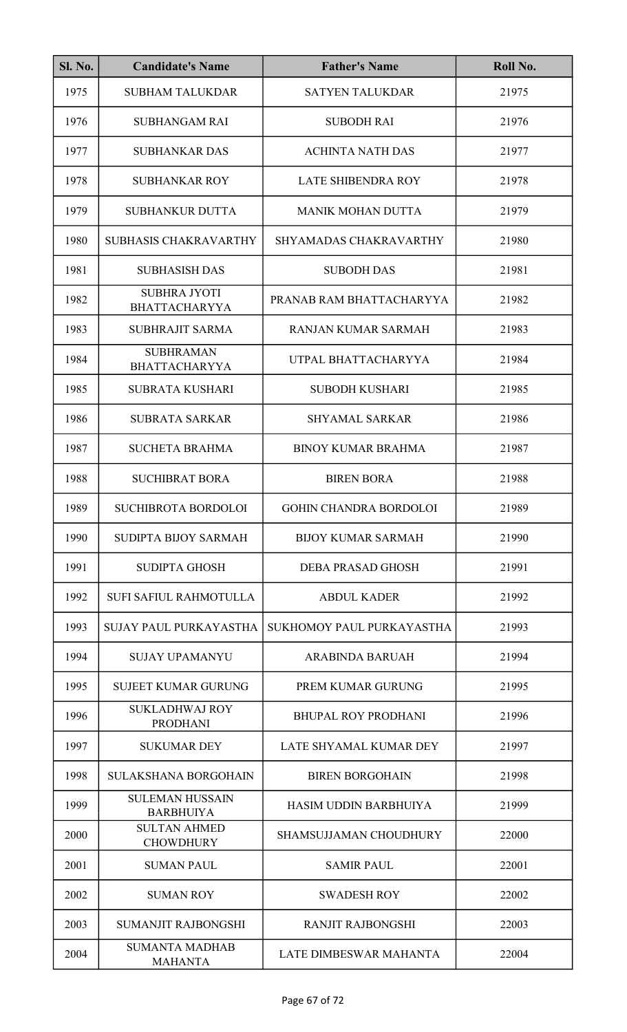| <b>Sl. No.</b> | <b>Candidate's Name</b>                     | <b>Father's Name</b>          | Roll No. |
|----------------|---------------------------------------------|-------------------------------|----------|
| 1975           | <b>SUBHAM TALUKDAR</b>                      | <b>SATYEN TALUKDAR</b>        | 21975    |
| 1976           | <b>SUBHANGAM RAI</b>                        | <b>SUBODH RAI</b>             | 21976    |
| 1977           | <b>SUBHANKAR DAS</b>                        | <b>ACHINTA NATH DAS</b>       | 21977    |
| 1978           | <b>SUBHANKAR ROY</b>                        | LATE SHIBENDRA ROY            | 21978    |
| 1979           | <b>SUBHANKUR DUTTA</b>                      | <b>MANIK MOHAN DUTTA</b>      | 21979    |
| 1980           | SUBHASIS CHAKRAVARTHY                       | SHYAMADAS CHAKRAVARTHY        | 21980    |
| 1981           | <b>SUBHASISH DAS</b>                        | <b>SUBODH DAS</b>             | 21981    |
| 1982           | <b>SUBHRA JYOTI</b><br><b>BHATTACHARYYA</b> | PRANAB RAM BHATTACHARYYA      | 21982    |
| 1983           | <b>SUBHRAJIT SARMA</b>                      | RANJAN KUMAR SARMAH           | 21983    |
| 1984           | <b>SUBHRAMAN</b><br><b>BHATTACHARYYA</b>    | UTPAL BHATTACHARYYA           | 21984    |
| 1985           | <b>SUBRATA KUSHARI</b>                      | <b>SUBODH KUSHARI</b>         | 21985    |
| 1986           | <b>SUBRATA SARKAR</b>                       | <b>SHYAMAL SARKAR</b>         | 21986    |
| 1987           | <b>SUCHETA BRAHMA</b>                       | <b>BINOY KUMAR BRAHMA</b>     | 21987    |
| 1988           | <b>SUCHIBRAT BORA</b>                       | <b>BIREN BORA</b>             | 21988    |
| 1989           | <b>SUCHIBROTA BORDOLOI</b>                  | <b>GOHIN CHANDRA BORDOLOI</b> | 21989    |
| 1990           | SUDIPTA BIJOY SARMAH                        | <b>BIJOY KUMAR SARMAH</b>     | 21990    |
| 1991           | <b>SUDIPTA GHOSH</b>                        | <b>DEBA PRASAD GHOSH</b>      | 21991    |
| 1992           | <b>SUFI SAFIUL RAHMOTULLA</b>               | <b>ABDUL KADER</b>            | 21992    |
| 1993           | SUJAY PAUL PURKAYASTHA                      | SUKHOMOY PAUL PURKAYASTHA     | 21993    |
| 1994           | <b>SUJAY UPAMANYU</b>                       | <b>ARABINDA BARUAH</b>        | 21994    |
| 1995           | <b>SUJEET KUMAR GURUNG</b>                  | PREM KUMAR GURUNG             | 21995    |
| 1996           | <b>SUKLADHWAJ ROY</b><br><b>PRODHANI</b>    | <b>BHUPAL ROY PRODHANI</b>    | 21996    |
| 1997           | <b>SUKUMAR DEY</b>                          | LATE SHYAMAL KUMAR DEY        | 21997    |
| 1998           | <b>SULAKSHANA BORGOHAIN</b>                 | <b>BIREN BORGOHAIN</b>        | 21998    |
| 1999           | <b>SULEMAN HUSSAIN</b><br><b>BARBHUIYA</b>  | HASIM UDDIN BARBHUIYA         | 21999    |
| 2000           | <b>SULTAN AHMED</b><br><b>CHOWDHURY</b>     | SHAMSUJJAMAN CHOUDHURY        | 22000    |
| 2001           | <b>SUMAN PAUL</b>                           | <b>SAMIR PAUL</b>             | 22001    |
| 2002           | <b>SUMAN ROY</b>                            | <b>SWADESH ROY</b>            | 22002    |
| 2003           | <b>SUMANJIT RAJBONGSHI</b>                  | <b>RANJIT RAJBONGSHI</b>      | 22003    |
| 2004           | <b>SUMANTA MADHAB</b><br><b>MAHANTA</b>     | <b>LATE DIMBESWAR MAHANTA</b> | 22004    |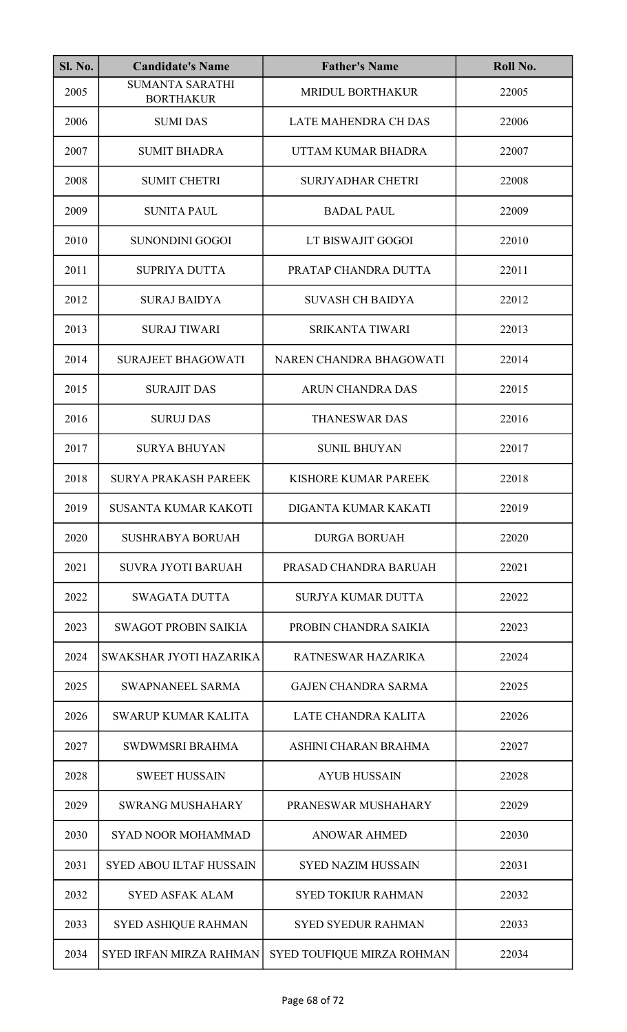| <b>Sl. No.</b> | <b>Candidate's Name</b>                    | <b>Father's Name</b>        | Roll No. |
|----------------|--------------------------------------------|-----------------------------|----------|
| 2005           | <b>SUMANTA SARATHI</b><br><b>BORTHAKUR</b> | <b>MRIDUL BORTHAKUR</b>     | 22005    |
| 2006           | <b>SUMIDAS</b>                             | <b>LATE MAHENDRA CH DAS</b> | 22006    |
| 2007           | <b>SUMIT BHADRA</b>                        | UTTAM KUMAR BHADRA          | 22007    |
| 2008           | <b>SUMIT CHETRI</b>                        | <b>SURJYADHAR CHETRI</b>    | 22008    |
| 2009           | <b>SUNITA PAUL</b>                         | <b>BADAL PAUL</b>           | 22009    |
| 2010           | <b>SUNONDINI GOGOI</b>                     | LT BISWAJIT GOGOI           | 22010    |
| 2011           | <b>SUPRIYA DUTTA</b>                       | PRATAP CHANDRA DUTTA        | 22011    |
| 2012           | <b>SURAJ BAIDYA</b>                        | <b>SUVASH CH BAIDYA</b>     | 22012    |
| 2013           | <b>SURAJ TIWARI</b>                        | <b>SRIKANTA TIWARI</b>      | 22013    |
| 2014           | <b>SURAJEET BHAGOWATI</b>                  | NAREN CHANDRA BHAGOWATI     | 22014    |
| 2015           | <b>SURAJIT DAS</b>                         | <b>ARUN CHANDRA DAS</b>     | 22015    |
| 2016           | <b>SURUJ DAS</b>                           | <b>THANESWAR DAS</b>        | 22016    |
| 2017           | <b>SURYA BHUYAN</b>                        | <b>SUNIL BHUYAN</b>         | 22017    |
| 2018           | <b>SURYA PRAKASH PAREEK</b>                | KISHORE KUMAR PAREEK        | 22018    |
| 2019           | <b>SUSANTA KUMAR KAKOTI</b>                | DIGANTA KUMAR KAKATI        | 22019    |
| 2020           | <b>SUSHRABYA BORUAH</b>                    | <b>DURGA BORUAH</b>         | 22020    |
| 2021           | <b>SUVRA JYOTI BARUAH</b>                  | PRASAD CHANDRA BARUAH       | 22021    |
| 2022           | <b>SWAGATA DUTTA</b>                       | SURJYA KUMAR DUTTA          | 22022    |
| 2023           | <b>SWAGOT PROBIN SAIKIA</b>                | PROBIN CHANDRA SAIKIA       | 22023    |
| 2024           | SWAKSHAR JYOTI HAZARIKA                    | RATNESWAR HAZARIKA          | 22024    |
| 2025           | <b>SWAPNANEEL SARMA</b>                    | <b>GAJEN CHANDRA SARMA</b>  | 22025    |
| 2026           | <b>SWARUP KUMAR KALITA</b>                 | LATE CHANDRA KALITA         | 22026    |
| 2027           | <b>SWDWMSRI BRAHMA</b>                     | ASHINI CHARAN BRAHMA        | 22027    |
| 2028           | <b>SWEET HUSSAIN</b>                       | <b>AYUB HUSSAIN</b>         | 22028    |
| 2029           | <b>SWRANG MUSHAHARY</b>                    | PRANESWAR MUSHAHARY         | 22029    |
| 2030           | <b>SYAD NOOR MOHAMMAD</b>                  | <b>ANOWAR AHMED</b>         | 22030    |
| 2031           | <b>SYED ABOU ILTAF HUSSAIN</b>             | <b>SYED NAZIM HUSSAIN</b>   | 22031    |
| 2032           | <b>SYED ASFAK ALAM</b>                     | <b>SYED TOKIUR RAHMAN</b>   | 22032    |
| 2033           | <b>SYED ASHIQUE RAHMAN</b>                 | <b>SYED SYEDUR RAHMAN</b>   | 22033    |
| 2034           | <b>SYED IRFAN MIRZA RAHMAN</b>             | SYED TOUFIQUE MIRZA ROHMAN  | 22034    |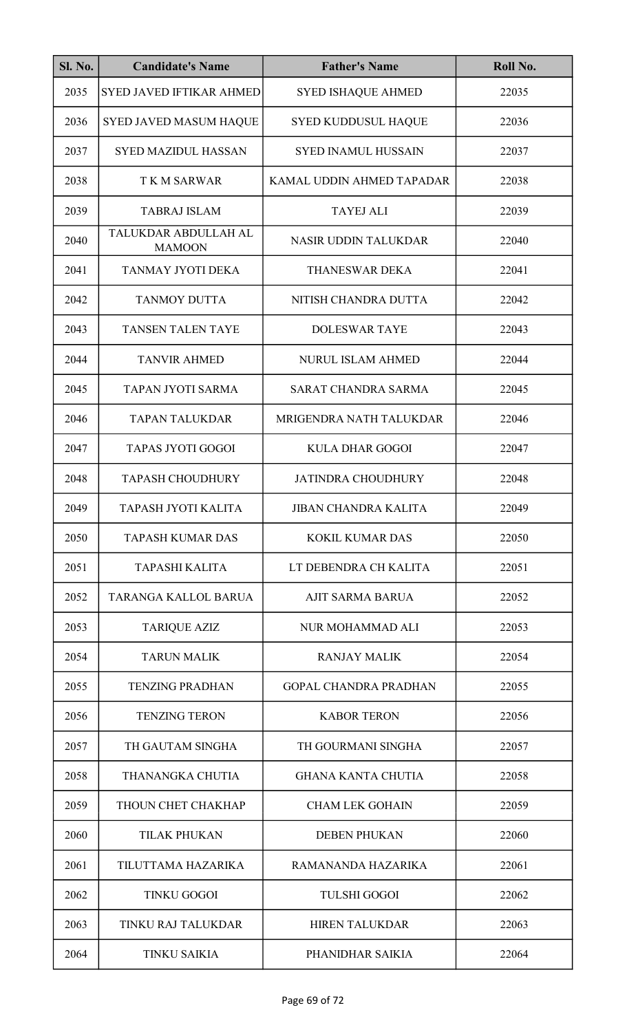| <b>Sl. No.</b> | <b>Candidate's Name</b>               | <b>Father's Name</b>         | Roll No. |
|----------------|---------------------------------------|------------------------------|----------|
| 2035           | <b>SYED JAVED IFTIKAR AHMED</b>       | <b>SYED ISHAQUE AHMED</b>    | 22035    |
| 2036           | <b>SYED JAVED MASUM HAQUE</b>         | <b>SYED KUDDUSUL HAQUE</b>   | 22036    |
| 2037           | <b>SYED MAZIDUL HASSAN</b>            | <b>SYED INAMUL HUSSAIN</b>   | 22037    |
| 2038           | <b>TKM SARWAR</b>                     | KAMAL UDDIN AHMED TAPADAR    | 22038    |
| 2039           | <b>TABRAJ ISLAM</b>                   | <b>TAYEJ ALI</b>             | 22039    |
| 2040           | TALUKDAR ABDULLAH AL<br><b>MAMOON</b> | NASIR UDDIN TALUKDAR         | 22040    |
| 2041           | TANMAY JYOTI DEKA                     | <b>THANESWAR DEKA</b>        | 22041    |
| 2042           | <b>TANMOY DUTTA</b>                   | NITISH CHANDRA DUTTA         | 22042    |
| 2043           | <b>TANSEN TALEN TAYE</b>              | <b>DOLESWAR TAYE</b>         | 22043    |
| 2044           | <b>TANVIR AHMED</b>                   | <b>NURUL ISLAM AHMED</b>     | 22044    |
| 2045           | TAPAN JYOTI SARMA                     | <b>SARAT CHANDRA SARMA</b>   | 22045    |
| 2046           | <b>TAPAN TALUKDAR</b>                 | MRIGENDRA NATH TALUKDAR      | 22046    |
| 2047           | <b>TAPAS JYOTI GOGOI</b>              | <b>KULA DHAR GOGOI</b>       | 22047    |
| 2048           | <b>TAPASH CHOUDHURY</b>               | <b>JATINDRA CHOUDHURY</b>    | 22048    |
| 2049           | TAPASH JYOTI KALITA                   | <b>JIBAN CHANDRA KALITA</b>  | 22049    |
| 2050           | <b>TAPASH KUMAR DAS</b>               | <b>KOKIL KUMAR DAS</b>       | 22050    |
| 2051           | <b>TAPASHI KALITA</b>                 | LT DEBENDRA CH KALITA        | 22051    |
| 2052           | TARANGA KALLOL BARUA                  | <b>AJIT SARMA BARUA</b>      | 22052    |
| 2053           | <b>TARIQUE AZIZ</b>                   | NUR MOHAMMAD ALI             | 22053    |
| 2054           | <b>TARUN MALIK</b>                    | <b>RANJAY MALIK</b>          | 22054    |
| 2055           | <b>TENZING PRADHAN</b>                | <b>GOPAL CHANDRA PRADHAN</b> | 22055    |
| 2056           | <b>TENZING TERON</b>                  | <b>KABOR TERON</b>           | 22056    |
| 2057           | TH GAUTAM SINGHA                      | TH GOURMANI SINGHA           | 22057    |
| 2058           | THANANGKA CHUTIA                      | <b>GHANA KANTA CHUTIA</b>    | 22058    |
| 2059           | THOUN CHET CHAKHAP                    | <b>CHAM LEK GOHAIN</b>       | 22059    |
| 2060           | <b>TILAK PHUKAN</b>                   | <b>DEBEN PHUKAN</b>          | 22060    |
| 2061           | TILUTTAMA HAZARIKA                    | RAMANANDA HAZARIKA           | 22061    |
| 2062           | <b>TINKU GOGOI</b>                    | <b>TULSHI GOGOI</b>          | 22062    |
| 2063           | TINKU RAJ TALUKDAR                    | <b>HIREN TALUKDAR</b>        | 22063    |
| 2064           | <b>TINKU SAIKIA</b>                   | PHANIDHAR SAIKIA             | 22064    |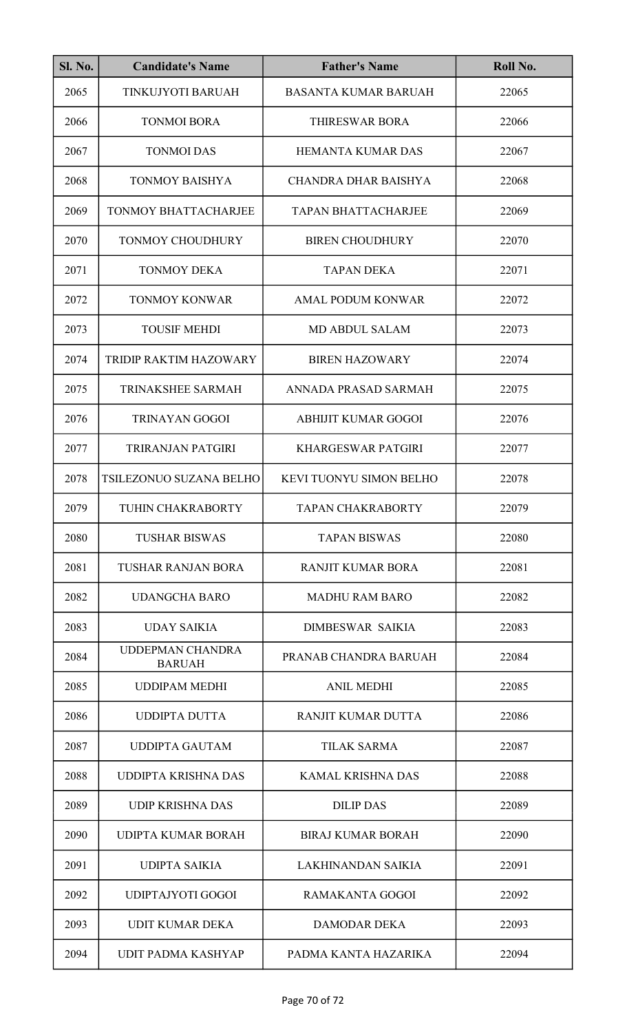| <b>Sl. No.</b> | <b>Candidate's Name</b>                  | <b>Father's Name</b>        | Roll No. |
|----------------|------------------------------------------|-----------------------------|----------|
| 2065           | TINKUJYOTI BARUAH                        | <b>BASANTA KUMAR BARUAH</b> | 22065    |
| 2066           | <b>TONMOI BORA</b>                       | <b>THIRESWAR BORA</b>       | 22066    |
| 2067           | <b>TONMOI DAS</b>                        | <b>HEMANTA KUMAR DAS</b>    | 22067    |
| 2068           | <b>TONMOY BAISHYA</b>                    | CHANDRA DHAR BAISHYA        | 22068    |
| 2069           | <b>TONMOY BHATTACHARJEE</b>              | <b>TAPAN BHATTACHARJEE</b>  | 22069    |
| 2070           | <b>TONMOY CHOUDHURY</b>                  | <b>BIREN CHOUDHURY</b>      | 22070    |
| 2071           | <b>TONMOY DEKA</b>                       | <b>TAPAN DEKA</b>           | 22071    |
| 2072           | <b>TONMOY KONWAR</b>                     | <b>AMAL PODUM KONWAR</b>    | 22072    |
| 2073           | <b>TOUSIF MEHDI</b>                      | <b>MD ABDUL SALAM</b>       | 22073    |
| 2074           | TRIDIP RAKTIM HAZOWARY                   | <b>BIREN HAZOWARY</b>       | 22074    |
| 2075           | TRINAKSHEE SARMAH                        | ANNADA PRASAD SARMAH        | 22075    |
| 2076           | <b>TRINAYAN GOGOI</b>                    | <b>ABHIJIT KUMAR GOGOI</b>  | 22076    |
| 2077           | TRIRANJAN PATGIRI                        | <b>KHARGESWAR PATGIRI</b>   | 22077    |
| 2078           | TSILEZONUO SUZANA BELHO                  | KEVI TUONYU SIMON BELHO     | 22078    |
| 2079           | TUHIN CHAKRABORTY                        | <b>TAPAN CHAKRABORTY</b>    | 22079    |
| 2080           | <b>TUSHAR BISWAS</b>                     | <b>TAPAN BISWAS</b>         | 22080    |
| 2081           | <b>TUSHAR RANJAN BORA</b>                | <b>RANJIT KUMAR BORA</b>    | 22081    |
| 2082           | UDANGCHA BARO                            | <b>MADHU RAM BARO</b>       | 22082    |
| 2083           | <b>UDAY SAIKIA</b>                       | DIMBESWAR SAIKIA            | 22083    |
| 2084           | <b>UDDEPMAN CHANDRA</b><br><b>BARUAH</b> | PRANAB CHANDRA BARUAH       | 22084    |
| 2085           | <b>UDDIPAM MEDHI</b>                     | <b>ANIL MEDHI</b>           | 22085    |
| 2086           | UDDIPTA DUTTA                            | RANJIT KUMAR DUTTA          | 22086    |
| 2087           | UDDIPTA GAUTAM                           | <b>TILAK SARMA</b>          | 22087    |
| 2088           | <b>UDDIPTA KRISHNA DAS</b>               | KAMAL KRISHNA DAS           | 22088    |
| 2089           | <b>UDIP KRISHNA DAS</b>                  | <b>DILIP DAS</b>            | 22089    |
| 2090           | <b>UDIPTA KUMAR BORAH</b>                | <b>BIRAJ KUMAR BORAH</b>    | 22090    |
| 2091           | <b>UDIPTA SAIKIA</b>                     | <b>LAKHINANDAN SAIKIA</b>   | 22091    |
| 2092           | UDIPTAJYOTI GOGOI                        | <b>RAMAKANTA GOGOI</b>      | 22092    |
| 2093           | <b>UDIT KUMAR DEKA</b>                   | <b>DAMODAR DEKA</b>         | 22093    |
| 2094           | UDIT PADMA KASHYAP                       | PADMA KANTA HAZARIKA        | 22094    |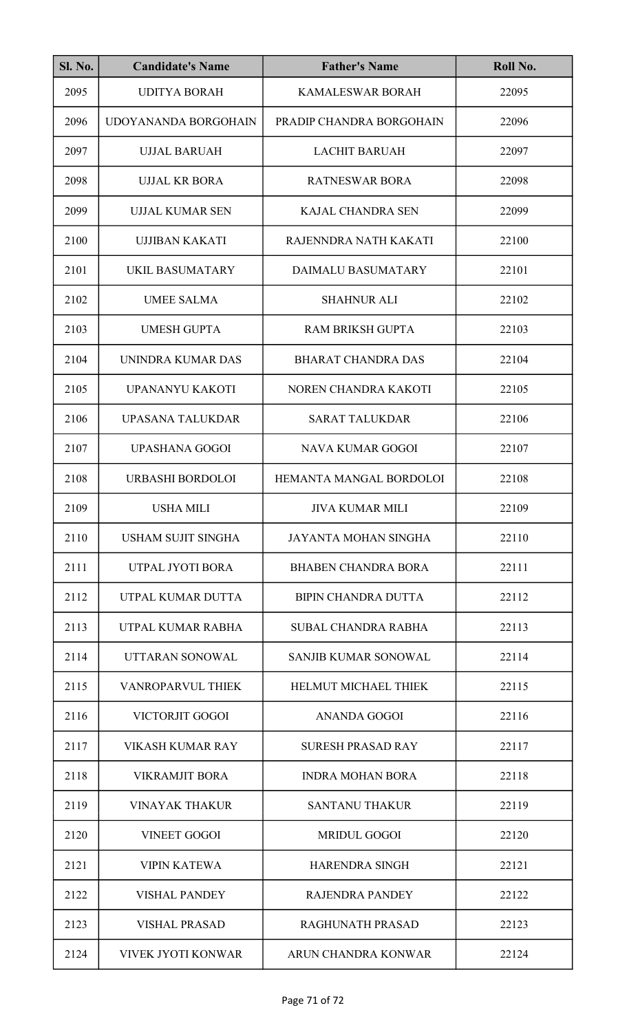| SI. No. | <b>Candidate's Name</b>   | <b>Father's Name</b>        | Roll No. |
|---------|---------------------------|-----------------------------|----------|
| 2095    | <b>UDITYA BORAH</b>       | <b>KAMALESWAR BORAH</b>     | 22095    |
| 2096    | UDOYANANDA BORGOHAIN      | PRADIP CHANDRA BORGOHAIN    | 22096    |
| 2097    | UJJAL BARUAH              | <b>LACHIT BARUAH</b>        | 22097    |
| 2098    | <b>UJJAL KR BORA</b>      | <b>RATNESWAR BORA</b>       | 22098    |
| 2099    | UJJAL KUMAR SEN           | <b>KAJAL CHANDRA SEN</b>    | 22099    |
| 2100    | <b>UJJIBAN KAKATI</b>     | RAJENNDRA NATH KAKATI       | 22100    |
| 2101    | <b>UKIL BASUMATARY</b>    | <b>DAIMALU BASUMATARY</b>   | 22101    |
| 2102    | <b>UMEE SALMA</b>         | <b>SHAHNUR ALI</b>          | 22102    |
| 2103    | <b>UMESH GUPTA</b>        | <b>RAM BRIKSH GUPTA</b>     | 22103    |
| 2104    | UNINDRA KUMAR DAS         | <b>BHARAT CHANDRA DAS</b>   | 22104    |
| 2105    | UPANANYU KAKOTI           | NOREN CHANDRA KAKOTI        | 22105    |
| 2106    | UPASANA TALUKDAR          | <b>SARAT TALUKDAR</b>       | 22106    |
| 2107    | <b>UPASHANA GOGOI</b>     | <b>NAVA KUMAR GOGOI</b>     | 22107    |
| 2108    | URBASHI BORDOLOI          | HEMANTA MANGAL BORDOLOI     | 22108    |
| 2109    | <b>USHA MILI</b>          | <b>JIVA KUMAR MILI</b>      | 22109    |
| 2110    | <b>USHAM SUJIT SINGHA</b> | <b>JAYANTA MOHAN SINGHA</b> | 22110    |
| 2111    | UTPAL JYOTI BORA          | <b>BHABEN CHANDRA BORA</b>  | 22111    |
| 2112    | UTPAL KUMAR DUTTA         | <b>BIPIN CHANDRA DUTTA</b>  | 22112    |
| 2113    | UTPAL KUMAR RABHA         | <b>SUBAL CHANDRA RABHA</b>  | 22113    |
| 2114    | UTTARAN SONOWAL           | <b>SANJIB KUMAR SONOWAL</b> | 22114    |
| 2115    | <b>VANROPARVUL THIEK</b>  | HELMUT MICHAEL THIEK        | 22115    |
| 2116    | VICTORJIT GOGOI           | <b>ANANDA GOGOI</b>         | 22116    |
| 2117    | <b>VIKASH KUMAR RAY</b>   | <b>SURESH PRASAD RAY</b>    | 22117    |
| 2118    | <b>VIKRAMJIT BORA</b>     | <b>INDRA MOHAN BORA</b>     | 22118    |
| 2119    | <b>VINAYAK THAKUR</b>     | <b>SANTANU THAKUR</b>       | 22119    |
| 2120    | <b>VINEET GOGOI</b>       | <b>MRIDUL GOGOI</b>         | 22120    |
| 2121    | <b>VIPIN KATEWA</b>       | <b>HARENDRA SINGH</b>       | 22121    |
| 2122    | <b>VISHAL PANDEY</b>      | <b>RAJENDRA PANDEY</b>      | 22122    |
| 2123    | <b>VISHAL PRASAD</b>      | RAGHUNATH PRASAD            | 22123    |
| 2124    | <b>VIVEK JYOTI KONWAR</b> | ARUN CHANDRA KONWAR         | 22124    |